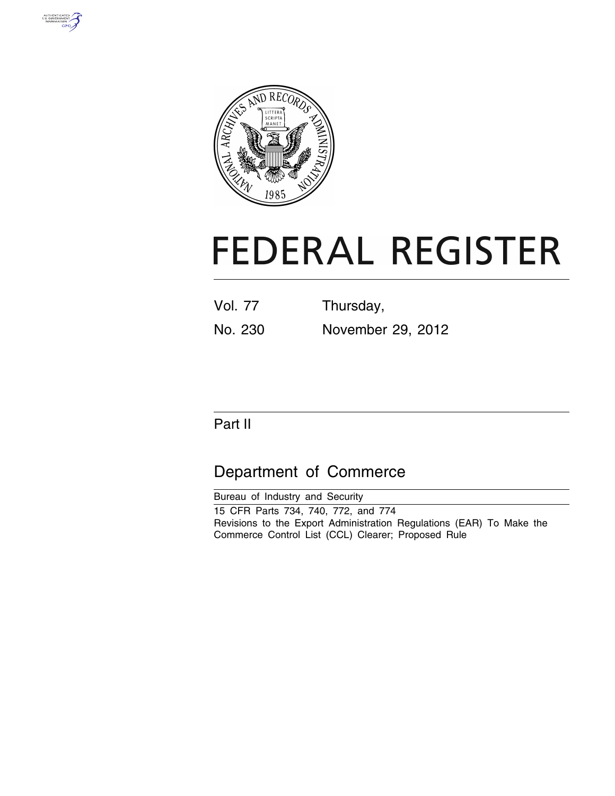



# **FEDERAL REGISTER**

| <b>Vol. 77</b> | Thursday,         |
|----------------|-------------------|
| No. 230        | November 29, 2012 |

# Part II

# Department of Commerce

| Bureau of Industry and Security                                      |
|----------------------------------------------------------------------|
| 15 CFR Parts 734, 740, 772, and 774                                  |
| Revisions to the Export Administration Regulations (EAR) To Make the |
| Commerce Control List (CCL) Clearer; Proposed Rule                   |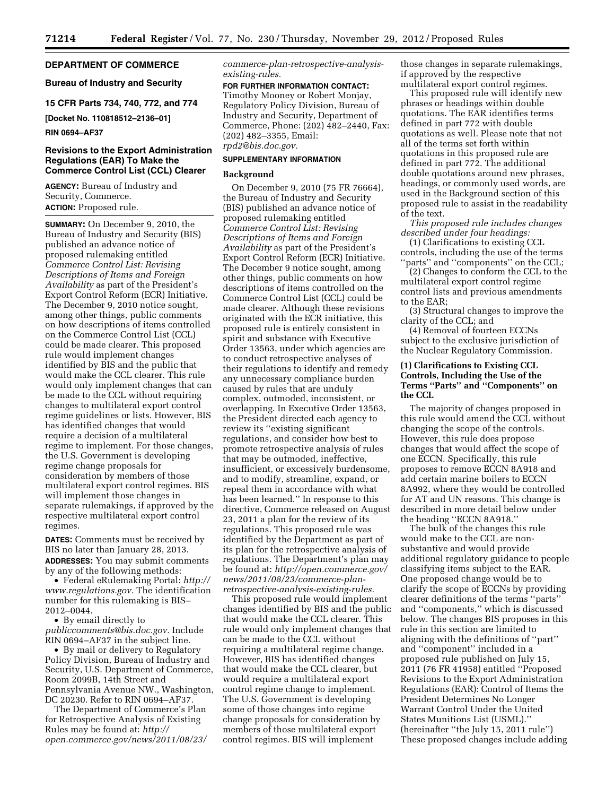#### **DEPARTMENT OF COMMERCE**

#### **Bureau of Industry and Security**

**15 CFR Parts 734, 740, 772, and 774** 

**[Docket No. 110818512–2136–01]** 

**RIN 0694–AF37** 

#### **Revisions to the Export Administration Regulations (EAR) To Make the Commerce Control List (CCL) Clearer**

**AGENCY:** Bureau of Industry and Security, Commerce. **ACTION:** Proposed rule.

**SUMMARY:** On December 9, 2010, the Bureau of Industry and Security (BIS) published an advance notice of proposed rulemaking entitled *Commerce Control List: Revising Descriptions of Items and Foreign Availability* as part of the President's Export Control Reform (ECR) Initiative. The December 9, 2010 notice sought, among other things, public comments on how descriptions of items controlled on the Commerce Control List (CCL) could be made clearer. This proposed rule would implement changes identified by BIS and the public that would make the CCL clearer. This rule would only implement changes that can be made to the CCL without requiring changes to multilateral export control regime guidelines or lists. However, BIS has identified changes that would require a decision of a multilateral regime to implement. For those changes, the U.S. Government is developing regime change proposals for consideration by members of those multilateral export control regimes. BIS will implement those changes in separate rulemakings, if approved by the respective multilateral export control regimes.

**DATES:** Comments must be received by BIS no later than January 28, 2013. **ADDRESSES:** You may submit comments by any of the following methods:

• Federal eRulemaking Portal: *[http://](http://www.regulations.gov) [www.regulations.gov.](http://www.regulations.gov)* The identification number for this rulemaking is BIS– 2012–0044.

• By email directly to *[publiccomments@bis.doc.gov.](mailto:publiccomments@bis.doc.gov)* Include RIN 0694–AF37 in the subject line.

• By mail or delivery to Regulatory Policy Division, Bureau of Industry and Security, U.S. Department of Commerce, Room 2099B, 14th Street and Pennsylvania Avenue NW., Washington, DC 20230. Refer to RIN 0694–AF37.

The Department of Commerce's Plan for Retrospective Analysis of Existing Rules may be found at: *[http://](http://open.commerce.gov/news/2011/08/23/commerce-plan-retrospective-analysis-existing-rules) [open.commerce.gov/news/2011/08/23/](http://open.commerce.gov/news/2011/08/23/commerce-plan-retrospective-analysis-existing-rules)*  *[commerce-plan-retrospective-analysis](http://open.commerce.gov/news/2011/08/23/commerce-plan-retrospective-analysis-existing-rules)[existing-rules.](http://open.commerce.gov/news/2011/08/23/commerce-plan-retrospective-analysis-existing-rules)* 

# **FOR FURTHER INFORMATION CONTACT:**

Timothy Mooney or Robert Monjay, Regulatory Policy Division, Bureau of Industry and Security, Department of Commerce, Phone: (202) 482–2440, Fax: (202) 482–3355, Email: *[rpd2@bis.doc.gov.](mailto:rpd2@bis.doc.gov)* 

#### **SUPPLEMENTARY INFORMATION**

#### **Background**

On December 9, 2010 (75 FR 76664), the Bureau of Industry and Security (BIS) published an advance notice of proposed rulemaking entitled *Commerce Control List: Revising Descriptions of Items and Foreign Availability* as part of the President's Export Control Reform (ECR) Initiative. The December 9 notice sought, among other things, public comments on how descriptions of items controlled on the Commerce Control List (CCL) could be made clearer. Although these revisions originated with the ECR initiative, this proposed rule is entirely consistent in spirit and substance with Executive Order 13563, under which agencies are to conduct retrospective analyses of their regulations to identify and remedy any unnecessary compliance burden caused by rules that are unduly complex, outmoded, inconsistent, or overlapping. In Executive Order 13563, the President directed each agency to review its ''existing significant regulations, and consider how best to promote retrospective analysis of rules that may be outmoded, ineffective, insufficient, or excessively burdensome, and to modify, streamline, expand, or repeal them in accordance with what has been learned.'' In response to this directive, Commerce released on August 23, 2011 a plan for the review of its regulations. This proposed rule was identified by the Department as part of its plan for the retrospective analysis of regulations. The Department's plan may be found at: *[http://open.commerce.gov/](http://open.commerce.gov/news/2011/08/23/commerce-plan-retrospective-analysis-existing-rules)  [news/2011/08/23/commerce-plan](http://open.commerce.gov/news/2011/08/23/commerce-plan-retrospective-analysis-existing-rules)[retrospective-analysis-existing-rules.](http://open.commerce.gov/news/2011/08/23/commerce-plan-retrospective-analysis-existing-rules)* 

This proposed rule would implement changes identified by BIS and the public that would make the CCL clearer. This rule would only implement changes that can be made to the CCL without requiring a multilateral regime change. However, BIS has identified changes that would make the CCL clearer, but would require a multilateral export control regime change to implement. The U.S. Government is developing some of those changes into regime change proposals for consideration by members of those multilateral export control regimes. BIS will implement

those changes in separate rulemakings, if approved by the respective multilateral export control regimes.

This proposed rule will identify new phrases or headings within double quotations. The EAR identifies terms defined in part 772 with double quotations as well. Please note that not all of the terms set forth within quotations in this proposed rule are defined in part 772. The additional double quotations around new phrases, headings, or commonly used words, are used in the Background section of this proposed rule to assist in the readability of the text.

*This proposed rule includes changes described under four headings:* 

(1) Clarifications to existing CCL controls, including the use of the terms "parts" and "components" on the CCL;

(2) Changes to conform the CCL to the multilateral export control regime control lists and previous amendments to the EAR;

(3) Structural changes to improve the clarity of the CCL; and

(4) Removal of fourteen ECCNs subject to the exclusive jurisdiction of the Nuclear Regulatory Commission.

#### **(1) Clarifications to Existing CCL Controls, Including the Use of the Terms ''Parts'' and ''Components'' on the CCL**

The majority of changes proposed in this rule would amend the CCL without changing the scope of the controls. However, this rule does propose changes that would affect the scope of one ECCN. Specifically, this rule proposes to remove ECCN 8A918 and add certain marine boilers to ECCN 8A992, where they would be controlled for AT and UN reasons. This change is described in more detail below under the heading ''ECCN 8A918.''

The bulk of the changes this rule would make to the CCL are nonsubstantive and would provide additional regulatory guidance to people classifying items subject to the EAR. One proposed change would be to clarify the scope of ECCNs by providing clearer definitions of the terms ''parts'' and ''components,'' which is discussed below. The changes BIS proposes in this rule in this section are limited to aligning with the definitions of ''part'' and ''component'' included in a proposed rule published on July 15, 2011 (76 FR 41958) entitled ''Proposed Revisions to the Export Administration Regulations (EAR): Control of Items the President Determines No Longer Warrant Control Under the United States Munitions List (USML).'' (hereinafter ''the July 15, 2011 rule'') These proposed changes include adding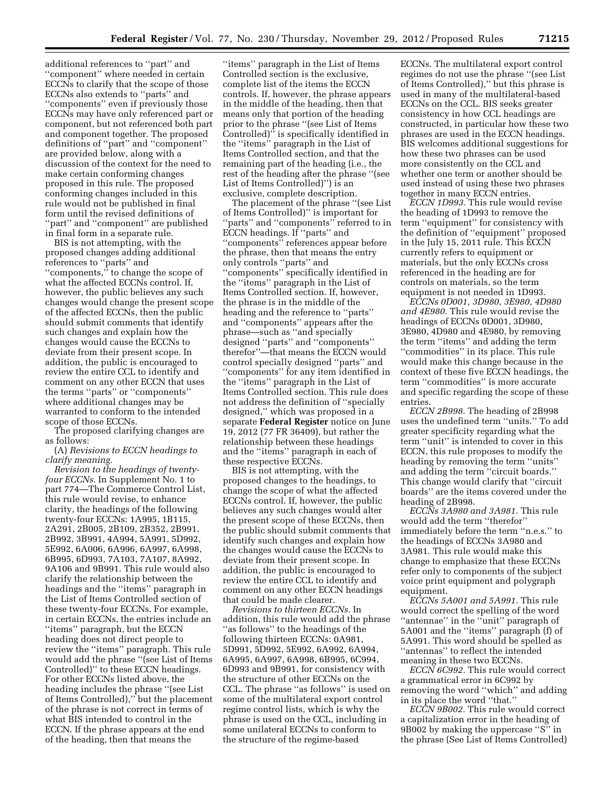additional references to ''part'' and ''component'' where needed in certain ECCNs to clarify that the scope of those ECCNs also extends to ''parts'' and ''components'' even if previously those ECCNs may have only referenced part or component, but not referenced both part and component together. The proposed definitions of ''part'' and ''component'' are provided below, along with a discussion of the context for the need to make certain conforming changes proposed in this rule. The proposed conforming changes included in this rule would not be published in final form until the revised definitions of ''part'' and ''component'' are published in final form in a separate rule.

BIS is not attempting, with the proposed changes adding additional references to ''parts'' and ''components,'' to change the scope of what the affected ECCNs control. If, however, the public believes any such changes would change the present scope of the affected ECCNs, then the public should submit comments that identify such changes and explain how the changes would cause the ECCNs to deviate from their present scope. In addition, the public is encouraged to review the entire CCL to identify and comment on any other ECCN that uses the terms ''parts'' or ''components'' where additional changes may be warranted to conform to the intended scope of those ECCNs.

The proposed clarifying changes are as follows:

(A) *Revisions to ECCN headings to clarify meaning.* 

*Revision to the headings of twentyfour ECCNs.* In Supplement No. 1 to part 774—The Commerce Control List, this rule would revise, to enhance clarity, the headings of the following twenty-four ECCNs: 1A995, 1B115, 2A291, 2B005, 2B109, 2B352, 2B991, 2B992, 3B991, 4A994, 5A991, 5D992, 5E992, 6A006, 6A996, 6A997, 6A998, 6B995, 6D993, 7A103, 7A107, 8A992, 9A106 and 9B991. This rule would also clarify the relationship between the headings and the ''items'' paragraph in the List of Items Controlled section of these twenty-four ECCNs. For example, in certain ECCNs, the entries include an ''items'' paragraph, but the ECCN heading does not direct people to review the ''items'' paragraph. This rule would add the phrase ''(see List of Items Controlled)'' to these ECCN headings. For other ECCNs listed above, the heading includes the phrase ''(see List of Items Controlled),'' but the placement of the phrase is not correct in terms of what BIS intended to control in the ECCN. If the phrase appears at the end of the heading, then that means the

''items'' paragraph in the List of Items Controlled section is the exclusive, complete list of the items the ECCN controls. If, however, the phrase appears in the middle of the heading, then that means only that portion of the heading prior to the phrase ''(see List of Items Controlled)'' is specifically identified in the ''items'' paragraph in the List of Items Controlled section, and that the remaining part of the heading (i.e., the rest of the heading after the phrase ''(see List of Items Controlled)'') is an exclusive, complete description.

The placement of the phrase ''(see List of Items Controlled)'' is important for 'parts'' and ''components'' referred to in ECCN headings. If ''parts'' and ''components'' references appear before the phrase, then that means the entry only controls ''parts'' and ''components'' specifically identified in the ''items'' paragraph in the List of Items Controlled section. If, however, the phrase is in the middle of the heading and the reference to ''parts'' and ''components'' appears after the phrase—such as ''and specially designed ''parts'' and ''components'' therefor''—that means the ECCN would control specially designed ''parts'' and ''components'' for any item identified in the ''items'' paragraph in the List of Items Controlled section. This rule does not address the definition of ''specially designed,'' which was proposed in a separate **Federal Register** notice on June 19, 2012 (77 FR 36409), but rather the relationship between these headings and the ''items'' paragraph in each of these respective ECCNs.

BIS is not attempting, with the proposed changes to the headings, to change the scope of what the affected ECCNs control. If, however, the public believes any such changes would alter the present scope of these ECCNs, then the public should submit comments that identify such changes and explain how the changes would cause the ECCNs to deviate from their present scope. In addition, the public is encouraged to review the entire CCL to identify and comment on any other ECCN headings that could be made clearer.

*Revisions to thirteen ECCNs.* In addition, this rule would add the phrase "as follows" to the headings of the following thirteen ECCNs: 0A981, 5D991, 5D992, 5E992, 6A992, 6A994, 6A995, 6A997, 6A998, 6B995, 6C994, 6D993 and 9B991, for consistency with the structure of other ECCNs on the CCL. The phrase ''as follows'' is used on some of the multilateral export control regime control lists, which is why the phrase is used on the CCL, including in some unilateral ECCNs to conform to the structure of the regime-based

ECCNs. The multilateral export control regimes do not use the phrase ''(see List of Items Controlled),'' but this phrase is used in many of the multilateral-based ECCNs on the CCL. BIS seeks greater consistency in how CCL headings are constructed, in particular how these two phrases are used in the ECCN headings. BIS welcomes additional suggestions for how these two phrases can be used more consistently on the CCL and whether one term or another should be used instead of using these two phrases together in many ECCN entries.

*ECCN 1D993.* This rule would revise the heading of 1D993 to remove the term ''equipment'' for consistency with the definition of ''equipment'' proposed in the July 15, 2011 rule. This ECCN currently refers to equipment or materials, but the only ECCNs cross referenced in the heading are for controls on materials, so the term equipment is not needed in 1D993.

*ECCNs 0D001, 3D980, 3E980, 4D980 and 4E980.* This rule would revise the headings of ECCNs 0D001, 3D980, 3E980, 4D980 and 4E980, by removing the term ''items'' and adding the term ''commodities'' in its place. This rule would make this change because in the context of these five ECCN headings, the term ''commodities'' is more accurate and specific regarding the scope of these entries.

*ECCN 2B998.* The heading of 2B998 uses the undefined term ''units.'' To add greater specificity regarding what the term ''unit'' is intended to cover in this ECCN, this rule proposes to modify the heading by removing the term ''units'' and adding the term ''circuit boards.'' This change would clarify that ''circuit boards'' are the items covered under the heading of 2B998.

*ECCNs 3A980 and 3A981.* This rule would add the term ''therefor'' immediately before the term ''n.e.s.'' to the headings of ECCNs 3A980 and 3A981. This rule would make this change to emphasize that these ECCNs refer only to components of the subject voice print equipment and polygraph equipment.

*ECCNs 5A001 and 5A991.* This rule would correct the spelling of the word ''antennae'' in the ''unit'' paragraph of 5A001 and the ''items'' paragraph (f) of 5A991. This word should be spelled as ''antennas'' to reflect the intended meaning in these two ECCNs.

*ECCN 6C992.* This rule would correct a grammatical error in 6C992 by removing the word ''which'' and adding in its place the word ''that.''

*ECCN 9B002.* This rule would correct a capitalization error in the heading of 9B002 by making the uppercase ''S'' in the phrase (See List of Items Controlled)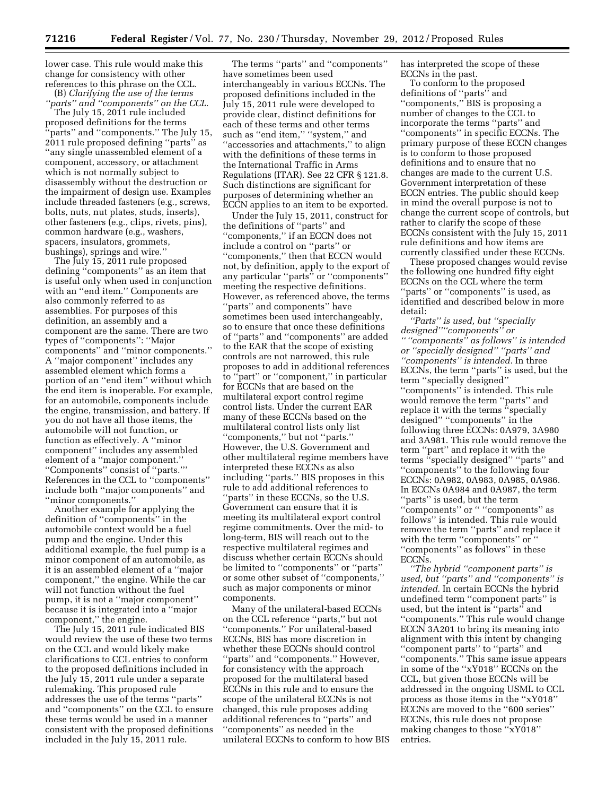lower case. This rule would make this change for consistency with other references to this phrase on the CCL.

(B) *Clarifying the use of the terms ''parts'' and ''components'' on the CCL.* 

The July 15, 2011 rule included proposed definitions for the terms 'parts'' and "components." The July 15, 2011 rule proposed defining ''parts'' as ''any single unassembled element of a component, accessory, or attachment which is not normally subject to disassembly without the destruction or the impairment of design use. Examples include threaded fasteners (e.g., screws, bolts, nuts, nut plates, studs, inserts), other fasteners (e.g., clips, rivets, pins), common hardware (e.g., washers, spacers, insulators, grommets, bushings), springs and wire.''

The July 15, 2011 rule proposed defining ''components'' as an item that is useful only when used in conjunction with an ''end item.'' Components are also commonly referred to as assemblies. For purposes of this definition, an assembly and a component are the same. There are two types of ''components'': ''Major components'' and ''minor components.'' A ''major component'' includes any assembled element which forms a portion of an ''end item'' without which the end item is inoperable. For example, for an automobile, components include the engine, transmission, and battery. If you do not have all those items, the automobile will not function, or function as effectively. A ''minor component'' includes any assembled element of a ''major component.'' ''Components'' consist of ''parts.''' References in the CCL to ''components'' include both ''major components'' and ''minor components.''

Another example for applying the definition of ''components'' in the automobile context would be a fuel pump and the engine. Under this additional example, the fuel pump is a minor component of an automobile, as it is an assembled element of a ''major component,'' the engine. While the car will not function without the fuel pump, it is not a ''major component'' because it is integrated into a ''major component,'' the engine.

The July 15, 2011 rule indicated BIS would review the use of these two terms on the CCL and would likely make clarifications to CCL entries to conform to the proposed definitions included in the July 15, 2011 rule under a separate rulemaking. This proposed rule addresses the use of the terms ''parts'' and ''components'' on the CCL to ensure these terms would be used in a manner consistent with the proposed definitions included in the July 15, 2011 rule.

The terms ''parts'' and ''components'' have sometimes been used interchangeably in various ECCNs. The proposed definitions included in the July 15, 2011 rule were developed to provide clear, distinct definitions for each of these terms and other terms such as "end item," "system," and ''accessories and attachments,'' to align with the definitions of these terms in the International Traffic in Arms Regulations (ITAR). See 22 CFR § 121.8. Such distinctions are significant for purposes of determining whether an ECCN applies to an item to be exported.

Under the July 15, 2011, construct for the definitions of ''parts'' and ''components,'' if an ECCN does not include a control on ''parts'' or ''components,'' then that ECCN would not, by definition, apply to the export of any particular ''parts'' or ''components'' meeting the respective definitions. However, as referenced above, the terms ''parts'' and components'' have sometimes been used interchangeably, so to ensure that once these definitions of ''parts'' and ''components'' are added to the EAR that the scope of existing controls are not narrowed, this rule proposes to add in additional references to ''part'' or ''component,'' in particular for ECCNs that are based on the multilateral export control regime control lists. Under the current EAR many of these ECCNs based on the multilateral control lists only list ''components,'' but not ''parts.'' However, the U.S. Government and other multilateral regime members have interpreted these ECCNs as also including ''parts.'' BIS proposes in this rule to add additional references to ''parts'' in these ECCNs, so the U.S. Government can ensure that it is meeting its multilateral export control regime commitments. Over the mid- to long-term, BIS will reach out to the respective multilateral regimes and discuss whether certain ECCNs should be limited to ''components'' or ''parts'' or some other subset of ''components,'' such as major components or minor components.

Many of the unilateral-based ECCNs on the CCL reference ''parts,'' but not ''components.'' For unilateral-based ECCNs, BIS has more discretion in whether these ECCNs should control ''parts'' and ''components.'' However, for consistency with the approach proposed for the multilateral based ECCNs in this rule and to ensure the scope of the unilateral ECCNs is not changed, this rule proposes adding additional references to ''parts'' and ''components'' as needed in the unilateral ECCNs to conform to how BIS has interpreted the scope of these ECCNs in the past.

To conform to the proposed definitions of ''parts'' and ''components,'' BIS is proposing a number of changes to the CCL to incorporate the terms ''parts'' and ''components'' in specific ECCNs. The primary purpose of these ECCN changes is to conform to those proposed definitions and to ensure that no changes are made to the current U.S. Government interpretation of these ECCN entries. The public should keep in mind the overall purpose is not to change the current scope of controls, but rather to clarify the scope of these ECCNs consistent with the July 15, 2011 rule definitions and how items are currently classified under these ECCNs.

These proposed changes would revise the following one hundred fifty eight ECCNs on the CCL where the term ''parts'' or ''components'' is used, as identified and described below in more detail:

*''Parts'' is used, but ''specially designed''''components'' or '' ''components'' as follows'' is intended or ''specially designed'' ''parts'' and ''components'' is intended.* In three ECCNs, the term ''parts'' is used, but the term ''specially designed'' ''components'' is intended. This rule would remove the term ''parts'' and replace it with the terms ''specially designed'' ''components'' in the following three ECCNs: 0A979, 3A980 and 3A981. This rule would remove the term ''part'' and replace it with the terms ''specially designed'' ''parts'' and ''components'' to the following four ECCNs: 0A982, 0A983, 0A985, 0A986. In ECCNs 0A984 and 0A987, the term ''parts'' is used, but the term ''components'' or '' ''components'' as follows'' is intended. This rule would remove the term ''parts'' and replace it with the term ''components'' or '' ''components'' as follows'' in these ECCNs.

*''The hybrid ''component parts'' is used, but ''parts'' and ''components'' is intended.* In certain ECCNs the hybrid undefined term ''component parts'' is used, but the intent is ''parts'' and ''components.'' This rule would change ECCN 3A201 to bring its meaning into alignment with this intent by changing ''component parts'' to ''parts'' and ''components.'' This same issue appears in some of the ''xY018'' ECCNs on the CCL, but given those ECCNs will be addressed in the ongoing USML to CCL process as those items in the ''xY018'' ECCNs are moved to the ''600 series'' ECCNs, this rule does not propose making changes to those ''xY018'' entries.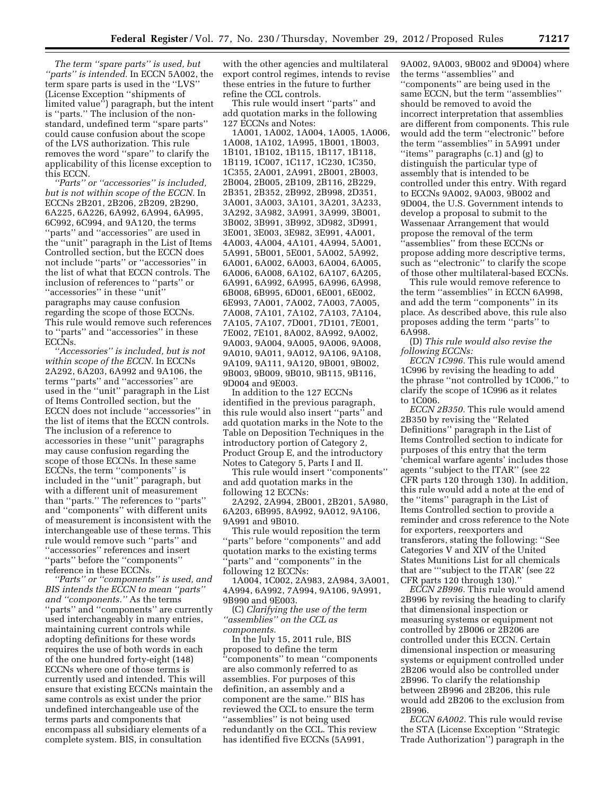*The term ''spare parts'' is used, but ''parts'' is intended.* In ECCN 5A002, the term spare parts is used in the ''LVS'' (License Exception ''shipments of limited value'') paragraph, but the intent is ''parts.'' The inclusion of the nonstandard, undefined term ''spare parts'' could cause confusion about the scope of the LVS authorization. This rule removes the word ''spare'' to clarify the applicability of this license exception to this ECCN.

*''Parts'' or ''accessories'' is included, but is not within scope of the ECCN.* In ECCNs 2B201, 2B206, 2B209, 2B290, 6A225, 6A226, 6A992, 6A994, 6A995, 6C992, 6C994, and 9A120, the terms ''parts'' and ''accessories'' are used in the ''unit'' paragraph in the List of Items Controlled section, but the ECCN does not include ''parts'' or ''accessories'' in the list of what that ECCN controls. The inclusion of references to ''parts'' or ''accessories'' in these ''unit'' paragraphs may cause confusion regarding the scope of those ECCNs. This rule would remove such references to ''parts'' and ''accessories'' in these ECCN<sub>s</sub>.

*''Accessories'' is included, but is not within scope of the ECCN.* In ECCNs 2A292, 6A203, 6A992 and 9A106, the terms ''parts'' and ''accessories'' are used in the ''unit'' paragraph in the List of Items Controlled section, but the ECCN does not include ''accessories'' in the list of items that the ECCN controls. The inclusion of a reference to accessories in these ''unit'' paragraphs may cause confusion regarding the scope of those ECCNs. In these same ECCNs, the term ''components'' is included in the ''unit'' paragraph, but with a different unit of measurement than ''parts.'' The references to ''parts'' and ''components'' with different units of measurement is inconsistent with the interchangeable use of these terms. This rule would remove such ''parts'' and ''accessories'' references and insert ''parts'' before the ''components'' reference in these ECCNs.

*''Parts'' or ''components'' is used, and BIS intends the ECCN to mean ''parts'' and ''components.''* As the terms ''parts'' and ''components'' are currently used interchangeably in many entries, maintaining current controls while adopting definitions for these words requires the use of both words in each of the one hundred forty-eight (148) ECCNs where one of those terms is currently used and intended. This will ensure that existing ECCNs maintain the same controls as exist under the prior undefined interchangeable use of the terms parts and components that encompass all subsidiary elements of a complete system. BIS, in consultation

with the other agencies and multilateral export control regimes, intends to revise these entries in the future to further refine the CCL controls.

This rule would insert ''parts'' and add quotation marks in the following 127 ECCNs and Notes:

1A001, 1A002, 1A004, 1A005, 1A006, 1A008, 1A102, 1A995, 1B001, 1B003, 1B101, 1B102, 1B115, 1B117, 1B118, 1B119, 1C007, 1C117, 1C230, 1C350, 1C355, 2A001, 2A991, 2B001, 2B003, 2B004, 2B005, 2B109, 2B116, 2B229, 2B351, 2B352, 2B992, 2B998, 2D351, 3A001, 3A003, 3A101, 3A201, 3A233, 3A292, 3A982, 3A991, 3A999, 3B001, 3B002, 3B991, 3B992, 3D982, 3D991, 3E001, 3E003, 3E982, 3E991, 4A001, 4A003, 4A004, 4A101, 4A994, 5A001, 5A991, 5B001, 5E001, 5A002, 5A992, 6A001, 6A002, 6A003, 6A004, 6A005, 6A006, 6A008, 6A102, 6A107, 6A205, 6A991, 6A992, 6A995, 6A996, 6A998, 6B008, 6B995, 6D001, 6E001, 6E002, 6E993, 7A001, 7A002, 7A003, 7A005, 7A008, 7A101, 7A102, 7A103, 7A104, 7A105, 7A107, 7D001, 7D101, 7E001, 7E002, 7E101, 8A002, 8A992, 9A002, 9A003, 9A004, 9A005, 9A006, 9A008, 9A010, 9A011, 9A012, 9A106, 9A108, 9A109, 9A111, 9A120, 9B001, 9B002, 9B003, 9B009, 9B010, 9B115, 9B116, 9D004 and 9E003.

In addition to the 127 ECCNs identified in the previous paragraph, this rule would also insert ''parts'' and add quotation marks in the Note to the Table on Deposition Techniques in the introductory portion of Category 2, Product Group E, and the introductory Notes to Category 5, Parts I and II.

This rule would insert ''components'' and add quotation marks in the following 12 ECCNs:

2A292, 2A994, 2B001, 2B201, 5A980, 6A203, 6B995, 8A992, 9A012, 9A106, 9A991 and 9B010.

This rule would reposition the term ''parts'' before ''components'' and add quotation marks to the existing terms 'parts'' and "components" in the following 12 ECCNs:

1A004, 1C002, 2A983, 2A984, 3A001, 4A994, 6A992, 7A994, 9A106, 9A991, 9B990 and 9E003.

(C) *Clarifying the use of the term ''assemblies'' on the CCL as components.* 

In the July 15, 2011 rule, BIS proposed to define the term ''components'' to mean ''components are also commonly referred to as assemblies. For purposes of this definition, an assembly and a component are the same.'' BIS has reviewed the CCL to ensure the term "assemblies" is not being used redundantly on the CCL. This review has identified five ECCNs (5A991,

9A002, 9A003, 9B002 and 9D004) where the terms ''assemblies'' and ''components'' are being used in the same ECCN, but the term ''assemblies'' should be removed to avoid the incorrect interpretation that assemblies are different from components. This rule would add the term ''electronic'' before the term ''assemblies'' in 5A991 under ''items'' paragraphs (c.1) and (g) to distinguish the particular type of assembly that is intended to be controlled under this entry. With regard to ECCNs 9A002, 9A003, 9B002 and 9D004, the U.S. Government intends to develop a proposal to submit to the Wassenaar Arrangement that would propose the removal of the term 'assemblies'' from these ECCNs or propose adding more descriptive terms, such as ''electronic'' to clarify the scope of those other multilateral-based ECCNs.

This rule would remove reference to the term ''assemblies'' in ECCN 6A998, and add the term ''components'' in its place. As described above, this rule also proposes adding the term ''parts'' to 6A998.

(D) *This rule would also revise the following ECCNs:* 

*ECCN 1C996.* This rule would amend 1C996 by revising the heading to add the phrase ''not controlled by 1C006,'' to clarify the scope of 1C996 as it relates to 1C006.

*ECCN 2B350.* This rule would amend 2B350 by revising the ''Related Definitions'' paragraph in the List of Items Controlled section to indicate for purposes of this entry that the term 'chemical warfare agents' includes those agents ''subject to the ITAR'' (see 22 CFR parts 120 through 130). In addition, this rule would add a note at the end of the ''items'' paragraph in the List of Items Controlled section to provide a reminder and cross reference to the Note for exporters, reexporters and transferors, stating the following: ''See Categories V and XIV of the United States Munitions List for all chemicals that are '''subject to the ITAR' (see 22 CFR parts 120 through 130).''

*ECCN 2B996.* This rule would amend 2B996 by revising the heading to clarify that dimensional inspection or measuring systems or equipment not controlled by 2B006 or 2B206 are controlled under this ECCN. Certain dimensional inspection or measuring systems or equipment controlled under 2B206 would also be controlled under 2B996. To clarify the relationship between 2B996 and 2B206, this rule would add 2B206 to the exclusion from 2B996.

*ECCN 6A002.* This rule would revise the STA (License Exception ''Strategic Trade Authorization'') paragraph in the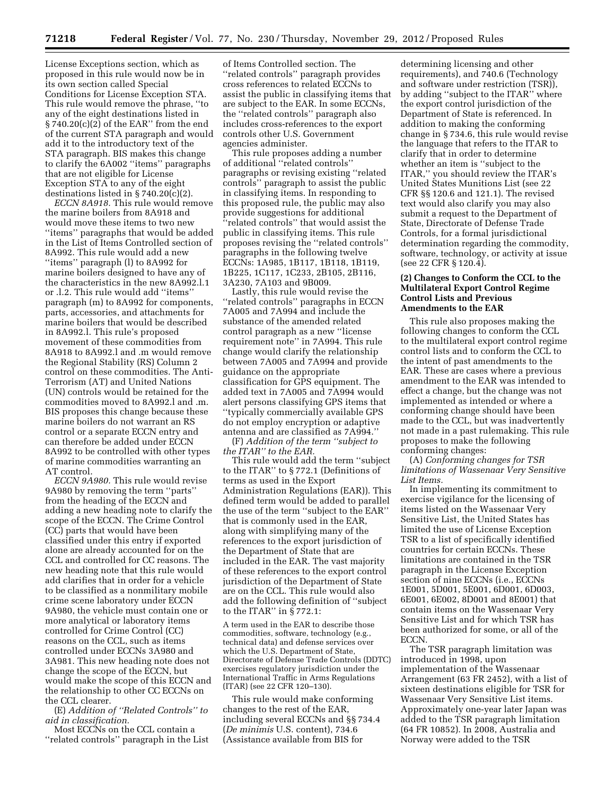License Exceptions section, which as proposed in this rule would now be in its own section called Special Conditions for License Exception STA. This rule would remove the phrase, ''to any of the eight destinations listed in § 740.20(c)(2) of the EAR'' from the end of the current STA paragraph and would add it to the introductory text of the STA paragraph. BIS makes this change to clarify the 6A002 ''items'' paragraphs that are not eligible for License Exception STA to any of the eight destinations listed in § 740.20(c)(2).

*ECCN 8A918.* This rule would remove the marine boilers from 8A918 and would move these items to two new ''items'' paragraphs that would be added in the List of Items Controlled section of 8A992. This rule would add a new ''items'' paragraph (l) to 8A992 for marine boilers designed to have any of the characteristics in the new 8A992.l.1 or .l.2. This rule would add ''items'' paragraph (m) to 8A992 for components, parts, accessories, and attachments for marine boilers that would be described in 8A992.l. This rule's proposed movement of these commodities from 8A918 to 8A992.l and .m would remove the Regional Stability (RS) Column 2 control on these commodities. The Anti-Terrorism (AT) and United Nations (UN) controls would be retained for the commodities moved to 8A992.l and .m. BIS proposes this change because these marine boilers do not warrant an RS control or a separate ECCN entry and can therefore be added under ECCN 8A992 to be controlled with other types of marine commodities warranting an AT control.

*ECCN 9A980.* This rule would revise 9A980 by removing the term ''parts'' from the heading of the ECCN and adding a new heading note to clarify the scope of the ECCN. The Crime Control (CC) parts that would have been classified under this entry if exported alone are already accounted for on the CCL and controlled for CC reasons. The new heading note that this rule would add clarifies that in order for a vehicle to be classified as a nonmilitary mobile crime scene laboratory under ECCN 9A980, the vehicle must contain one or more analytical or laboratory items controlled for Crime Control (CC) reasons on the CCL, such as items controlled under ECCNs 3A980 and 3A981. This new heading note does not change the scope of the ECCN, but would make the scope of this ECCN and the relationship to other CC ECCNs on the CCL clearer.

(E) *Addition of ''Related Controls'' to aid in classification.* 

Most ECCNs on the CCL contain a ''related controls'' paragraph in the List

of Items Controlled section. The ''related controls'' paragraph provides cross references to related ECCNs to assist the public in classifying items that are subject to the EAR. In some ECCNs, the ''related controls'' paragraph also includes cross-references to the export controls other U.S. Government agencies administer.

This rule proposes adding a number of additional ''related controls'' paragraphs or revising existing ''related controls'' paragraph to assist the public in classifying items. In responding to this proposed rule, the public may also provide suggestions for additional ''related controls'' that would assist the public in classifying items. This rule proposes revising the ''related controls'' paragraphs in the following twelve ECCNs: 1A985, 1B117, 1B118, 1B119, 1B225, 1C117, 1C233, 2B105, 2B116, 3A230, 7A103 and 9B009.

Lastly, this rule would revise the ''related controls'' paragraphs in ECCN 7A005 and 7A994 and include the substance of the amended related control paragraph as a new ''license requirement note'' in 7A994. This rule change would clarify the relationship between 7A005 and 7A994 and provide guidance on the appropriate classification for GPS equipment. The added text in 7A005 and 7A994 would alert persons classifying GPS items that ''typically commercially available GPS do not employ encryption or adaptive antenna and are classified as 7A994.''

(F) *Addition of the term ''subject to the ITAR'' to the EAR.* 

This rule would add the term ''subject to the ITAR'' to § 772.1 (Definitions of terms as used in the Export Administration Regulations (EAR)). This defined term would be added to parallel the use of the term ''subject to the EAR'' that is commonly used in the EAR, along with simplifying many of the references to the export jurisdiction of the Department of State that are included in the EAR. The vast majority of these references to the export control jurisdiction of the Department of State are on the CCL. This rule would also add the following definition of ''subject to the ITAR'' in § 772.1:

A term used in the EAR to describe those commodities, software, technology (e.g., technical data) and defense services over which the U.S. Department of State, Directorate of Defense Trade Controls (DDTC) exercises regulatory jurisdiction under the International Traffic in Arms Regulations (ITAR) (see 22 CFR 120–130).

This rule would make conforming changes to the rest of the EAR, including several ECCNs and §§ 734.4 (*De minimis* U.S. content), 734.6 (Assistance available from BIS for

determining licensing and other requirements), and 740.6 (Technology and software under restriction (TSR)), by adding ''subject to the ITAR'' where the export control jurisdiction of the Department of State is referenced. In addition to making the conforming change in § 734.6, this rule would revise the language that refers to the ITAR to clarify that in order to determine whether an item is ''subject to the ITAR,'' you should review the ITAR's United States Munitions List (see 22 CFR §§ 120.6 and 121.1). The revised text would also clarify you may also submit a request to the Department of State, Directorate of Defense Trade Controls, for a formal jurisdictional determination regarding the commodity, software, technology, or activity at issue (see 22 CFR § 120.4).

#### **(2) Changes to Conform the CCL to the Multilateral Export Control Regime Control Lists and Previous Amendments to the EAR**

This rule also proposes making the following changes to conform the CCL to the multilateral export control regime control lists and to conform the CCL to the intent of past amendments to the EAR. These are cases where a previous amendment to the EAR was intended to effect a change, but the change was not implemented as intended or where a conforming change should have been made to the CCL, but was inadvertently not made in a past rulemaking. This rule proposes to make the following conforming changes:

(A) *Conforming changes for TSR limitations of Wassenaar Very Sensitive List Items.* 

In implementing its commitment to exercise vigilance for the licensing of items listed on the Wassenaar Very Sensitive List, the United States has limited the use of License Exception TSR to a list of specifically identified countries for certain ECCNs. These limitations are contained in the TSR paragraph in the License Exception section of nine ECCNs (i.e., ECCNs 1E001, 5D001, 5E001, 6D001, 6D003, 6E001, 6E002, 8D001 and 8E001) that contain items on the Wassenaar Very Sensitive List and for which TSR has been authorized for some, or all of the ECCN.

The TSR paragraph limitation was introduced in 1998, upon implementation of the Wassenaar Arrangement (63 FR 2452), with a list of sixteen destinations eligible for TSR for Wassenaar Very Sensitive List items. Approximately one-year later Japan was added to the TSR paragraph limitation (64 FR 10852). In 2008, Australia and Norway were added to the TSR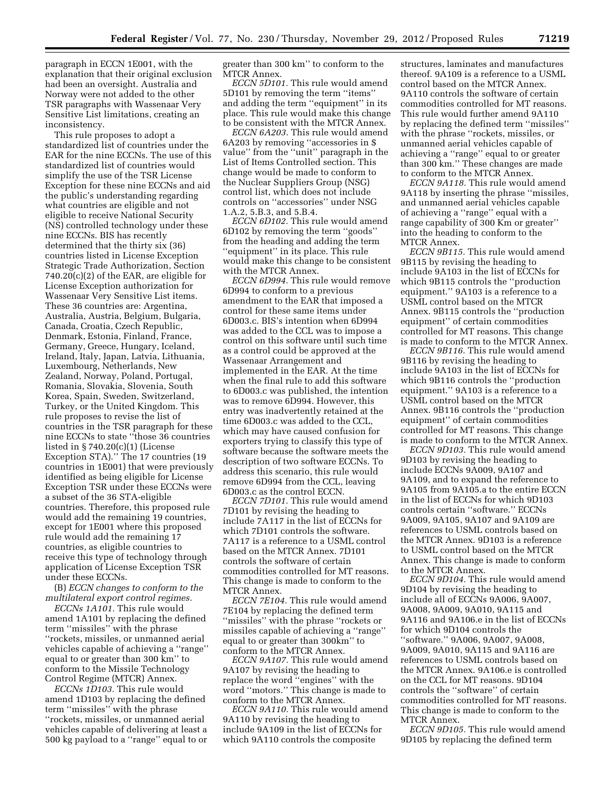paragraph in ECCN 1E001, with the explanation that their original exclusion had been an oversight. Australia and Norway were not added to the other TSR paragraphs with Wassenaar Very Sensitive List limitations, creating an inconsistency.

This rule proposes to adopt a standardized list of countries under the EAR for the nine ECCNs. The use of this standardized list of countries would simplify the use of the TSR License Exception for these nine ECCNs and aid the public's understanding regarding what countries are eligible and not eligible to receive National Security (NS) controlled technology under these nine ECCNs. BIS has recently determined that the thirty six (36) countries listed in License Exception Strategic Trade Authorization, Section 740.20(c)(2) of the EAR, are eligible for License Exception authorization for Wassenaar Very Sensitive List items. These 36 countries are: Argentina, Australia, Austria, Belgium, Bulgaria, Canada, Croatia, Czech Republic, Denmark, Estonia, Finland, France, Germany, Greece, Hungary, Iceland, Ireland, Italy, Japan, Latvia, Lithuania, Luxembourg, Netherlands, New Zealand, Norway, Poland, Portugal, Romania, Slovakia, Slovenia, South Korea, Spain, Sweden, Switzerland, Turkey, or the United Kingdom. This rule proposes to revise the list of countries in the TSR paragraph for these nine ECCNs to state ''those 36 countries listed in § 740.20(c)(1) (License Exception STA).'' The 17 countries (19 countries in 1E001) that were previously identified as being eligible for License Exception TSR under these ECCNs were a subset of the 36 STA-eligible countries. Therefore, this proposed rule would add the remaining 19 countries, except for 1E001 where this proposed rule would add the remaining 17 countries, as eligible countries to receive this type of technology through application of License Exception TSR under these ECCNs.

(B) *ECCN changes to conform to the multilateral export control regimes.* 

*ECCNs 1A101.* This rule would amend 1A101 by replacing the defined term ''missiles'' with the phrase ''rockets, missiles, or unmanned aerial vehicles capable of achieving a ''range'' equal to or greater than 300 km'' to conform to the Missile Technology Control Regime (MTCR) Annex.

*ECCNs 1D103.* This rule would amend 1D103 by replacing the defined term ''missiles'' with the phrase ''rockets, missiles, or unmanned aerial vehicles capable of delivering at least a 500 kg payload to a ''range'' equal to or greater than 300 km'' to conform to the MTCR Annex.

*ECCN 5D101.* This rule would amend 5D101 by removing the term ''items'' and adding the term ''equipment'' in its place. This rule would make this change to be consistent with the MTCR Annex.

*ECCN 6A203.* This rule would amend 6A203 by removing ''accessories in \$ value'' from the ''unit'' paragraph in the List of Items Controlled section. This change would be made to conform to the Nuclear Suppliers Group (NSG) control list, which does not include controls on ''accessories'' under NSG 1.A.2, 5.B.3, and 5.B.4.

*ECCN 6D102.* This rule would amend 6D102 by removing the term ''goods'' from the heading and adding the term ''equipment'' in its place. This rule would make this change to be consistent with the MTCR Annex.

*ECCN 6D994.* This rule would remove 6D994 to conform to a previous amendment to the EAR that imposed a control for these same items under 6D003.c. BIS's intention when 6D994 was added to the CCL was to impose a control on this software until such time as a control could be approved at the Wassenaar Arrangement and implemented in the EAR. At the time when the final rule to add this software to 6D003.c was published, the intention was to remove 6D994. However, this entry was inadvertently retained at the time 6D003.c was added to the CCL, which may have caused confusion for exporters trying to classify this type of software because the software meets the description of two software ECCNs. To address this scenario, this rule would remove 6D994 from the CCL, leaving 6D003.c as the control ECCN.

*ECCN 7D101.* This rule would amend 7D101 by revising the heading to include 7A117 in the list of ECCNs for which 7D101 controls the software. 7A117 is a reference to a USML control based on the MTCR Annex. 7D101 controls the software of certain commodities controlled for MT reasons. This change is made to conform to the MTCR Annex.

*ECCN 7E104.* This rule would amend 7E104 by replacing the defined term ''missiles'' with the phrase ''rockets or missiles capable of achieving a ''range'' equal to or greater than 300km'' to conform to the MTCR Annex.

*ECCN 9A107.* This rule would amend 9A107 by revising the heading to replace the word ''engines'' with the word ''motors.'' This change is made to conform to the MTCR Annex.

*ECCN 9A110.* This rule would amend 9A110 by revising the heading to include 9A109 in the list of ECCNs for which 9A110 controls the composite

structures, laminates and manufactures thereof. 9A109 is a reference to a USML control based on the MTCR Annex. 9A110 controls the software of certain commodities controlled for MT reasons. This rule would further amend 9A110 by replacing the defined term ''missiles'' with the phrase ''rockets, missiles, or unmanned aerial vehicles capable of achieving a ''range'' equal to or greater than 300 km.'' These changes are made to conform to the MTCR Annex.

*ECCN 9A118.* This rule would amend 9A118 by inserting the phrase ''missiles, and unmanned aerial vehicles capable of achieving a ''range'' equal with a range capability of 300 Km or greater'' into the heading to conform to the MTCR Annex.

*ECCN 9B115.* This rule would amend 9B115 by revising the heading to include 9A103 in the list of ECCNs for which 9B115 controls the ''production equipment.'' 9A103 is a reference to a USML control based on the MTCR Annex. 9B115 controls the ''production equipment'' of certain commodities controlled for MT reasons. This change is made to conform to the MTCR Annex.

*ECCN 9B116.* This rule would amend 9B116 by revising the heading to include 9A103 in the list of ECCNs for which 9B116 controls the ''production equipment.'' 9A103 is a reference to a USML control based on the MTCR Annex. 9B116 controls the ''production equipment'' of certain commodities controlled for MT reasons. This change is made to conform to the MTCR Annex.

*ECCN 9D103.* This rule would amend 9D103 by revising the heading to include ECCNs 9A009, 9A107 and 9A109, and to expand the reference to 9A105 from 9A105.a to the entire ECCN in the list of ECCNs for which 9D103 controls certain ''software.'' ECCNs 9A009, 9A105, 9A107 and 9A109 are references to USML controls based on the MTCR Annex. 9D103 is a reference to USML control based on the MTCR Annex. This change is made to conform to the MTCR Annex.

*ECCN 9D104.* This rule would amend 9D104 by revising the heading to include all of ECCNs 9A006, 9A007, 9A008, 9A009, 9A010, 9A115 and 9A116 and 9A106.e in the list of ECCNs for which 9D104 controls the ''software.'' 9A006, 9A007, 9A008, 9A009, 9A010, 9A115 and 9A116 are references to USML controls based on the MTCR Annex. 9A106.e is controlled on the CCL for MT reasons. 9D104 controls the ''software'' of certain commodities controlled for MT reasons. This change is made to conform to the MTCR Annex.

*ECCN 9D105.* This rule would amend 9D105 by replacing the defined term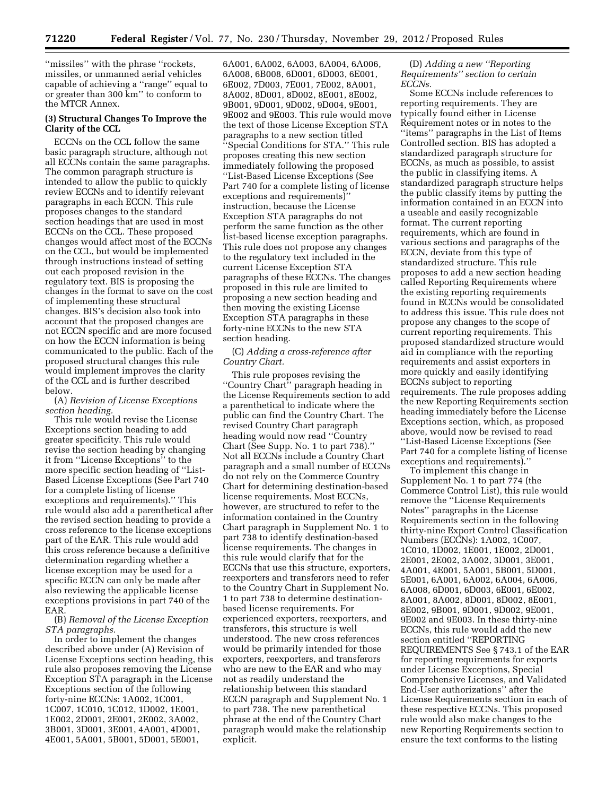''missiles'' with the phrase ''rockets, missiles, or unmanned aerial vehicles capable of achieving a ''range'' equal to or greater than 300 km'' to conform to the MTCR Annex.

#### **(3) Structural Changes To Improve the Clarity of the CCL**

ECCNs on the CCL follow the same basic paragraph structure, although not all ECCNs contain the same paragraphs. The common paragraph structure is intended to allow the public to quickly review ECCNs and to identify relevant paragraphs in each ECCN. This rule proposes changes to the standard section headings that are used in most ECCNs on the CCL. These proposed changes would affect most of the ECCNs on the CCL, but would be implemented through instructions instead of setting out each proposed revision in the regulatory text. BIS is proposing the changes in the format to save on the cost of implementing these structural changes. BIS's decision also took into account that the proposed changes are not ECCN specific and are more focused on how the ECCN information is being communicated to the public. Each of the proposed structural changes this rule would implement improves the clarity of the CCL and is further described below.

#### (A) *Revision of License Exceptions section heading.*

This rule would revise the License Exceptions section heading to add greater specificity. This rule would revise the section heading by changing it from ''License Exceptions'' to the more specific section heading of ''List-Based License Exceptions (See Part 740 for a complete listing of license exceptions and requirements).'' This rule would also add a parenthetical after the revised section heading to provide a cross reference to the license exceptions part of the EAR. This rule would add this cross reference because a definitive determination regarding whether a license exception may be used for a specific ECCN can only be made after also reviewing the applicable license exceptions provisions in part 740 of the EAR.

(B) *Removal of the License Exception STA paragraphs.* 

In order to implement the changes described above under (A) Revision of License Exceptions section heading, this rule also proposes removing the License Exception STA paragraph in the License Exceptions section of the following forty-nine ECCNs: 1A002, 1C001, 1C007, 1C010, 1C012, 1D002, 1E001, 1E002, 2D001, 2E001, 2E002, 3A002, 3B001, 3D001, 3E001, 4A001, 4D001, 4E001, 5A001, 5B001, 5D001, 5E001,

6A001, 6A002, 6A003, 6A004, 6A006, 6A008, 6B008, 6D001, 6D003, 6E001, 6E002, 7D003, 7E001, 7E002, 8A001, 8A002, 8D001, 8D002, 8E001, 8E002, 9B001, 9D001, 9D002, 9D004, 9E001, 9E002 and 9E003. This rule would move the text of those License Exception STA paragraphs to a new section titled ''Special Conditions for STA.'' This rule proposes creating this new section immediately following the proposed ''List-Based License Exceptions (See Part 740 for a complete listing of license exceptions and requirements)'' instruction, because the License Exception STA paragraphs do not perform the same function as the other list-based license exception paragraphs. This rule does not propose any changes to the regulatory text included in the current License Exception STA paragraphs of these ECCNs. The changes proposed in this rule are limited to proposing a new section heading and then moving the existing License Exception STA paragraphs in these forty-nine ECCNs to the new STA section heading.

(C) *Adding a cross-reference after Country Chart.* 

This rule proposes revising the ''Country Chart'' paragraph heading in the License Requirements section to add a parenthetical to indicate where the public can find the Country Chart. The revised Country Chart paragraph heading would now read ''Country Chart (See Supp. No. 1 to part 738).'' Not all ECCNs include a Country Chart paragraph and a small number of ECCNs do not rely on the Commerce Country Chart for determining destination-based license requirements. Most ECCNs, however, are structured to refer to the information contained in the Country Chart paragraph in Supplement No. 1 to part 738 to identify destination-based license requirements. The changes in this rule would clarify that for the ECCNs that use this structure, exporters, reexporters and transferors need to refer to the Country Chart in Supplement No. 1 to part 738 to determine destinationbased license requirements. For experienced exporters, reexporters, and transferors, this structure is well understood. The new cross references would be primarily intended for those exporters, reexporters, and transferors who are new to the EAR and who may not as readily understand the relationship between this standard ECCN paragraph and Supplement No. 1 to part 738. The new parenthetical phrase at the end of the Country Chart paragraph would make the relationship explicit.

(D) *Adding a new ''Reporting Requirements'' section to certain ECCNs.* 

Some ECCNs include references to reporting requirements. They are typically found either in License Requirement notes or in notes to the ''items'' paragraphs in the List of Items Controlled section. BIS has adopted a standardized paragraph structure for ECCNs, as much as possible, to assist the public in classifying items. A standardized paragraph structure helps the public classify items by putting the information contained in an ECCN into a useable and easily recognizable format. The current reporting requirements, which are found in various sections and paragraphs of the ECCN, deviate from this type of standardized structure. This rule proposes to add a new section heading called Reporting Requirements where the existing reporting requirements found in ECCNs would be consolidated to address this issue. This rule does not propose any changes to the scope of current reporting requirements. This proposed standardized structure would aid in compliance with the reporting requirements and assist exporters in more quickly and easily identifying ECCNs subject to reporting requirements. The rule proposes adding the new Reporting Requirements section heading immediately before the License Exceptions section, which, as proposed above, would now be revised to read ''List-Based License Exceptions (See Part 740 for a complete listing of license exceptions and requirements).

To implement this change in Supplement No. 1 to part 774 (the Commerce Control List), this rule would remove the ''License Requirements Notes'' paragraphs in the License Requirements section in the following thirty-nine Export Control Classification Numbers (ECCNs): 1A002, 1C007, 1C010, 1D002, 1E001, 1E002, 2D001, 2E001, 2E002, 3A002, 3D001, 3E001, 4A001, 4E001, 5A001, 5B001, 5D001, 5E001, 6A001, 6A002, 6A004, 6A006, 6A008, 6D001, 6D003, 6E001, 6E002, 8A001, 8A002, 8D001, 8D002, 8E001, 8E002, 9B001, 9D001, 9D002, 9E001, 9E002 and 9E003. In these thirty-nine ECCNs, this rule would add the new section entitled ''REPORTING REQUIREMENTS See § 743.1 of the EAR for reporting requirements for exports under License Exceptions, Special Comprehensive Licenses, and Validated End-User authorizations'' after the License Requirements section in each of these respective ECCNs. This proposed rule would also make changes to the new Reporting Requirements section to ensure the text conforms to the listing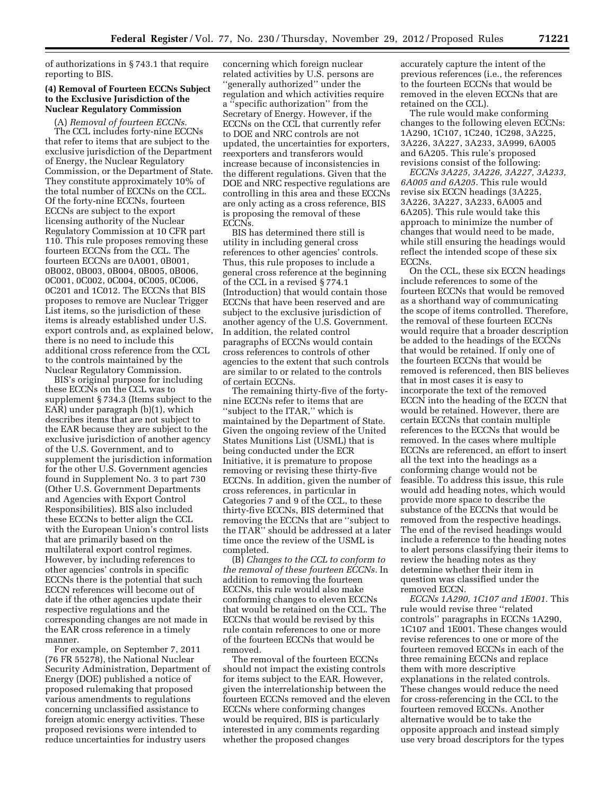of authorizations in § 743.1 that require reporting to BIS.

# **(4) Removal of Fourteen ECCNs Subject to the Exclusive Jurisdiction of the Nuclear Regulatory Commission**

(A) *Removal of fourteen ECCNs.* 

The CCL includes forty-nine ECCNs that refer to items that are subject to the exclusive jurisdiction of the Department of Energy, the Nuclear Regulatory Commission, or the Department of State. They constitute approximately 10% of the total number of ECCNs on the CCL. Of the forty-nine ECCNs, fourteen ECCNs are subject to the export licensing authority of the Nuclear Regulatory Commission at 10 CFR part 110. This rule proposes removing these fourteen ECCNs from the CCL. The fourteen ECCNs are 0A001, 0B001, 0B002, 0B003, 0B004, 0B005, 0B006, 0C001, 0C002, 0C004, 0C005, 0C006, 0C201 and 1C012. The ECCNs that BIS proposes to remove are Nuclear Trigger List items, so the jurisdiction of these items is already established under U.S. export controls and, as explained below, there is no need to include this additional cross reference from the CCL to the controls maintained by the Nuclear Regulatory Commission.

BIS's original purpose for including these ECCNs on the CCL was to supplement § 734.3 (Items subject to the EAR) under paragraph (b)(1), which describes items that are not subject to the EAR because they are subject to the exclusive jurisdiction of another agency of the U.S. Government, and to supplement the jurisdiction information for the other U.S. Government agencies found in Supplement No. 3 to part 730 (Other U.S. Government Departments and Agencies with Export Control Responsibilities). BIS also included these ECCNs to better align the CCL with the European Union's control lists that are primarily based on the multilateral export control regimes. However, by including references to other agencies' controls in specific ECCNs there is the potential that such ECCN references will become out of date if the other agencies update their respective regulations and the corresponding changes are not made in the EAR cross reference in a timely manner.

For example, on September 7, 2011 (76 FR 55278), the National Nuclear Security Administration, Department of Energy (DOE) published a notice of proposed rulemaking that proposed various amendments to regulations concerning unclassified assistance to foreign atomic energy activities. These proposed revisions were intended to reduce uncertainties for industry users

concerning which foreign nuclear related activities by U.S. persons are ''generally authorized'' under the regulation and which activities require a ''specific authorization'' from the Secretary of Energy. However, if the ECCNs on the CCL that currently refer to DOE and NRC controls are not updated, the uncertainties for exporters, reexporters and transferors would increase because of inconsistencies in the different regulations. Given that the DOE and NRC respective regulations are controlling in this area and these ECCNs are only acting as a cross reference, BIS is proposing the removal of these ECCN<sub>s</sub>.

BIS has determined there still is utility in including general cross references to other agencies' controls. Thus, this rule proposes to include a general cross reference at the beginning of the CCL in a revised § 774.1 (Introduction) that would contain those ECCNs that have been reserved and are subject to the exclusive jurisdiction of another agency of the U.S. Government. In addition, the related control paragraphs of ECCNs would contain cross references to controls of other agencies to the extent that such controls are similar to or related to the controls of certain ECCNs.

The remaining thirty-five of the fortynine ECCNs refer to items that are ''subject to the ITAR,'' which is maintained by the Department of State. Given the ongoing review of the United States Munitions List (USML) that is being conducted under the ECR Initiative, it is premature to propose removing or revising these thirty-five ECCNs. In addition, given the number of cross references, in particular in Categories 7 and 9 of the CCL, to these thirty-five ECCNs, BIS determined that removing the ECCNs that are ''subject to the ITAR'' should be addressed at a later time once the review of the USML is completed.

(B) *Changes to the CCL to conform to the removal of these fourteen ECCNs.* In addition to removing the fourteen ECCNs, this rule would also make conforming changes to eleven ECCNs that would be retained on the CCL. The ECCNs that would be revised by this rule contain references to one or more of the fourteen ECCNs that would be removed.

The removal of the fourteen ECCNs should not impact the existing controls for items subject to the EAR. However, given the interrelationship between the fourteen ECCNs removed and the eleven ECCNs where conforming changes would be required, BIS is particularly interested in any comments regarding whether the proposed changes

accurately capture the intent of the previous references (i.e., the references to the fourteen ECCNs that would be removed in the eleven ECCNs that are retained on the CCL).

The rule would make conforming changes to the following eleven ECCNs: 1A290, 1C107, 1C240, 1C298, 3A225, 3A226, 3A227, 3A233, 3A999, 6A005 and 6A205. This rule's proposed revisions consist of the following:

*ECCNs 3A225, 3A226, 3A227, 3A233, 6A005 and 6A205.* This rule would revise six ECCN headings (3A225, 3A226, 3A227, 3A233, 6A005 and 6A205). This rule would take this approach to minimize the number of changes that would need to be made, while still ensuring the headings would reflect the intended scope of these six ECCNs.

On the CCL, these six ECCN headings include references to some of the fourteen ECCNs that would be removed as a shorthand way of communicating the scope of items controlled. Therefore, the removal of these fourteen ECCNs would require that a broader description be added to the headings of the ECCNs that would be retained. If only one of the fourteen ECCNs that would be removed is referenced, then BIS believes that in most cases it is easy to incorporate the text of the removed ECCN into the heading of the ECCN that would be retained. However, there are certain ECCNs that contain multiple references to the ECCNs that would be removed. In the cases where multiple ECCNs are referenced, an effort to insert all the text into the headings as a conforming change would not be feasible. To address this issue, this rule would add heading notes, which would provide more space to describe the substance of the ECCNs that would be removed from the respective headings. The end of the revised headings would include a reference to the heading notes to alert persons classifying their items to review the heading notes as they determine whether their item in question was classified under the removed ECCN.

*ECCNs 1A290, 1C107 and 1E001.* This rule would revise three ''related controls'' paragraphs in ECCNs 1A290, 1C107 and 1E001. These changes would revise references to one or more of the fourteen removed ECCNs in each of the three remaining ECCNs and replace them with more descriptive explanations in the related controls. These changes would reduce the need for cross-referencing in the CCL to the fourteen removed ECCNs. Another alternative would be to take the opposite approach and instead simply use very broad descriptors for the types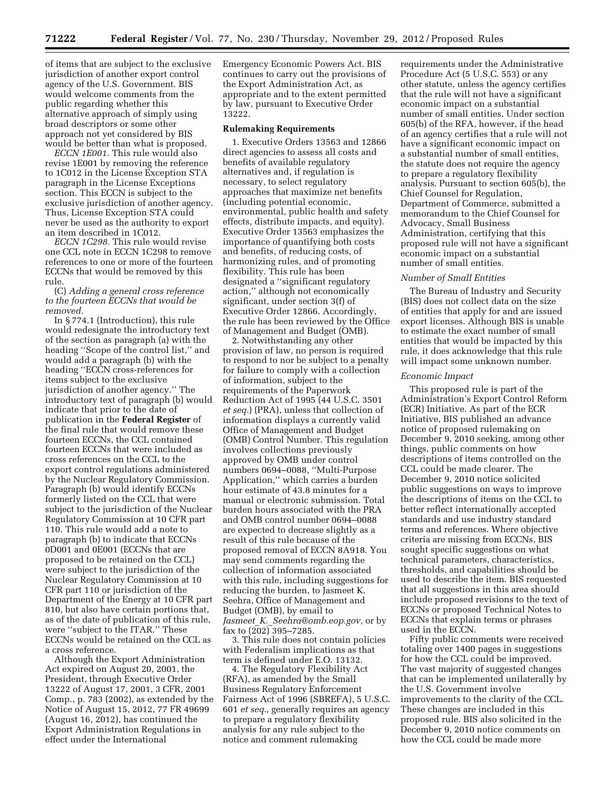of items that are subject to the exclusive jurisdiction of another export control agency of the U.S. Government. BIS would welcome comments from the public regarding whether this alternative approach of simply using broad descriptors or some other approach not yet considered by BIS would be better than what is proposed.

*ECCN 1E001.* This rule would also revise 1E001 by removing the reference to 1C012 in the License Exception STA paragraph in the License Exceptions section. This ECCN is subject to the exclusive jurisdiction of another agency. Thus, License Exception STA could never be used as the authority to export an item described in 1C012.

*ECCN 1C298.* This rule would revise one CCL note in ECCN 1C298 to remove references to one or more of the fourteen ECCNs that would be removed by this rule.

#### (C) *Adding a general cross reference to the fourteen ECCNs that would be removed.*

In § 774.1 (Introduction), this rule would redesignate the introductory text of the section as paragraph (a) with the heading ''Scope of the control list,'' and would add a paragraph (b) with the heading ''ECCN cross-references for items subject to the exclusive jurisdiction of another agency.'' The introductory text of paragraph (b) would indicate that prior to the date of publication in the **Federal Register** of the final rule that would remove these fourteen ECCNs, the CCL contained fourteen ECCNs that were included as cross references on the CCL to the export control regulations administered by the Nuclear Regulatory Commission. Paragraph (b) would identify ECCNs formerly listed on the CCL that were subject to the jurisdiction of the Nuclear Regulatory Commission at 10 CFR part 110. This rule would add a note to paragraph (b) to indicate that ECCNs 0D001 and 0E001 (ECCNs that are proposed to be retained on the CCL) were subject to the jurisdiction of the Nuclear Regulatory Commission at 10 CFR part 110 or jurisdiction of the Department of the Energy at 10 CFR part 810, but also have certain portions that, as of the date of publication of this rule, were ''subject to the ITAR.'' These ECCNs would be retained on the CCL as a cross reference.

Although the Export Administration Act expired on August 20, 2001, the President, through Executive Order 13222 of August 17, 2001, 3 CFR, 2001 Comp., p. 783 (2002), as extended by the Notice of August 15, 2012, 77 FR 49699 (August 16, 2012), has continued the Export Administration Regulations in effect under the International

Emergency Economic Powers Act. BIS continues to carry out the provisions of the Export Administration Act, as appropriate and to the extent permitted by law, pursuant to Executive Order 13222.

#### **Rulemaking Requirements**

1. Executive Orders 13563 and 12866 direct agencies to assess all costs and benefits of available regulatory alternatives and, if regulation is necessary, to select regulatory approaches that maximize net benefits (including potential economic, environmental, public health and safety effects, distribute impacts, and equity). Executive Order 13563 emphasizes the importance of quantifying both costs and benefits, of reducing costs, of harmonizing rules, and of promoting flexibility. This rule has been designated a ''significant regulatory action,'' although not economically significant, under section 3(f) of Executive Order 12866. Accordingly, the rule has been reviewed by the Office of Management and Budget (OMB).

2. Notwithstanding any other provision of law, no person is required to respond to nor be subject to a penalty for failure to comply with a collection of information, subject to the requirements of the Paperwork Reduction Act of 1995 (44 U.S.C. 3501 *et seq.*) (PRA), unless that collection of information displays a currently valid Office of Management and Budget (OMB) Control Number. This regulation involves collections previously approved by OMB under control numbers 0694–0088, ''Multi-Purpose Application,'' which carries a burden hour estimate of 43.8 minutes for a manual or electronic submission. Total burden hours associated with the PRA and OMB control number 0694–0088 are expected to decrease slightly as a result of this rule because of the proposed removal of ECCN 8A918. You may send comments regarding the collection of information associated with this rule, including suggestions for reducing the burden, to Jasmeet K. Seehra, Office of Management and Budget (OMB), by email to *Jasmeet*\_*K.*\_*[Seehra@omb.eop.gov,](mailto:Jasmeet_K._Seehra@omb.eop.gov)* or by fax to (202) 395–7285.

3. This rule does not contain policies with Federalism implications as that term is defined under E.O. 13132.

4. The Regulatory Flexibility Act (RFA), as amended by the Small Business Regulatory Enforcement Fairness Act of 1996 (SBREFA), 5 U.S.C. 601 *et seq.,* generally requires an agency to prepare a regulatory flexibility analysis for any rule subject to the notice and comment rulemaking

requirements under the Administrative Procedure Act (5 U.S.C. 553) or any other statute, unless the agency certifies that the rule will not have a significant economic impact on a substantial number of small entities. Under section 605(b) of the RFA, however, if the head of an agency certifies that a rule will not have a significant economic impact on a substantial number of small entities, the statute does not require the agency to prepare a regulatory flexibility analysis. Pursuant to section 605(b), the Chief Counsel for Regulation, Department of Commerce, submitted a memorandum to the Chief Counsel for Advocacy, Small Business Administration, certifying that this proposed rule will not have a significant economic impact on a substantial number of small entities.

#### *Number of Small Entities*

The Bureau of Industry and Security (BIS) does not collect data on the size of entities that apply for and are issued export licenses. Although BIS is unable to estimate the exact number of small entities that would be impacted by this rule, it does acknowledge that this rule will impact some unknown number.

#### *Economic Impact*

This proposed rule is part of the Administration's Export Control Reform (ECR) Initiative. As part of the ECR Initiative, BIS published an advance notice of proposed rulemaking on December 9, 2010 seeking, among other things, public comments on how descriptions of items controlled on the CCL could be made clearer. The December 9, 2010 notice solicited public suggestions on ways to improve the descriptions of items on the CCL to better reflect internationally accepted standards and use industry standard terms and references. Where objective criteria are missing from ECCNs, BIS sought specific suggestions on what technical parameters, characteristics, thresholds, and capabilities should be used to describe the item. BIS requested that all suggestions in this area should include proposed revisions to the text of ECCNs or proposed Technical Notes to ECCNs that explain terms or phrases used in the ECCN.

Fifty public comments were received totaling over 1400 pages in suggestions for how the CCL could be improved. The vast majority of suggested changes that can be implemented unilaterally by the U.S. Government involve improvements to the clarity of the CCL. These changes are included in this proposed rule. BIS also solicited in the December 9, 2010 notice comments on how the CCL could be made more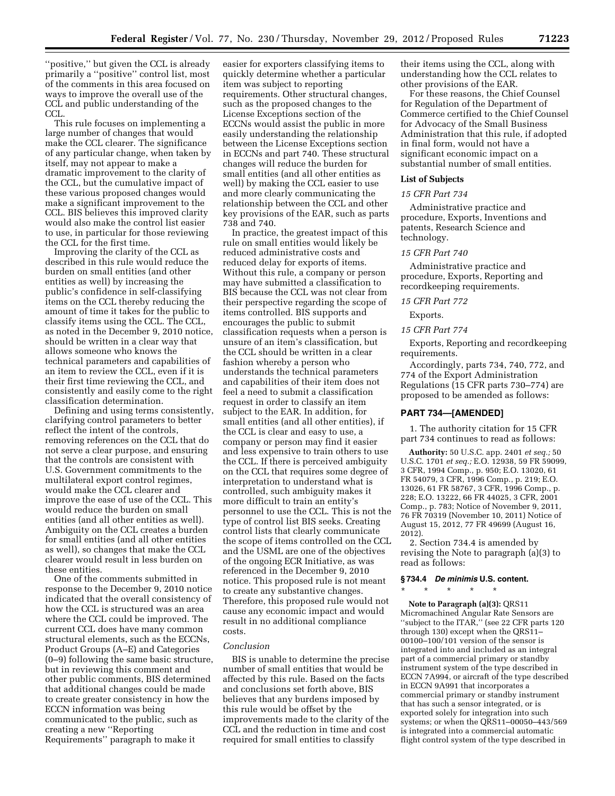''positive,'' but given the CCL is already primarily a ''positive'' control list, most of the comments in this area focused on ways to improve the overall use of the CCL and public understanding of the CCL.

This rule focuses on implementing a large number of changes that would make the CCL clearer. The significance of any particular change, when taken by itself, may not appear to make a dramatic improvement to the clarity of the CCL, but the cumulative impact of these various proposed changes would make a significant improvement to the CCL. BIS believes this improved clarity would also make the control list easier to use, in particular for those reviewing the CCL for the first time.

Improving the clarity of the CCL as described in this rule would reduce the burden on small entities (and other entities as well) by increasing the public's confidence in self-classifying items on the CCL thereby reducing the amount of time it takes for the public to classify items using the CCL. The CCL, as noted in the December 9, 2010 notice, should be written in a clear way that allows someone who knows the technical parameters and capabilities of an item to review the CCL, even if it is their first time reviewing the CCL, and consistently and easily come to the right classification determination.

Defining and using terms consistently, clarifying control parameters to better reflect the intent of the controls, removing references on the CCL that do not serve a clear purpose, and ensuring that the controls are consistent with U.S. Government commitments to the multilateral export control regimes, would make the CCL clearer and improve the ease of use of the CCL. This would reduce the burden on small entities (and all other entities as well). Ambiguity on the CCL creates a burden for small entities (and all other entities as well), so changes that make the CCL clearer would result in less burden on these entities.

One of the comments submitted in response to the December 9, 2010 notice indicated that the overall consistency of how the CCL is structured was an area where the CCL could be improved. The current CCL does have many common structural elements, such as the ECCNs, Product Groups (A–E) and Categories (0–9) following the same basic structure, but in reviewing this comment and other public comments, BIS determined that additional changes could be made to create greater consistency in how the ECCN information was being communicated to the public, such as creating a new ''Reporting Requirements'' paragraph to make it

easier for exporters classifying items to quickly determine whether a particular item was subject to reporting requirements. Other structural changes, such as the proposed changes to the License Exceptions section of the ECCNs would assist the public in more easily understanding the relationship between the License Exceptions section in ECCNs and part 740. These structural changes will reduce the burden for small entities (and all other entities as well) by making the CCL easier to use and more clearly communicating the relationship between the CCL and other key provisions of the EAR, such as parts 738 and 740.

In practice, the greatest impact of this rule on small entities would likely be reduced administrative costs and reduced delay for exports of items. Without this rule, a company or person may have submitted a classification to BIS because the CCL was not clear from their perspective regarding the scope of items controlled. BIS supports and encourages the public to submit classification requests when a person is unsure of an item's classification, but the CCL should be written in a clear fashion whereby a person who understands the technical parameters and capabilities of their item does not feel a need to submit a classification request in order to classify an item subject to the EAR. In addition, for small entities (and all other entities), if the CCL is clear and easy to use, a company or person may find it easier and less expensive to train others to use the CCL. If there is perceived ambiguity on the CCL that requires some degree of interpretation to understand what is controlled, such ambiguity makes it more difficult to train an entity's personnel to use the CCL. This is not the type of control list BIS seeks. Creating control lists that clearly communicate the scope of items controlled on the CCL and the USML are one of the objectives of the ongoing ECR Initiative, as was referenced in the December 9, 2010 notice. This proposed rule is not meant to create any substantive changes. Therefore, this proposed rule would not cause any economic impact and would result in no additional compliance costs.

#### *Conclusion*

BIS is unable to determine the precise number of small entities that would be affected by this rule. Based on the facts and conclusions set forth above, BIS believes that any burdens imposed by this rule would be offset by the improvements made to the clarity of the CCL and the reduction in time and cost required for small entities to classify

their items using the CCL, along with understanding how the CCL relates to other provisions of the EAR.

For these reasons, the Chief Counsel for Regulation of the Department of Commerce certified to the Chief Counsel for Advocacy of the Small Business Administration that this rule, if adopted in final form, would not have a significant economic impact on a substantial number of small entities.

#### **List of Subjects**

#### *15 CFR Part 734*

Administrative practice and procedure, Exports, Inventions and patents, Research Science and technology.

#### *15 CFR Part 740*

Administrative practice and procedure, Exports, Reporting and recordkeeping requirements.

#### *15 CFR Part 772*

Exports.

#### *15 CFR Part 774*

Exports, Reporting and recordkeeping requirements.

Accordingly, parts 734, 740, 772, and 774 of the Export Administration Regulations (15 CFR parts 730–774) are proposed to be amended as follows:

#### **PART 734—[AMENDED]**

1. The authority citation for 15 CFR part 734 continues to read as follows:

**Authority:** 50 U.S.C. app. 2401 *et seq.;* 50 U.S.C. 1701 *et seq.;* E.O. 12938, 59 FR 59099, 3 CFR, 1994 Comp., p. 950; E.O. 13020, 61 FR 54079, 3 CFR, 1996 Comp., p. 219; E.O. 13026, 61 FR 58767, 3 CFR, 1996 Comp., p. 228; E.O. 13222, 66 FR 44025, 3 CFR, 2001 Comp., p. 783; Notice of November 9, 2011, 76 FR 70319 (November 10, 2011) Notice of August 15, 2012, 77 FR 49699 (August 16, 2012).

2. Section 734.4 is amended by revising the Note to paragraph (a)(3) to read as follows:

#### **§ 734.4** *De minimis* **U.S. content.**

\* \* \* \* \*

**Note to Paragraph (a)(3):** QRS11 Micromachined Angular Rate Sensors are ''subject to the ITAR,'' (see 22 CFR parts 120 through 130) except when the QRS11– 00100–100/101 version of the sensor is integrated into and included as an integral part of a commercial primary or standby instrument system of the type described in ECCN 7A994, or aircraft of the type described in ECCN 9A991 that incorporates a commercial primary or standby instrument that has such a sensor integrated, or is exported solely for integration into such systems; or when the QRS11–00050–443/569 is integrated into a commercial automatic flight control system of the type described in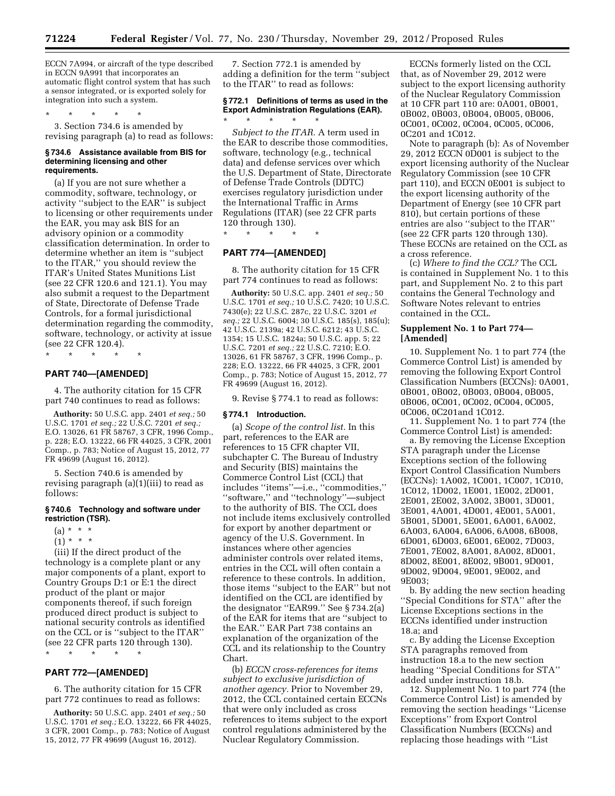\* \* \* \* \*

ECCN 7A994, or aircraft of the type described in ECCN 9A991 that incorporates an automatic flight control system that has such a sensor integrated, or is exported solely for integration into such a system.

\* \* \* \* \* 3. Section 734.6 is amended by revising paragraph (a) to read as follows:

#### **§ 734.6 Assistance available from BIS for determining licensing and other requirements.**

(a) If you are not sure whether a commodity, software, technology, or activity ''subject to the EAR'' is subject to licensing or other requirements under the EAR, you may ask BIS for an advisory opinion or a commodity classification determination. In order to determine whether an item is ''subject to the ITAR,'' you should review the ITAR's United States Munitions List (see 22 CFR 120.6 and 121.1). You may also submit a request to the Department of State, Directorate of Defense Trade Controls, for a formal jurisdictional determination regarding the commodity, software, technology, or activity at issue (see 22 CFR 120.4).

\* \* \* \* \*

#### **PART 740—[AMENDED]**

4. The authority citation for 15 CFR part 740 continues to read as follows:

**Authority:** 50 U.S.C. app. 2401 *et seq.;* 50 U.S.C. 1701 *et seq.;* 22 U.S.C. 7201 *et seq.;*  E.O. 13026, 61 FR 58767, 3 CFR, 1996 Comp., p. 228; E.O. 13222, 66 FR 44025, 3 CFR, 2001 Comp., p. 783; Notice of August 15, 2012, 77 FR 49699 (August 16, 2012).

5. Section 740.6 is amended by revising paragraph (a)(1)(iii) to read as follows:

#### **§ 740.6 Technology and software under restriction (TSR).**

- $(a) * * * *$
- $(1) * * * *$

(iii) If the direct product of the technology is a complete plant or any major components of a plant, export to Country Groups D:1 or E:1 the direct product of the plant or major components thereof, if such foreign produced direct product is subject to national security controls as identified on the CCL or is ''subject to the ITAR'' (see 22 CFR parts 120 through 130).

\* \* \* \* \*

# **PART 772—[AMENDED]**

6. The authority citation for 15 CFR part 772 continues to read as follows:

**Authority:** 50 U.S.C. app. 2401 *et seq.;* 50 U.S.C. 1701 *et seq.;* E.O. 13222, 66 FR 44025, 3 CFR, 2001 Comp., p. 783; Notice of August 15, 2012, 77 FR 49699 (August 16, 2012).

7. Section 772.1 is amended by adding a definition for the term ''subject to the ITAR'' to read as follows:

# **§ 772.1 Definitions of terms as used in the Export Administration Regulations (EAR).**

*Subject to the ITAR.* A term used in the EAR to describe those commodities, software, technology (e.g., technical data) and defense services over which the U.S. Department of State, Directorate of Defense Trade Controls (DDTC) exercises regulatory jurisdiction under the International Traffic in Arms Regulations (ITAR) (see 22 CFR parts 120 through 130).

\* \* \* \* \*

# **PART 774—[AMENDED]**

8. The authority citation for 15 CFR part 774 continues to read as follows:

**Authority:** 50 U.S.C. app. 2401 *et seq.;* 50 U.S.C. 1701 *et seq.;* 10 U.S.C. 7420; 10 U.S.C. 7430(e); 22 U.S.C. 287c, 22 U.S.C. 3201 *et seq.;* 22 U.S.C. 6004; 30 U.S.C. 185(s), 185(u); 42 U.S.C. 2139a; 42 U.S.C. 6212; 43 U.S.C. 1354; 15 U.S.C. 1824a; 50 U.S.C. app. 5; 22 U.S.C. 7201 *et seq.;* 22 U.S.C. 7210; E.O. 13026, 61 FR 58767, 3 CFR, 1996 Comp., p. 228; E.O. 13222, 66 FR 44025, 3 CFR, 2001 Comp., p. 783; Notice of August 15, 2012, 77 FR 49699 (August 16, 2012).

9. Revise § 774.1 to read as follows:

#### **§ 774.1 Introduction.**

(a) *Scope of the control list.* In this part, references to the EAR are references to 15 CFR chapter VII, subchapter C. The Bureau of Industry and Security (BIS) maintains the Commerce Control List (CCL) that includes ''items''—i.e., ''commodities,'' ''software,'' and ''technology''—subject to the authority of BIS. The CCL does not include items exclusively controlled for export by another department or agency of the U.S. Government. In instances where other agencies administer controls over related items, entries in the CCL will often contain a reference to these controls. In addition, those items ''subject to the EAR'' but not identified on the CCL are identified by the designator ''EAR99.'' See § 734.2(a) of the EAR for items that are ''subject to the EAR.'' EAR Part 738 contains an explanation of the organization of the CCL and its relationship to the Country Chart.

(b) *ECCN cross-references for items subject to exclusive jurisdiction of another agency.* Prior to November 29, 2012, the CCL contained certain ECCNs that were only included as cross references to items subject to the export control regulations administered by the Nuclear Regulatory Commission.

ECCNs formerly listed on the CCL that, as of November 29, 2012 were subject to the export licensing authority of the Nuclear Regulatory Commission at 10 CFR part 110 are: 0A001, 0B001, 0B002, 0B003, 0B004, 0B005, 0B006, 0C001, 0C002, 0C004, 0C005, 0C006, 0C201 and 1C012.

Note to paragraph (b): As of November 29, 2012 ECCN 0D001 is subject to the export licensing authority of the Nuclear Regulatory Commission (see 10 CFR part 110), and ECCN 0E001 is subject to the export licensing authority of the Department of Energy (see 10 CFR part 810), but certain portions of these entries are also ''subject to the ITAR'' (see 22 CFR parts 120 through 130). These ECCNs are retained on the CCL as a cross reference.

(c) *Where to find the CCL?* The CCL is contained in Supplement No. 1 to this part, and Supplement No. 2 to this part contains the General Technology and Software Notes relevant to entries contained in the CCL.

#### **Supplement No. 1 to Part 774— [Amended]**

10. Supplement No. 1 to part 774 (the Commerce Control List) is amended by removing the following Export Control Classification Numbers (ECCNs): 0A001, 0B001, 0B002, 0B003, 0B004, 0B005, 0B006, 0C001, 0C002, 0C004, 0C005, 0C006, 0C201and 1C012.

11. Supplement No. 1 to part 774 (the Commerce Control List) is amended:

a. By removing the License Exception STA paragraph under the License Exceptions section of the following Export Control Classification Numbers (ECCNs): 1A002, 1C001, 1C007, 1C010, 1C012, 1D002, 1E001, 1E002, 2D001, 2E001, 2E002, 3A002, 3B001, 3D001, 3E001, 4A001, 4D001, 4E001, 5A001, 5B001, 5D001, 5E001, 6A001, 6A002, 6A003, 6A004, 6A006, 6A008, 6B008, 6D001, 6D003, 6E001, 6E002, 7D003, 7E001, 7E002, 8A001, 8A002, 8D001, 8D002, 8E001, 8E002, 9B001, 9D001, 9D002, 9D004, 9E001, 9E002, and 9E003;

b. By adding the new section heading ''Special Conditions for STA'' after the License Exceptions sections in the ECCNs identified under instruction 18.a; and

c. By adding the License Exception STA paragraphs removed from instruction 18.a to the new section heading ''Special Conditions for STA'' added under instruction 18.b.

12. Supplement No. 1 to part 774 (the Commerce Control List) is amended by removing the section headings ''License Exceptions'' from Export Control Classification Numbers (ECCNs) and replacing those headings with ''List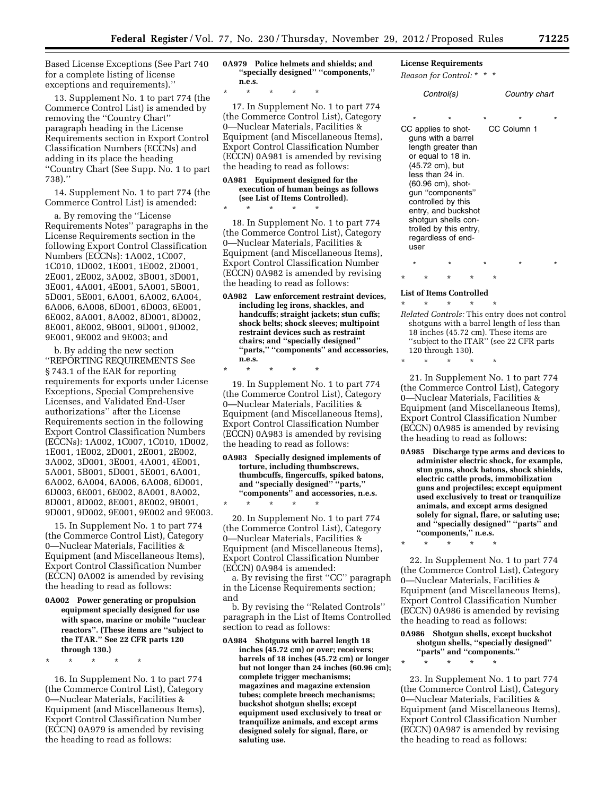Based License Exceptions (See Part 740 for a complete listing of license exceptions and requirements).''

13. Supplement No. 1 to part 774 (the Commerce Control List) is amended by removing the ''Country Chart'' paragraph heading in the License Requirements section in Export Control Classification Numbers (ECCNs) and adding in its place the heading ''Country Chart (See Supp. No. 1 to part 738).''

14. Supplement No. 1 to part 774 (the Commerce Control List) is amended:

a. By removing the ''License Requirements Notes'' paragraphs in the License Requirements section in the following Export Control Classification Numbers (ECCNs): 1A002, 1C007, 1C010, 1D002, 1E001, 1E002, 2D001, 2E001, 2E002, 3A002, 3B001, 3D001, 3E001, 4A001, 4E001, 5A001, 5B001, 5D001, 5E001, 6A001, 6A002, 6A004, 6A006, 6A008, 6D001, 6D003, 6E001, 6E002, 8A001, 8A002, 8D001, 8D002, 8E001, 8E002, 9B001, 9D001, 9D002, 9E001, 9E002 and 9E003; and

b. By adding the new section ''REPORTING REQUIREMENTS See § 743.1 of the EAR for reporting requirements for exports under License Exceptions, Special Comprehensive Licenses, and Validated End-User authorizations'' after the License Requirements section in the following Export Control Classification Numbers (ECCNs): 1A002, 1C007, 1C010, 1D002, 1E001, 1E002, 2D001, 2E001, 2E002, 3A002, 3D001, 3E001, 4A001, 4E001, 5A001, 5B001, 5D001, 5E001, 6A001, 6A002, 6A004, 6A006, 6A008, 6D001, 6D003, 6E001, 6E002, 8A001, 8A002, 8D001, 8D002, 8E001, 8E002, 9B001, 9D001, 9D002, 9E001, 9E002 and 9E003.

15. In Supplement No. 1 to part 774 (the Commerce Control List), Category 0—Nuclear Materials, Facilities & Equipment (and Miscellaneous Items), Export Control Classification Number (ECCN) 0A002 is amended by revising the heading to read as follows:

**0A002 Power generating or propulsion equipment specially designed for use with space, marine or mobile ''nuclear reactors''. (These items are ''subject to the ITAR.'' See 22 CFR parts 120 through 130.)** 

\* \* \* \* \*

16. In Supplement No. 1 to part 774 (the Commerce Control List), Category 0—Nuclear Materials, Facilities & Equipment (and Miscellaneous Items), Export Control Classification Number (ECCN) 0A979 is amended by revising the heading to read as follows:

**0A979 Police helmets and shields; and ''specially designed'' ''components,'' n.e.s.** 

\* \* \* \* \*

\* \* \* \* \*

17. In Supplement No. 1 to part 774 (the Commerce Control List), Category 0—Nuclear Materials, Facilities & Equipment (and Miscellaneous Items), Export Control Classification Number (ECCN) 0A981 is amended by revising the heading to read as follows:

#### **0A981 Equipment designed for the execution of human beings as follows (see List of Items Controlled).**

18. In Supplement No. 1 to part 774 (the Commerce Control List), Category 0—Nuclear Materials, Facilities & Equipment (and Miscellaneous Items), Export Control Classification Number (ECCN) 0A982 is amended by revising the heading to read as follows:

**0A982 Law enforcement restraint devices, including leg irons, shackles, and handcuffs; straight jackets; stun cuffs; shock belts; shock sleeves; multipoint restraint devices such as restraint chairs; and ''specially designed'' ''parts,'' ''components'' and accessories, n.e.s.** 

\* \* \* \* \*

\* \* \* \* \*

19. In Supplement No. 1 to part 774 (the Commerce Control List), Category 0—Nuclear Materials, Facilities & Equipment (and Miscellaneous Items), Export Control Classification Number (ECCN) 0A983 is amended by revising the heading to read as follows:

**0A983 Specially designed implements of torture, including thumbscrews, thumbcuffs, fingercuffs, spiked batons, and ''specially designed'' ''parts,'' ''components'' and accessories, n.e.s.** 

20. In Supplement No. 1 to part 774 (the Commerce Control List), Category 0—Nuclear Materials, Facilities & Equipment (and Miscellaneous Items), Export Control Classification Number (ECCN) 0A984 is amended:

a. By revising the first ''CC'' paragraph in the License Requirements section; and

b. By revising the ''Related Controls'' paragraph in the List of Items Controlled section to read as follows:

**0A984 Shotguns with barrel length 18 inches (45.72 cm) or over; receivers; barrels of 18 inches (45.72 cm) or longer but not longer than 24 inches (60.96 cm); complete trigger mechanisms; magazines and magazine extension tubes; complete breech mechanisms; buckshot shotgun shells; except equipment used exclusively to treat or tranquilize animals, and except arms designed solely for signal, flare, or saluting use.** 

#### **License Requirements**

*Reason for Control:* \* \* \*

| Control(s) |                 |                                                                                                                                                                                                                                                                                                       |  |         | Country chart |                        |  |
|------------|-----------------|-------------------------------------------------------------------------------------------------------------------------------------------------------------------------------------------------------------------------------------------------------------------------------------------------------|--|---------|---------------|------------------------|--|
|            | $\star$<br>user | $\star$<br>CC applies to shot-<br>guns with a barrel<br>length greater than<br>or equal to 18 in.<br>(45.72 cm), but<br>less than 24 in.<br>(60.96 cm), shot-<br>gun "components"<br>controlled by this<br>entry, and buckshot<br>shotgun shells con-<br>trolled by this entry,<br>regardless of end- |  | $\star$ |               | $\star$<br>CC Column 1 |  |
|            | $\star$         | ÷                                                                                                                                                                                                                                                                                                     |  |         | ÷             |                        |  |

#### **List of Items Controlled**

\* \* \* \* \* *Related Controls:* This entry does not control shotguns with a barrel length of less than 18 inches (45.72 cm). These items are ''subject to the ITAR'' (see 22 CFR parts 120 through 130).

\* \* \* \* \*

21. In Supplement No. 1 to part 774 (the Commerce Control List), Category 0—Nuclear Materials, Facilities & Equipment (and Miscellaneous Items), Export Control Classification Number (ECCN) 0A985 is amended by revising the heading to read as follows:

- **0A985 Discharge type arms and devices to administer electric shock, for example, stun guns, shock batons, shock shields, electric cattle prods, immobilization guns and projectiles; except equipment used exclusively to treat or tranquilize animals, and except arms designed solely for signal, flare, or saluting use; and ''specially designed'' ''parts'' and ''components,'' n.e.s.**
- \* \* \* \* \*

22. In Supplement No. 1 to part 774 (the Commerce Control List), Category 0—Nuclear Materials, Facilities & Equipment (and Miscellaneous Items), Export Control Classification Number (ECCN) 0A986 is amended by revising the heading to read as follows:

#### **0A986 Shotgun shells, except buckshot shotgun shells, ''specially designed'' ''parts'' and ''components.''**

\* \* \* \* \*

23. In Supplement No. 1 to part 774 (the Commerce Control List), Category 0—Nuclear Materials, Facilities & Equipment (and Miscellaneous Items), Export Control Classification Number (ECCN) 0A987 is amended by revising the heading to read as follows: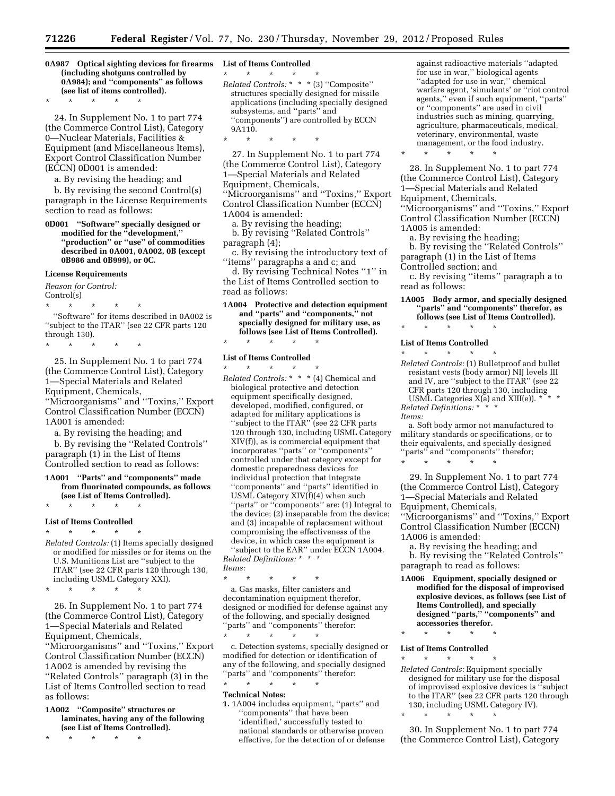**0A987 Optical sighting devices for firearms (including shotguns controlled by 0A984); and ''components'' as follows (see list of items controlled).** 

\* \* \* \* \*

24. In Supplement No. 1 to part 774 (the Commerce Control List), Category 0—Nuclear Materials, Facilities & Equipment (and Miscellaneous Items), Export Control Classification Number (ECCN) 0D001 is amended:

a. By revising the heading; and

b. By revising the second Control(s) paragraph in the License Requirements section to read as follows:

**0D001 ''Software'' specially designed or modified for the ''development,'' ''production'' or ''use'' of commodities described in 0A001, 0A002, 0B (except 0B986 and 0B999), or 0C.** 

#### **License Requirements**

*Reason for Control:*  Control(s)

\* \* \* \* \* ''Software'' for items described in 0A002 is ''subject to the ITAR'' (see 22 CFR parts 120 through 130).

\* \* \* \* \*

25. In Supplement No. 1 to part 774 (the Commerce Control List), Category 1—Special Materials and Related Equipment, Chemicals, ''Microorganisms'' and ''Toxins,'' Export Control Classification Number (ECCN)

1A001 is amended:

a. By revising the heading; and

b. By revising the ''Related Controls'' paragraph (1) in the List of Items Controlled section to read as follows:

**1A001 ''Parts'' and ''components'' made from fluorinated compounds, as follows (see List of Items Controlled).** 

# \* \* \* \* \* **List of Items Controlled**

\* \* \* \* \* *Related Controls:* (1) Items specially designed or modified for missiles or for items on the U.S. Munitions List are ''subject to the ITAR'' (see 22 CFR parts 120 through 130, including USML Category XXI).

\* \* \* \* \*

26. In Supplement No. 1 to part 774 (the Commerce Control List), Category 1—Special Materials and Related Equipment, Chemicals, ''Microorganisms'' and ''Toxins,'' Export Control Classification Number (ECCN) 1A002 is amended by revising the ''Related Controls'' paragraph (3) in the List of Items Controlled section to read as follows:

**1A002 ''Composite'' structures or laminates, having any of the following (see List of Items Controlled).** 

\* \* \* \* \*

#### **List of Items Controlled**

\* \* \* \* \*

- *Related Controls:* \* \* \* (3) ''Composite'' structures specially designed for missile applications (including specially designed subsystems, and "parts" and ''components'') are controlled by ECCN 9A110.
- \* \* \* \* \*

27. In Supplement No. 1 to part 774 (the Commerce Control List), Category 1—Special Materials and Related Equipment, Chemicals, ''Microorganisms'' and ''Toxins,'' Export Control Classification Number (ECCN) 1A004 is amended:

a. By revising the heading; b. By revising ''Related Controls'' paragraph (4);

c. By revising the introductory text of ''items'' paragraphs a and c; and

d. By revising Technical Notes ''1'' in the List of Items Controlled section to read as follows:

**1A004 Protective and detection equipment and ''parts'' and ''components,'' not specially designed for military use, as follows (see List of Items Controlled).**  \* \* \* \* \*

#### **List of Items Controlled**

\* \* \* \* \* *Related Controls:* \* \* \* (4) Chemical and biological protective and detection equipment specifically designed, developed, modified, configured, or adapted for military applications is ''subject to the ITAR'' (see 22 CFR parts 120 through 130, including USML Category XIV(f)), as is commercial equipment that incorporates ''parts'' or ''components'' controlled under that category except for domestic preparedness devices for individual protection that integrate ''components'' and ''parts'' identified in USML Category XIV(f)(4) when such ''parts'' or ''components'' are: (1) Integral to the device; (2) inseparable from the device; and (3) incapable of replacement without compromising the effectiveness of the device, in which case the equipment is ''subject to the EAR'' under ECCN 1A004.

*Related Definitions:* \* \* \* *Items:* 

\* \* \* \* \* a. Gas masks, filter canisters and decontamination equipment therefor, designed or modified for defense against any of the following, and specially designed ''parts'' and ''components'' therefor:

\* \* \* \* \* c. Detection systems, specially designed or modified for detection or identification of any of the following, and specially designed "parts" and "components" therefor: \* \* \* \* \*

#### **Technical Notes:**

**1.** 1A004 includes equipment, ''parts'' and ''components'' that have been 'identified,' successfully tested to national standards or otherwise proven effective, for the detection of or defense against radioactive materials ''adapted for use in war,'' biological agents ''adapted for use in war,'' chemical warfare agent, 'simulants' or ''riot control agents,'' even if such equipment, ''parts'' or ''components'' are used in civil industries such as mining, quarrying, agriculture, pharmaceuticals, medical, veterinary, environmental, waste management, or the food industry.

\* \* \* \* \*

28. In Supplement No. 1 to part 774 (the Commerce Control List), Category 1—Special Materials and Related Equipment, Chemicals, ''Microorganisms'' and ''Toxins,'' Export Control Classification Number (ECCN) 1A005 is amended:

a. By revising the heading;

b. By revising the ''Related Controls'' paragraph (1) in the List of Items

Controlled section; and

c. By revising ''items'' paragraph a to read as follows:

**1A005 Body armor, and specially designed ''parts'' and ''components'' therefor, as follows (see List of Items Controlled).** 

# \* \* \* \* \* **List of Items Controlled**

\* \* \* \* \*

*Related Controls:* (1) Bulletproof and bullet resistant vests (body armor) NIJ levels III and IV, are ''subject to the ITAR'' (see 22 and IV, are subject to the state.<br>CFR parts 120 through 130, including<br> $\frac{1 \times \text{HT}(1)}{2 \times \text{HT}(1)}$  \* \* \* USML Categories  $X(a)$  and  $XIII(e)$ ).  $*$ *Related Definitions:* \* \* \*

*Items:* 

a. Soft body armor not manufactured to military standards or specifications, or to their equivalents, and specially designed "parts" and "components" therefor; \* \* \* \* \*

29. In Supplement No. 1 to part 774 (the Commerce Control List), Category 1—Special Materials and Related Equipment, Chemicals,

''Microorganisms'' and ''Toxins,'' Export Control Classification Number (ECCN) 1A006 is amended:

- a. By revising the heading; and
- b. By revising the ''Related Controls'' paragraph to read as follows:
- **1A006 Equipment, specially designed or modified for the disposal of improvised explosive devices, as follows (see List of Items Controlled), and specially designed ''parts,'' ''components'' and accessories therefor.**

\* \* \* \* \*

#### **List of Items Controlled**

\* \* \* \* \* *Related Controls:* Equipment specially designed for military use for the disposal of improvised explosive devices is ''subject to the ITAR'' (see 22 CFR parts 120 through 130, including USML Category IV).

\* \* \* \* \*

30. In Supplement No. 1 to part 774 (the Commerce Control List), Category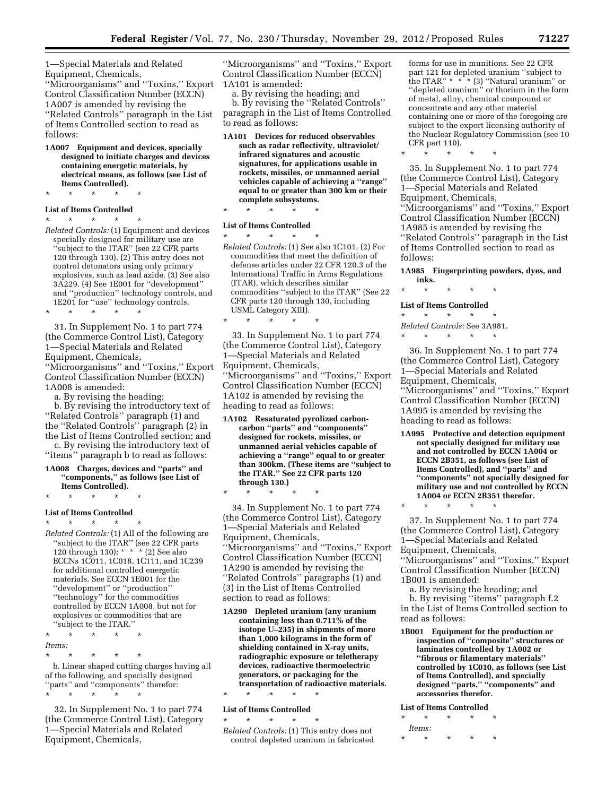1—Special Materials and Related Equipment, Chemicals, ''Microorganisms'' and ''Toxins,'' Export Control Classification Number (ECCN) 1A007 is amended by revising the ''Related Controls'' paragraph in the List of Items Controlled section to read as follows:

**1A007 Equipment and devices, specially designed to initiate charges and devices containing energetic materials, by electrical means, as follows (see List of Items Controlled).** 

\* \* \* \* \*

#### **List of Items Controlled**

\* \* \* \* \*

*Related Controls:* (1) Equipment and devices specially designed for military use are ''subject to the ITAR'' (see 22 CFR parts 120 through 130). (2) This entry does not control detonators using only primary explosives, such as lead azide. (3) See also 3A229. (4) See 1E001 for ''development'' and ''production'' technology controls, and 1E201 for ''use'' technology controls.

\* \* \* \* \*

31. In Supplement No. 1 to part 774 (the Commerce Control List), Category 1—Special Materials and Related Equipment, Chemicals, ''Microorganisms'' and ''Toxins,'' Export Control Classification Number (ECCN) 1A008 is amended:

a. By revising the heading;

b. By revising the introductory text of ''Related Controls'' paragraph (1) and the ''Related Controls'' paragraph (2) in the List of Items Controlled section; and c. By revising the introductory text of

''items'' paragraph b to read as follows: **1A008 Charges, devices and ''parts'' and** 

**''components,'' as follows (see List of Items Controlled).** 

\* \* \* \* \*

# **List of Items Controlled**

\* \* \* \* \* *Related Controls:* (1) All of the following are ''subject to the ITAR'' (see 22 CFR parts 120 through 130): \* \* \* (2) See also ECCNs 1C011, 1C018, 1C111, and 1C239 for additional controlled energetic materials. See ECCN 1E001 for the ''development'' or ''production'' ''technology'' for the commodities controlled by ECCN 1A008, but not for explosives or commodities that are ''subject to the ITAR.''

\* \* \* \* \* *Items:* 

\* \* \* \* \*

b. Linear shaped cutting charges having all of the following, and specially designed ''parts'' and ''components'' therefor: \* \* \* \* \*

32. In Supplement No. 1 to part 774 (the Commerce Control List), Category 1—Special Materials and Related Equipment, Chemicals,

''Microorganisms'' and ''Toxins,'' Export Control Classification Number (ECCN) 1A101 is amended:

a. By revising the heading; and b. By revising the ''Related Controls'' paragraph in the List of Items Controlled to read as follows:

**1A101 Devices for reduced observables such as radar reflectivity, ultraviolet/ infrared signatures and acoustic signatures, for applications usable in rockets, missiles, or unmanned aerial vehicles capable of achieving a ''range'' equal to or greater than 300 km or their complete subsystems.** 

\* \* \* \* \*

\* \* \* \* \*

\* \* \* \* \*

#### **List of Items Controlled**

\* \* \* \* \* *Related Controls:* (1) See also 1C101. (2) For commodities that meet the definition of defense articles under 22 CFR 120.3 of the International Traffic in Arms Regulations (ITAR), which describes similar commodities ''subject to the ITAR'' (See 22 CFR parts 120 through 130, including USML Category XIII).

33. In Supplement No. 1 to part 774 (the Commerce Control List), Category 1—Special Materials and Related Equipment, Chemicals, ''Microorganisms'' and ''Toxins,'' Export Control Classification Number (ECCN) 1A102 is amended by revising the heading to read as follows:

**1A102 Resaturated pyrolized carboncarbon ''parts'' and ''components'' designed for rockets, missiles, or unmanned aerial vehicles capable of achieving a ''range'' equal to or greater than 300km. (These items are ''subject to the ITAR.'' See 22 CFR parts 120 through 130.)** 

34. In Supplement No. 1 to part 774 (the Commerce Control List), Category 1—Special Materials and Related Equipment, Chemicals, ''Microorganisms'' and ''Toxins,'' Export Control Classification Number (ECCN) 1A290 is amended by revising the ''Related Controls'' paragraphs (1) and (3) in the List of Items Controlled section to read as follows:

**1A290 Depleted uranium (any uranium containing less than 0.711% of the isotope U–235) in shipments of more than 1,000 kilograms in the form of shielding contained in X-ray units, radiographic exposure or teletherapy devices, radioactive thermoelectric generators, or packaging for the transportation of radioactive materials.** 

\* \* \* \* \*

#### **List of Items Controlled**

\* \* \* \* \* *Related Controls:* (1) This entry does not control depleted uranium in fabricated forms for use in munitions. See 22 CFR part 121 for depleted uranium ''subject to the ITAR'' \* \* \* (3) ''Natural uranium'' or ''depleted uranium'' or thorium in the form of metal, alloy, chemical compound or concentrate and any other material containing one or more of the foregoing are subject to the export licensing authority of the Nuclear Regulatory Commission (see 10 CFR part 110).

\* \* \* \* \*

35. In Supplement No. 1 to part 774 (the Commerce Control List), Category 1—Special Materials and Related Equipment, Chemicals, ''Microorganisms'' and ''Toxins,'' Export Control Classification Number (ECCN) 1A985 is amended by revising the ''Related Controls'' paragraph in the List of Items Controlled section to read as follows:

**1A985 Fingerprinting powders, dyes, and inks.** 

\* \* \* \* \*

#### **List of Items Controlled**  \* \* \* \* \*

*Related Controls:* See 3A981.

\* \* \* \* \*

36. In Supplement No. 1 to part 774 (the Commerce Control List), Category 1—Special Materials and Related Equipment, Chemicals, ''Microorganisms'' and ''Toxins,'' Export Control Classification Number (ECCN) 1A995 is amended by revising the heading to read as follows:

**1A995 Protective and detection equipment not specially designed for military use and not controlled by ECCN 1A004 or ECCN 2B351, as follows (see List of Items Controlled), and ''parts'' and ''components'' not specially designed for military use and not controlled by ECCN 1A004 or ECCN 2B351 therefor.** 

37. In Supplement No. 1 to part 774 (the Commerce Control List), Category 1—Special Materials and Related Equipment, Chemicals,

\* \* \* \* \*

''Microorganisms'' and ''Toxins,'' Export Control Classification Number (ECCN) 1B001 is amended:

a. By revising the heading; and b. By revising ''items'' paragraph f.2 in the List of Items Controlled section to read as follows:

**1B001 Equipment for the production or inspection of ''composite'' structures or laminates controlled by 1A002 or ''fibrous or filamentary materials'' controlled by 1C010, as follows (see List of Items Controlled), and specially designed ''parts,'' ''components'' and accessories therefor.** 

#### **List of Items Controlled**

| ÷ | ÷             | ÷ | ÷ | ÷ |
|---|---------------|---|---|---|
|   | <i>Items:</i> |   |   |   |
| ÷ | ÷             | ÷ | ÷ | ÷ |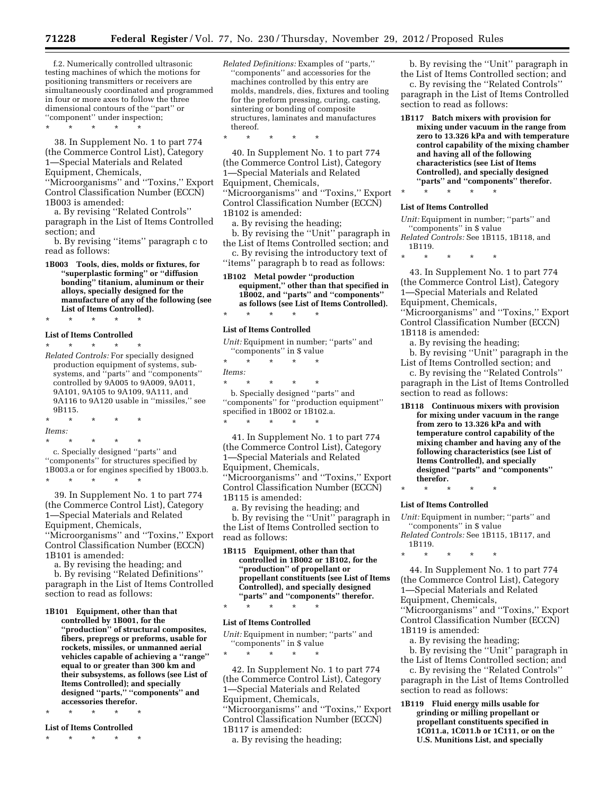f.2. Numerically controlled ultrasonic testing machines of which the motions for positioning transmitters or receivers are simultaneously coordinated and programmed in four or more axes to follow the three dimensional contours of the ''part'' or ''component'' under inspection;

\* \* \* \* \*

38. In Supplement No. 1 to part 774 (the Commerce Control List), Category 1—Special Materials and Related Equipment, Chemicals, ''Microorganisms'' and ''Toxins,'' Export

Control Classification Number (ECCN) 1B003 is amended:

a. By revising ''Related Controls'' paragraph in the List of Items Controlled section; and

b. By revising ''items'' paragraph c to read as follows:

**1B003 Tools, dies, molds or fixtures, for ''superplastic forming'' or ''diffusion bonding'' titanium, aluminum or their alloys, specially designed for the manufacture of any of the following (see List of Items Controlled).** 

\* \* \* \* \*

#### **List of Items Controlled**

\* \* \* \* \* *Related Controls:* For specially designed production equipment of systems, subsystems, and ''parts'' and ''components'' controlled by 9A005 to 9A009, 9A011, 9A101, 9A105 to 9A109, 9A111, and 9A116 to 9A120 usable in ''missiles,'' see 9B115.

\* \* \* \* \* *Items:* 

\* \* \* \* \* c. Specially designed ''parts'' and ''components'' for structures specified by 1B003.a or for engines specified by 1B003.b. \* \* \* \* \*

39. In Supplement No. 1 to part 774 (the Commerce Control List), Category 1—Special Materials and Related Equipment, Chemicals, ''Microorganisms'' and ''Toxins,'' Export Control Classification Number (ECCN)

1B101 is amended:

section to read as follows:

a. By revising the heading; and b. By revising ''Related Definitions'' paragraph in the List of Items Controlled

**1B101 Equipment, other than that controlled by 1B001, for the ''production'' of structural composites, fibers, prepregs or preforms, usable for rockets, missiles, or unmanned aerial vehicles capable of achieving a ''range'' equal to or greater than 300 km and their subsystems, as follows (see List of Items Controlled); and specially designed ''parts,'' ''components'' and accessories therefor.** 

\* \* \* \* \*

**List of Items Controlled** 

\* \* \* \* \*

- *Related Definitions:* Examples of ''parts,'' ''components'' and accessories for the machines controlled by this entry are molds, mandrels, dies, fixtures and tooling for the preform pressing, curing, casting, sintering or bonding of composite structures, laminates and manufactures thereof.
- \* \* \* \* \*

40. In Supplement No. 1 to part 774 (the Commerce Control List), Category 1—Special Materials and Related Equipment, Chemicals, ''Microorganisms'' and ''Toxins,'' Export Control Classification Number (ECCN) 1B102 is amended:

a. By revising the heading;

b. By revising the ''Unit'' paragraph in the List of Items Controlled section; and c. By revising the introductory text of ''items'' paragraph b to read as follows:

**1B102 Metal powder ''production equipment,'' other than that specified in 1B002, and ''parts'' and ''components'' as follows (see List of Items Controlled).**  \* \* \* \* \*

# **List of Items Controlled**

*Unit:* Equipment in number; ''parts'' and ''components'' in \$ value

\* \* \* \* \* *Items:* 

\* \* \* \* \* b. Specially designed ''parts'' and ''components'' for ''production equipment'' specified in 1B002 or 1B102.a. \* \* \* \* \*

41. In Supplement No. 1 to part 774 (the Commerce Control List), Category 1—Special Materials and Related Equipment, Chemicals, ''Microorganisms'' and ''Toxins,'' Export Control Classification Number (ECCN) 1B115 is amended:

a. By revising the heading; and b. By revising the ''Unit'' paragraph in

the List of Items Controlled section to read as follows:

**1B115 Equipment, other than that controlled in 1B002 or 1B102, for the ''production'' of propellant or propellant constituents (see List of Items Controlled), and specially designed ''parts'' and ''components'' therefor.**  \* \* \* \* \*

#### **List of Items Controlled**

\* \* \* \* \*

*Unit:* Equipment in number; ''parts'' and ''components'' in \$ value

42. In Supplement No. 1 to part 774 (the Commerce Control List), Category 1—Special Materials and Related Equipment, Chemicals, ''Microorganisms'' and ''Toxins,'' Export Control Classification Number (ECCN) 1B117 is amended:

a. By revising the heading;

b. By revising the ''Unit'' paragraph in the List of Items Controlled section; and

c. By revising the ''Related Controls'' paragraph in the List of Items Controlled section to read as follows:

**1B117 Batch mixers with provision for mixing under vacuum in the range from zero to 13.326 kPa and with temperature control capability of the mixing chamber and having all of the following characteristics (see List of Items Controlled), and specially designed ''parts'' and ''components'' therefor.** 

# \* \* \* \* \* **List of Items Controlled**

*Unit:* Equipment in number; ''parts'' and ''components'' in \$ value

*Related Controls:* See 1B115, 1B118, and 1B119.

\* \* \* \* \*

43. In Supplement No. 1 to part 774 (the Commerce Control List), Category 1—Special Materials and Related Equipment, Chemicals,

''Microorganisms'' and ''Toxins,'' Export Control Classification Number (ECCN) 1B118 is amended:

a. By revising the heading;

b. By revising ''Unit'' paragraph in the List of Items Controlled section; and

c. By revising the ''Related Controls'' paragraph in the List of Items Controlled section to read as follows:

**1B118 Continuous mixers with provision for mixing under vacuum in the range from zero to 13.326 kPa and with temperature control capability of the mixing chamber and having any of the following characteristics (see List of Items Controlled), and specially designed ''parts'' and ''components'' therefor.** 

\* \* \* \* \*

#### **List of Items Controlled**

*Unit:* Equipment in number; ''parts'' and ''components'' in \$ value *Related Controls:* See 1B115, 1B117, and 1B119.

44. In Supplement No. 1 to part 774 (the Commerce Control List), Category 1—Special Materials and Related Equipment, Chemicals, ''Microorganisms'' and ''Toxins,'' Export Control Classification Number (ECCN)

1B119 is amended:

a. By revising the heading;

b. By revising the ''Unit'' paragraph in the List of Items Controlled section; and

c. By revising the ''Related Controls'' paragraph in the List of Items Controlled section to read as follows:

**1B119 Fluid energy mills usable for grinding or milling propellant or propellant constituents specified in 1C011.a, 1C011.b or 1C111, or on the U.S. Munitions List, and specially** 

<sup>\* \* \* \* \*</sup>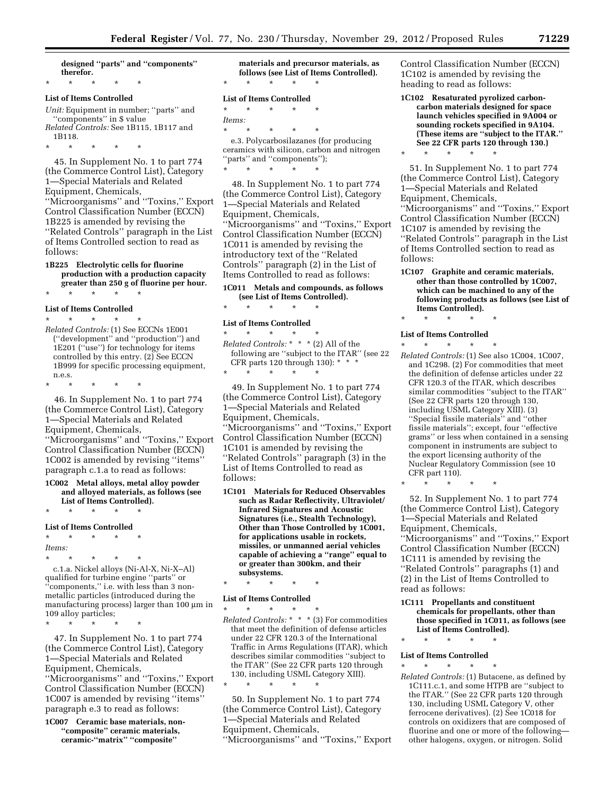**designed ''parts'' and ''components'' therefor.** 

# \* \* \* \* \* **List of Items Controlled**

*Unit:* Equipment in number; ''parts'' and ''components'' in \$ value *Related Controls:* See 1B115, 1B117 and 1B118.

\* \* \* \* \*

45. In Supplement No. 1 to part 774 (the Commerce Control List), Category 1—Special Materials and Related Equipment, Chemicals, ''Microorganisms'' and ''Toxins,'' Export Control Classification Number (ECCN) 1B225 is amended by revising the ''Related Controls'' paragraph in the List of Items Controlled section to read as follows:

#### **1B225 Electrolytic cells for fluorine production with a production capacity greater than 250 g of fluorine per hour.**

\* \* \* \* \*

#### **List of Items Controlled**

\* \* \* \* \* *Related Controls:* (1) See ECCNs 1E001 (''development'' and ''production'') and 1E201 (''use'') for technology for items controlled by this entry. (2) See ECCN 1B999 for specific processing equipment, n.e.s.

\* \* \* \* \*

46. In Supplement No. 1 to part 774 (the Commerce Control List), Category 1—Special Materials and Related Equipment, Chemicals, ''Microorganisms'' and ''Toxins,'' Export Control Classification Number (ECCN) 1C002 is amended by revising ''items'' paragraph c.1.a to read as follows:

#### **1C002 Metal alloys, metal alloy powder and alloyed materials, as follows (see**

**List of Items Controlled).**  \* \* \* \* \*

#### **List of Items Controlled**

\* \* \* \* \* *Items:* 

\* \* \* \* \*

\* \* \* \* \* c.1.a. Nickel alloys (Ni-Al-X, Ni-X–Al) qualified for turbine engine ''parts'' or ''components,'' i.e. with less than 3 nonmetallic particles (introduced during the manufacturing process) larger than  $100 \mu m$  in 109 alloy particles;

47. In Supplement No. 1 to part 774 (the Commerce Control List), Category 1—Special Materials and Related Equipment, Chemicals, ''Microorganisms'' and ''Toxins,'' Export Control Classification Number (ECCN) 1C007 is amended by revising ''items'' paragraph e.3 to read as follows:

**1C007 Ceramic base materials, non- ''composite'' ceramic materials, ceramic-''matrix'' ''composite''** 

**materials and precursor materials, as follows (see List of Items Controlled).**  \* \* \* \* \*

#### **List of Items Controlled**

\* \* \* \* \* *Items:*  \* \* \* \* \* e.3. Polycarbosilazanes (for producing ceramics with silicon, carbon and nitrogen ''parts'' and ''components'');

\* \* \* \* \* 48. In Supplement No. 1 to part 774

(the Commerce Control List), Category 1—Special Materials and Related Equipment, Chemicals, ''Microorganisms'' and ''Toxins,'' Export Control Classification Number (ECCN) 1C011 is amended by revising the introductory text of the ''Related Controls'' paragraph (2) in the List of Items Controlled to read as follows:

#### **1C011 Metals and compounds, as follows (see List of Items Controlled).**

#### \* \* \* \* \*

#### **List of Items Controlled**

\* \* \* \* \* *Related Controls:* \* \* \* (2) All of the following are ''subject to the ITAR'' (see 22 CFR parts 120 through 130): \* \* \* \* \* \* \* \*

49. In Supplement No. 1 to part 774 (the Commerce Control List), Category 1—Special Materials and Related Equipment, Chemicals, ''Microorganisms'' and ''Toxins,'' Export Control Classification Number (ECCN) 1C101 is amended by revising the ''Related Controls'' paragraph (3) in the List of Items Controlled to read as follows:

**1C101 Materials for Reduced Observables such as Radar Reflectivity, Ultraviolet/ Infrared Signatures and Acoustic Signatures (i.e., Stealth Technology), Other than Those Controlled by 1C001, for applications usable in rockets, missiles, or unmanned aerial vehicles capable of achieving a ''range'' equal to or greater than 300km, and their subsystems.** 

\* \* \* \* \*

\* \* \* \* \*

#### **List of Items Controlled**

\* \* \* \* \* *Related Controls:* \* \* \* (3) For commodities that meet the definition of defense articles under 22 CFR 120.3 of the International Traffic in Arms Regulations (ITAR), which describes similar commodities ''subject to the ITAR'' (See 22 CFR parts 120 through 130, including USML Category XIII).

50. In Supplement No. 1 to part 774 (the Commerce Control List), Category 1—Special Materials and Related Equipment, Chemicals, ''Microorganisms'' and ''Toxins,'' Export Control Classification Number (ECCN) 1C102 is amended by revising the heading to read as follows:

**1C102 Resaturated pyrolized carboncarbon materials designed for space launch vehicles specified in 9A004 or sounding rockets specified in 9A104. (These items are ''subject to the ITAR.'' See 22 CFR parts 120 through 130.)** 

\* \* \* \* \*

51. In Supplement No. 1 to part 774 (the Commerce Control List), Category 1—Special Materials and Related Equipment, Chemicals, ''Microorganisms'' and ''Toxins,'' Export Control Classification Number (ECCN) 1C107 is amended by revising the ''Related Controls'' paragraph in the List of Items Controlled section to read as follows:

**1C107 Graphite and ceramic materials, other than those controlled by 1C007, which can be machined to any of the following products as follows (see List of Items Controlled).** 

\* \* \* \* \*

**List of Items Controlled** 

\* \* \* \* \*

\* \* \* \* \* *Related Controls:* (1) See also 1C004, 1C007, and 1C298. (2) For commodities that meet the definition of defense articles under 22 CFR 120.3 of the ITAR, which describes similar commodities ''subject to the ITAR'' (See 22 CFR parts 120 through 130, including USML Category XIII). (3) ''Special fissile materials'' and ''other fissile materials''; except, four ''effective grams'' or less when contained in a sensing component in instruments are subject to the export licensing authority of the Nuclear Regulatory Commission (see 10 CFR part 110).

52. In Supplement No. 1 to part 774 (the Commerce Control List), Category 1—Special Materials and Related Equipment, Chemicals, ''Microorganisms'' and ''Toxins,'' Export Control Classification Number (ECCN) 1C111 is amended by revising the ''Related Controls'' paragraphs (1) and (2) in the List of Items Controlled to read as follows:

**1C111 Propellants and constituent chemicals for propellants, other than those specified in 1C011, as follows (see List of Items Controlled).**  \* \* \* \* \*

#### **List of Items Controlled**  \* \* \* \* \*

*Related Controls:* (1) Butacene, as defined by 1C111.c.1, and some HTPB are ''subject to the ITAR.'' (See 22 CFR parts 120 through 130, including USML Category V, other ferrocene derivatives). (2) See 1C018 for controls on oxidizers that are composed of fluorine and one or more of the following other halogens, oxygen, or nitrogen. Solid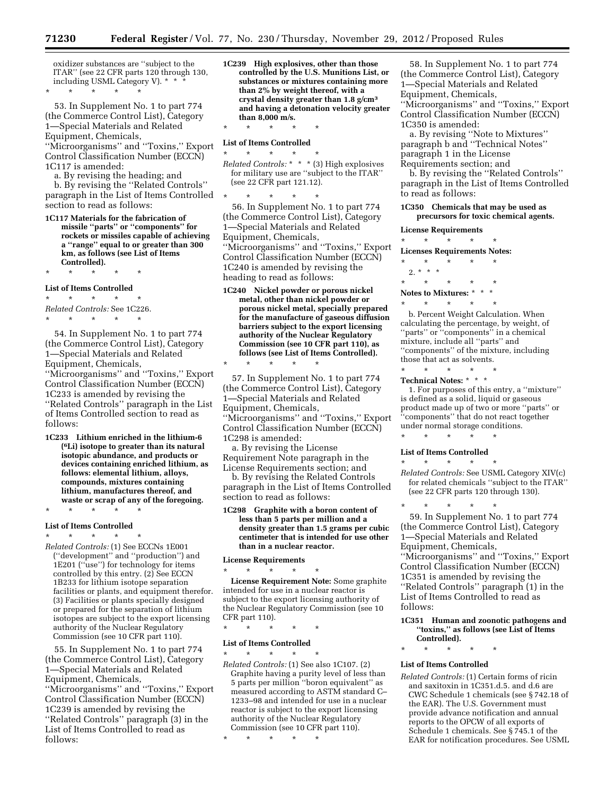oxidizer substances are ''subject to the ITAR'' (see 22 CFR parts 120 through 130, including USML Category V). \* \* \* \* \* \*

53. In Supplement No. 1 to part 774 (the Commerce Control List), Category 1—Special Materials and Related Equipment, Chemicals,

''Microorganisms'' and ''Toxins,'' Export Control Classification Number (ECCN) 1C117 is amended:

- a. By revising the heading; and b. By revising the ''Related Controls'' paragraph in the List of Items Controlled section to read as follows:
- **1C117 Materials for the fabrication of missile ''parts'' or ''components'' for rockets or missiles capable of achieving a ''range'' equal to or greater than 300 km, as follows (see List of Items Controlled).**

# \* \* \* \* \* **List of Items Controlled**

\* \* \* \* \* *Related Controls:* See 1C226.

\* \* \* \* \*

54. In Supplement No. 1 to part 774 (the Commerce Control List), Category 1—Special Materials and Related Equipment, Chemicals, ''Microorganisms'' and ''Toxins,'' Export Control Classification Number (ECCN) 1C233 is amended by revising the ''Related Controls'' paragraph in the List of Items Controlled section to read as follows:

**1C233 Lithium enriched in the lithium-6 (6Li) isotope to greater than its natural isotopic abundance, and products or devices containing enriched lithium, as follows: elemental lithium, alloys, compounds, mixtures containing lithium, manufactures thereof, and waste or scrap of any of the foregoing.** 

\* \* \* \* \*

#### **List of Items Controlled**

\* \* \* \* \* *Related Controls:* (1) See ECCNs 1E001

(''development'' and ''production'') and 1E201 (''use'') for technology for items controlled by this entry. (2) See ECCN 1B233 for lithium isotope separation facilities or plants, and equipment therefor. (3) Facilities or plants specially designed or prepared for the separation of lithium isotopes are subject to the export licensing authority of the Nuclear Regulatory Commission (see 10 CFR part 110).

55. In Supplement No. 1 to part 774 (the Commerce Control List), Category 1—Special Materials and Related Equipment, Chemicals, ''Microorganisms'' and ''Toxins,'' Export Control Classification Number (ECCN) 1C239 is amended by revising the ''Related Controls'' paragraph (3) in the List of Items Controlled to read as follows:

**1C239 High explosives, other than those controlled by the U.S. Munitions List, or substances or mixtures containing more than 2% by weight thereof, with a crystal density greater than 1.8 g/cm3 and having a detonation velocity greater than 8,000 m/s.** 

\* \* \* \* \*

#### **List of Items Controlled**   $\star$   $\star$   $\star$

*Related Controls:* \* \* \* (3) High explosives for military use are ''subject to the ITAR'' (see 22 CFR part 121.12).

\* \* \* \* \* 56. In Supplement No. 1 to part 774 (the Commerce Control List), Category 1—Special Materials and Related Equipment, Chemicals, ''Microorganisms'' and ''Toxins,'' Export Control Classification Number (ECCN) 1C240 is amended by revising the heading to read as follows:

**1C240 Nickel powder or porous nickel metal, other than nickel powder or porous nickel metal, specially prepared for the manufacture of gaseous diffusion barriers subject to the export licensing authority of the Nuclear Regulatory Commission (see 10 CFR part 110), as follows (see List of Items Controlled).**  \* \* \* \* \*

57. In Supplement No. 1 to part 774 (the Commerce Control List), Category 1—Special Materials and Related Equipment, Chemicals, ''Microorganisms'' and ''Toxins,'' Export Control Classification Number (ECCN) 1C298 is amended:

a. By revising the License Requirement Note paragraph in the License Requirements section; and

b. By revising the Related Controls paragraph in the List of Items Controlled section to read as follows:

**1C298 Graphite with a boron content of less than 5 parts per million and a density greater than 1.5 grams per cubic centimeter that is intended for use other than in a nuclear reactor.** 

**License Requirements**  \* \* \* \* \*

**License Requirement Note:** Some graphite intended for use in a nuclear reactor is subject to the export licensing authority of the Nuclear Regulatory Commission (see 10 CFR part 110).

\* \* \* \* \*

#### **List of Items Controlled**

\* \* \* \* \* *Related Controls:* (1) See also 1C107. (2) Graphite having a purity level of less than 5 parts per million ''boron equivalent'' as measured according to ASTM standard C– 1233–98 and intended for use in a nuclear reactor is subject to the export licensing authority of the Nuclear Regulatory Commission (see 10 CFR part 110).

\* \* \* \* \*

58. In Supplement No. 1 to part 774 (the Commerce Control List), Category 1—Special Materials and Related Equipment, Chemicals, ''Microorganisms'' and ''Toxins,'' Export Control Classification Number (ECCN) 1C350 is amended:

a. By revising ''Note to Mixtures'' paragraph b and ''Technical Notes'' paragraph 1 in the License Requirements section; and

b. By revising the ''Related Controls'' paragraph in the List of Items Controlled to read as follows:

**1C350 Chemicals that may be used as precursors for toxic chemical agents.** 

# **License Requirements**

\* \* \* \* \*

**Licenses Requirements Notes:** 

- \* \* \* \* \*  $2. * * * *$
- \* \* \* \* \* **Notes to Mixtures:** \* \* \*

\* \* \* \* \*

b. Percent Weight Calculation. When calculating the percentage, by weight, of ''parts'' or ''components'' in a chemical mixture, include all ''parts'' and ''components'' of the mixture, including those that act as solvents.

\* \* \* \* \* **Technical Notes:** \* \* \*

1. For purposes of this entry, a ''mixture'' is defined as a solid, liquid or gaseous product made up of two or more ''parts'' or ''components'' that do not react together under normal storage conditions. \* \* \* \* \*

# **List of Items Controlled**

\* \* \* \* \*

*Related Controls:* See USML Category XIV(c) for related chemicals ''subject to the ITAR'' (see 22 CFR parts 120 through 130).

\* \* \* \* \* 59. In Supplement No. 1 to part 774 (the Commerce Control List), Category 1—Special Materials and Related Equipment, Chemicals, ''Microorganisms'' and ''Toxins,'' Export Control Classification Number (ECCN) 1C351 is amended by revising the ''Related Controls'' paragraph (1) in the List of Items Controlled to read as follows:

**1C351 Human and zoonotic pathogens and ''toxins,'' as follows (see List of Items Controlled).** 

\* \* \* \* \*

#### **List of Items Controlled**

*Related Controls:* (1) Certain forms of ricin and saxitoxin in 1C351.d.5. and d.6 are CWC Schedule 1 chemicals (see § 742.18 of the EAR). The U.S. Government must provide advance notification and annual reports to the OPCW of all exports of Schedule 1 chemicals. See § 745.1 of the EAR for notification procedures. See USML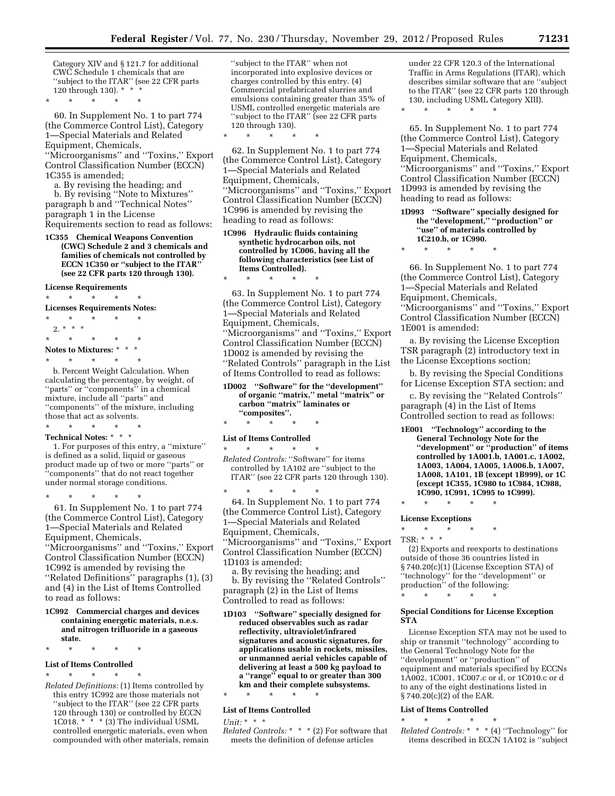Category XIV and § 121.7 for additional CWC Schedule 1 chemicals that are ''subject to the ITAR'' (see 22 CFR parts 120 through 130). \* \* \*

\* \* \* \* \*

60. In Supplement No. 1 to part 774 (the Commerce Control List), Category 1—Special Materials and Related Equipment, Chemicals, ''Microorganisms'' and ''Toxins,'' Export Control Classification Number (ECCN)

1C355 is amended;

a. By revising the heading; and

b. By revising ''Note to Mixtures'' paragraph b and ''Technical Notes'' paragraph 1 in the License Requirements section to read as follows:

**1C355 Chemical Weapons Convention (CWC) Schedule 2 and 3 chemicals and families of chemicals not controlled by ECCN 1C350 or ''subject to the ITAR'' (see 22 CFR parts 120 through 130).** 

**License Requirements** 

\* \* \* \* \*

**Licenses Requirements Notes:** 

- \* \* \* \* \* 2.  $*$   $*$   $*$
- \* \* \* \* \* **Notes to Mixtures:** \* \* \*

\* \* \* \* \*

b. Percent Weight Calculation. When calculating the percentage, by weight, of ''parts'' or ''components'' in a chemical mixture, include all ''parts'' and ''components'' of the mixture, including those that act as solvents.  $\star$   $\star$   $\star$ 

**Technical Notes:** \* \* \*

1. For purposes of this entry, a ''mixture'' is defined as a solid, liquid or gaseous product made up of two or more ''parts'' or ''components'' that do not react together under normal storage conditions.

\* \* \* \* \* 61. In Supplement No. 1 to part 774 (the Commerce Control List), Category 1—Special Materials and Related Equipment, Chemicals,

''Microorganisms'' and ''Toxins,'' Export Control Classification Number (ECCN) 1C992 is amended by revising the ''Related Definitions'' paragraphs (1), (3) and (4) in the List of Items Controlled to read as follows:

#### **1C992 Commercial charges and devices containing energetic materials, n.e.s. and nitrogen trifluoride in a gaseous state.**

\* \* \* \* \*

#### **List of Items Controlled**

\* \* \* \* \* *Related Definitions:* (1) Items controlled by this entry 1C992 are those materials not ''subject to the ITAR'' (see 22 CFR parts 120 through 130) or controlled by ECCN 1C018.  $*$   $*$   $*$  (3) The individual USML controlled energetic materials, even when compounded with other materials, remain

''subject to the ITAR'' when not incorporated into explosive devices or charges controlled by this entry. (4) Commercial prefabricated slurries and emulsions containing greater than 35% of USML controlled energetic materials are ''subject to the ITAR'' (see 22 CFR parts 120 through 130).

62. In Supplement No. 1 to part 774 (the Commerce Control List), Category 1—Special Materials and Related Equipment, Chemicals, ''Microorganisms'' and ''Toxins,'' Export Control Classification Number (ECCN) 1C996 is amended by revising the heading to read as follows:

\* \* \* \* \*

\* \* \* \* \*

**1C996 Hydraulic fluids containing synthetic hydrocarbon oils, not controlled by 1C006, having all the following characteristics (see List of Items Controlled).** 

63. In Supplement No. 1 to part 774 (the Commerce Control List), Category 1—Special Materials and Related Equipment, Chemicals, ''Microorganisms'' and ''Toxins,'' Export Control Classification Number (ECCN) 1D002 is amended by revising the ''Related Controls'' paragraph in the List of Items Controlled to read as follows:

**1D002 ''Software'' for the ''development'' of organic ''matrix,'' metal ''matrix'' or carbon ''matrix'' laminates or ''composites''.** 

\* \* \* \* \*

#### **List of Items Controlled**  \* \* \* \* \*

*Related Controls:* ''Software'' for items controlled by 1A102 are ''subject to the ITAR'' (see 22 CFR parts 120 through 130).

\* \* \* \* \* 64. In Supplement No. 1 to part 774 (the Commerce Control List), Category 1—Special Materials and Related Equipment, Chemicals, ''Microorganisms'' and ''Toxins,'' Export Control Classification Number (ECCN) 1D103 is amended:

a. By revising the heading; and b. By revising the ''Related Controls'' paragraph (2) in the List of Items Controlled to read as follows:

**1D103 ''Software'' specially designed for reduced observables such as radar reflectivity, ultraviolet/infrared signatures and acoustic signatures, for applications usable in rockets, missiles, or unmanned aerial vehicles capable of delivering at least a 500 kg payload to a ''range'' equal to or greater than 300 km and their complete subsystems.** 

\* \* \* \* \*

#### **List of Items Controlled**

*Unit:* \* \* \*

*Related Controls:* \* \* \* (2) For software that meets the definition of defense articles

under 22 CFR 120.3 of the International Traffic in Arms Regulations (ITAR), which describes similar software that are ''subject to the ITAR'' (see 22 CFR parts 120 through 130, including USML Category XIII).

\* \* \* \* \*

65. In Supplement No. 1 to part 774 (the Commerce Control List), Category 1—Special Materials and Related Equipment, Chemicals, ''Microorganisms'' and ''Toxins,'' Export Control Classification Number (ECCN) 1D993 is amended by revising the heading to read as follows:

- **1D993 ''Software'' specially designed for the ''development,'' ''production'' or ''use'' of materials controlled by 1C210.b, or 1C990.**
- 

 $\star$ 

66. In Supplement No. 1 to part 774 (the Commerce Control List), Category 1—Special Materials and Related Equipment, Chemicals, ''Microorganisms'' and ''Toxins,'' Export Control Classification Number (ECCN) 1E001 is amended:

a. By revising the License Exception TSR paragraph (2) introductory text in the License Exceptions section;

b. By revising the Special Conditions for License Exception STA section; and

c. By revising the ''Related Controls'' paragraph (4) in the List of Items Controlled section to read as follows:

**1E001 ''Technology'' according to the General Technology Note for the ''development'' or ''production'' of items controlled by 1A001.b, 1A001.c, 1A002, 1A003, 1A004, 1A005, 1A006.b, 1A007, 1A008, 1A101, 1B (except 1B999), or 1C (except 1C355, 1C980 to 1C984, 1C988, 1C990, 1C991, 1C995 to 1C999).** 

**License Exceptions** 

\* \* \* \* \*

\* \* \* \* \*

TSR: \* \* \*

(2) Exports and reexports to destinations outside of those 36 countries listed in § 740.20(c)(1) (License Exception STA) of ''technology'' for the ''development'' or production'' of the following: \* \* \* \* \*

#### **Special Conditions for License Exception STA**

License Exception STA may not be used to ship or transmit ''technology'' according to the General Technology Note for the ''development'' or ''production'' of equipment and materials specified by ECCNs 1A002, 1C001, 1C007.c or d, or 1C010.c or d to any of the eight destinations listed in § 740.20(c)(2) of the EAR.

#### **List of Items Controlled**

\* \* \* \* \*

*Related Controls:* \* \* \* (4) ''Technology'' for items described in ECCN 1A102 is ''subject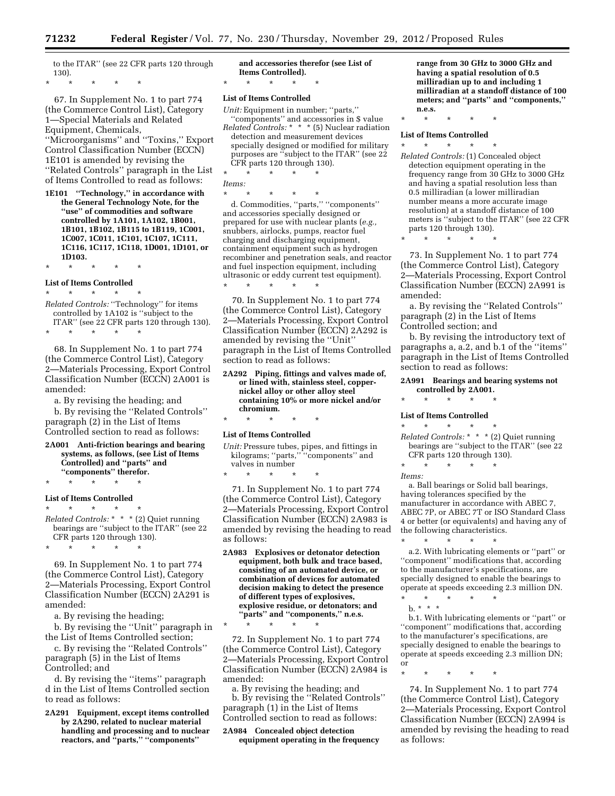to the ITAR'' (see 22 CFR parts 120 through 130).

\* \* \* \* \*

67. In Supplement No. 1 to part 774 (the Commerce Control List), Category 1—Special Materials and Related Equipment, Chemicals, ''Microorganisms'' and ''Toxins,'' Export Control Classification Number (ECCN) 1E101 is amended by revising the ''Related Controls'' paragraph in the List of Items Controlled to read as follows:

**1E101 ''Technology,'' in accordance with the General Technology Note, for the ''use'' of commodities and software controlled by 1A101, 1A102, 1B001, 1B101, 1B102, 1B115 to 1B119, 1C001, 1C007, 1C011, 1C101, 1C107, 1C111, 1C116, 1C117, 1C118, 1D001, 1D101, or 1D103.** 

\* \* \* \* \* **List of Items Controlled** 

\* \* \* \* \* *Related Controls:* ''Technology'' for items

controlled by 1A102 is ''subject to the ITAR'' (see 22 CFR parts 120 through 130).

\* \* \* \* \*

68. In Supplement No. 1 to part 774 (the Commerce Control List), Category 2—Materials Processing, Export Control Classification Number (ECCN) 2A001 is amended:

a. By revising the heading; and

b. By revising the ''Related Controls'' paragraph (2) in the List of Items Controlled section to read as follows:

**2A001 Anti-friction bearings and bearing systems, as follows, (see List of Items Controlled) and ''parts'' and ''components'' therefor.** 

\* \* \* \* \*

#### **List of Items Controlled**

 $\star$   $\star$   $\star$ *Related Controls:* \* \* \* (2) Quiet running bearings are ''subject to the ITAR'' (see 22 CFR parts 120 through 130).

\* \* \* \* \*

69. In Supplement No. 1 to part 774 (the Commerce Control List), Category 2—Materials Processing, Export Control Classification Number (ECCN) 2A291 is amended:

a. By revising the heading;

b. By revising the ''Unit'' paragraph in the List of Items Controlled section;

c. By revising the ''Related Controls'' paragraph (5) in the List of Items Controlled; and

d. By revising the ''items'' paragraph d in the List of Items Controlled section to read as follows:

**2A291 Equipment, except items controlled by 2A290, related to nuclear material handling and processing and to nuclear reactors, and ''parts,'' ''components''** 

**and accessories therefor (see List of Items Controlled).**  \* \* \* \* \*

#### **List of Items Controlled**

*Unit:* Equipment in number; ''parts,''

''components'' and accessories in \$ value *Related Controls:* \* \* \* (5) Nuclear radiation detection and measurement devices specially designed or modified for military purposes are ''subject to the ITAR'' (see 22 CFR parts 120 through 130).

\* \* \* \* \* *Items:* 

\* \* \* \* \* d. Commodities, ''parts,'' ''components'' and accessories specially designed or prepared for use with nuclear plants (*e.g.,*  snubbers, airlocks, pumps, reactor fuel charging and discharging equipment, containment equipment such as hydrogen recombiner and penetration seals, and reactor and fuel inspection equipment, including ultrasonic or eddy current test equipment). \* \* \* \* \*

70. In Supplement No. 1 to part 774 (the Commerce Control List), Category 2—Materials Processing, Export Control Classification Number (ECCN) 2A292 is amended by revising the ''Unit'' paragraph in the List of Items Controlled section to read as follows:

**2A292 Piping, fittings and valves made of, or lined with, stainless steel, coppernickel alloy or other alloy steel containing 10% or more nickel and/or chromium.** 

#### \* \* \* \* \*

#### **List of Items Controlled**

*Unit:* Pressure tubes, pipes, and fittings in kilograms; ''parts,'' ''components'' and valves in number

\* \* \* \* \*

\* \* \* \* \*

71. In Supplement No. 1 to part 774 (the Commerce Control List), Category 2—Materials Processing, Export Control Classification Number (ECCN) 2A983 is amended by revising the heading to read as follows:

**2A983 Explosives or detonator detection equipment, both bulk and trace based, consisting of an automated device, or combination of devices for automated decision making to detect the presence of different types of explosives, explosive residue, or detonators; and ''parts'' and ''components,'' n.e.s.** 

72. In Supplement No. 1 to part 774 (the Commerce Control List), Category 2—Materials Processing, Export Control Classification Number (ECCN) 2A984 is amended:

a. By revising the heading; and b. By revising the ''Related Controls'' paragraph (1) in the List of Items Controlled section to read as follows:

**2A984 Concealed object detection equipment operating in the frequency**  **range from 30 GHz to 3000 GHz and having a spatial resolution of 0.5 milliradian up to and including 1 milliradian at a standoff distance of 100 meters; and ''parts'' and ''components,'' n.e.s.** 

\* \* \* \* \*

#### **List of Items Controlled**

\* \* \* \* \* *Related Controls:* (1) Concealed object detection equipment operating in the frequency range from 30 GHz to 3000 GHz and having a spatial resolution less than 0.5 milliradian (a lower milliradian number means a more accurate image resolution) at a standoff distance of 100 meters is ''subject to the ITAR'' (see 22 CFR parts 120 through 130).

\* \* \* \* \*

73. In Supplement No. 1 to part 774 (the Commerce Control List), Category 2—Materials Processing, Export Control Classification Number (ECCN) 2A991 is amended:

a. By revising the ''Related Controls'' paragraph (2) in the List of Items Controlled section; and

b. By revising the introductory text of paragraphs a, a.2, and b.1 of the ''items'' paragraph in the List of Items Controlled section to read as follows:

#### **2A991 Bearings and bearing systems not controlled by 2A001.**

\* \* \* \* \*

#### **List of Items Controlled**

\* \* \* \* \* *Related Controls:* \* \* \* (2) Quiet running bearings are ''subject to the ITAR'' (see 22 CFR parts 120 through 130).

\* \* \* \* \*

*Items:* 

a. Ball bearings or Solid ball bearings, having tolerances specified by the manufacturer in accordance with ABEC 7, ABEC 7P, or ABEC 7T or ISO Standard Class 4 or better (or equivalents) and having any of the following characteristics.

\* \* \* \* \* a.2. With lubricating elements or ''part'' or ''component'' modifications that, according to the manufacturer's specifications, are specially designed to enable the bearings to operate at speeds exceeding 2.3 million DN. \* \* \* \* \*

 $b. * * * *$ 

b.1. With lubricating elements or ''part'' or ''component'' modifications that, according to the manufacturer's specifications, are specially designed to enable the bearings to operate at speeds exceeding 2.3 million DN; or

\* \* \* \* \*

74. In Supplement No. 1 to part 774 (the Commerce Control List), Category 2—Materials Processing, Export Control Classification Number (ECCN) 2A994 is amended by revising the heading to read as follows: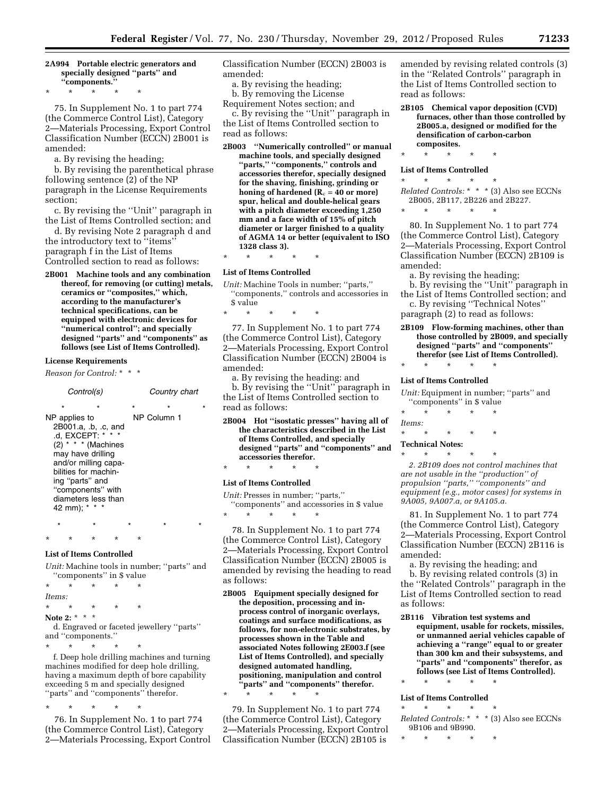#### **2A994 Portable electric generators and specially designed ''parts'' and ''components.''**

\* \* \* \* \*

75. In Supplement No. 1 to part 774 (the Commerce Control List), Category 2—Materials Processing, Export Control Classification Number (ECCN) 2B001 is amended:

a. By revising the heading;

b. By revising the parenthetical phrase following sentence (2) of the NP paragraph in the License Requirements section;

c. By revising the ''Unit'' paragraph in the List of Items Controlled section; and

d. By revising Note 2 paragraph d and the introductory text to ''items'' paragraph f in the List of Items Controlled section to read as follows:

**2B001 Machine tools and any combination thereof, for removing (or cutting) metals, ceramics or ''composites,'' which, according to the manufacturer's technical specifications, can be equipped with electronic devices for ''numerical control''; and specially designed ''parts'' and ''components'' as follows (see List of Items Controlled).** 

#### **License Requirements**

*Reason for Control:* \* \* \*

*Control(s) Country chart*  \* \* \* \* \* NP applies to 2B001.a, .b, .c, and .d, EXCEPT: \* \* \*  $(2)$  \* \* \* (Machines may have drilling and/or milling capabilities for machining ''parts'' and ''components'' with diameters less than 42 mm); \* \* \* NP Column 1

\* \* \* \* \*

# **List of Items Controlled**

*Unit:* Machine tools in number; ''parts'' and ''components'' in \$ value

\* \* \* \* \*

\* \* \* \* \* *Items:*  \* \* \* \* \*

**Note 2:** \* \* \* d. Engraved or faceted jewellery ''parts'' and ''components.''

\* \* \* \* \*

f. Deep hole drilling machines and turning machines modified for deep hole drilling, having a maximum depth of bore capability exceeding 5 m and specially designed ''parts'' and ''components'' therefor.

\* \* \* \* \*

76. In Supplement No. 1 to part 774 (the Commerce Control List), Category 2—Materials Processing, Export Control Classification Number (ECCN) 2B003 is amended:

- a. By revising the heading;
- b. By removing the License

Requirement Notes section; and

c. By revising the ''Unit'' paragraph in the List of Items Controlled section to read as follows:

**2B003 ''Numerically controlled'' or manual machine tools, and specially designed ''parts,'' ''components,'' controls and accessories therefor, specially designed for the shaving, finishing, grinding or honing of hardened**  $(R_c = 40 \text{ or more})$ **spur, helical and double-helical gears with a pitch diameter exceeding 1,250 mm and a face width of 15% of pitch diameter or larger finished to a quality of AGMA 14 or better (equivalent to ISO 1328 class 3).** 

\* \* \* \* \*

#### **List of Items Controlled**

*Unit:* Machine Tools in number; ''parts,'' ''components,'' controls and accessories in \$ value

\* \* \* \* \*

77. In Supplement No. 1 to part 774 (the Commerce Control List), Category 2—Materials Processing, Export Control Classification Number (ECCN) 2B004 is amended:

a. By revising the heading: and

b. By revising the ''Unit'' paragraph in the List of Items Controlled section to read as follows:

**2B004 Hot ''isostatic presses'' having all of the characteristics described in the List of Items Controlled, and specially designed ''parts'' and ''components'' and accessories therefor.** 

\* \* \* \* \*

#### **List of Items Controlled**

*Unit:* Presses in number; ''parts,'' ''components'' and accessories in \$ value \* \* \* \* \*

78. In Supplement No. 1 to part 774 (the Commerce Control List), Category 2—Materials Processing, Export Control Classification Number (ECCN) 2B005 is amended by revising the heading to read as follows:

**2B005 Equipment specially designed for the deposition, processing and inprocess control of inorganic overlays, coatings and surface modifications, as follows, for non-electronic substrates, by processes shown in the Table and associated Notes following 2E003.f (see List of Items Controlled), and specially designed automated handling, positioning, manipulation and control ''parts'' and ''components'' therefor.** 

79. In Supplement No. 1 to part 774 (the Commerce Control List), Category 2—Materials Processing, Export Control Classification Number (ECCN) 2B105 is

\* \* \* \* \*

amended by revising related controls (3) in the ''Related Controls'' paragraph in the List of Items Controlled section to read as follows:

**2B105 Chemical vapor deposition (CVD) furnaces, other than those controlled by 2B005.a, designed or modified for the densification of carbon-carbon composites.** 

\* \* \* \* \*

#### **List of Items Controlled**

\* \* \* \* \* *Related Controls:* \* \* \* (3) Also see ECCNs 2B005, 2B117, 2B226 and 2B227.

\* \* \* \* \*

80. In Supplement No. 1 to part 774 (the Commerce Control List), Category 2—Materials Processing, Export Control Classification Number (ECCN) 2B109 is amended:

- a. By revising the heading;
- b. By revising the ''Unit'' paragraph in the List of Items Controlled section; and
- c. By revising ''Technical Notes'' paragraph (2) to read as follows:
- **2B109 Flow-forming machines, other than those controlled by 2B009, and specially designed ''parts'' and ''components'' therefor (see List of Items Controlled).**

# \* \* \* \* \* **List of Items Controlled**

*Unit:* Equipment in number; ''parts'' and ''components'' in \$ value

\* \* \* \* \* *Items:*  \* \* \* \* \* **Technical Notes:** 

\* \* \* \* \* *2. 2B109 does not control machines that are not usable in the ''production'' of propulsion ''parts,'' ''components'' and equipment (e.g., motor cases) for systems in 9A005, 9A007.a, or 9A105.a.* 

81. In Supplement No. 1 to part 774 (the Commerce Control List), Category 2—Materials Processing, Export Control Classification Number (ECCN) 2B116 is amended:

a. By revising the heading; and

b. By revising related controls (3) in the ''Related Controls'' paragraph in the List of Items Controlled section to read as follows:

**2B116 Vibration test systems and equipment, usable for rockets, missiles, or unmanned aerial vehicles capable of achieving a ''range'' equal to or greater than 300 km and their subsystems, and ''parts'' and ''components'' therefor, as follows (see List of Items Controlled).**  \* \* \* \* \*

#### **List of Items Controlled**

\* \* \* \* \* *Related Controls:* \* \* \* (3) Also see ECCNs 9B106 and 9B990.

\* \* \* \* \*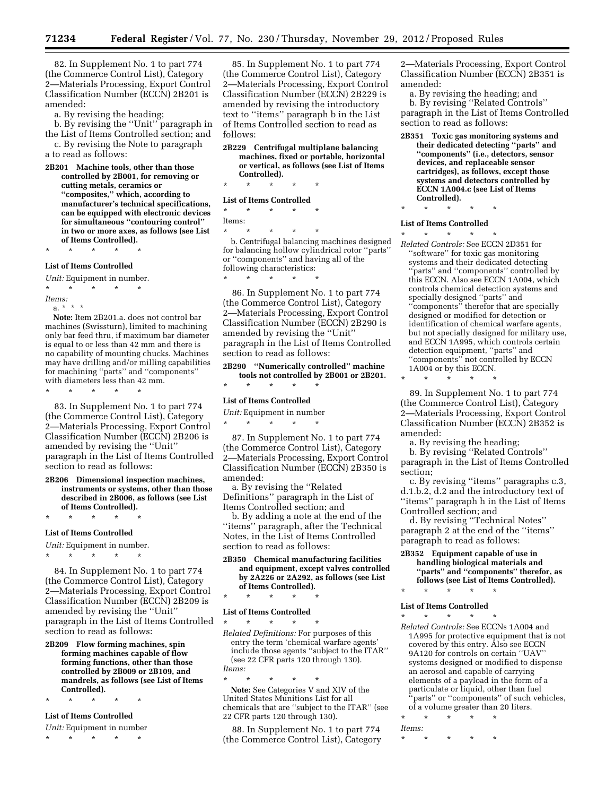82. In Supplement No. 1 to part 774 (the Commerce Control List), Category 2—Materials Processing, Export Control Classification Number (ECCN) 2B201 is amended:

a. By revising the heading;

b. By revising the ''Unit'' paragraph in the List of Items Controlled section; and

c. By revising the Note to paragraph a to read as follows:

**2B201 Machine tools, other than those controlled by 2B001, for removing or cutting metals, ceramics or ''composites,'' which, according to manufacturer's technical specifications, can be equipped with electronic devices for simultaneous ''contouring control'' in two or more axes, as follows (see List of Items Controlled).** 

\* \* \* \* \*

#### **List of Items Controlled**

*Unit:* Equipment in number. \* \* \* \* \* *Items:* 

a. \* \* \*

**Note:** Item 2B201.a. does not control bar machines (Swissturn), limited to machining only bar feed thru, if maximum bar diameter is equal to or less than 42 mm and there is no capability of mounting chucks. Machines may have drilling and/or milling capabilities for machining ''parts'' and ''components'' with diameters less than 42 mm.

\* \* \* \* \*

83. In Supplement No. 1 to part 774 (the Commerce Control List), Category 2—Materials Processing, Export Control Classification Number (ECCN) 2B206 is amended by revising the ''Unit'' paragraph in the List of Items Controlled section to read as follows:

**2B206 Dimensional inspection machines, instruments or systems, other than those described in 2B006, as follows (see List of Items Controlled).** 

\* \* \* \* \*

#### **List of Items Controlled**

*Unit:* Equipment in number. \* \* \* \* \*

84. In Supplement No. 1 to part 774 (the Commerce Control List), Category 2—Materials Processing, Export Control Classification Number (ECCN) 2B209 is amended by revising the ''Unit'' paragraph in the List of Items Controlled section to read as follows:

**2B209 Flow forming machines, spin forming machines capable of flow forming functions, other than those controlled by 2B009 or 2B109, and mandrels, as follows (see List of Items Controlled).** 

# \* \* \* \* \* **List of Items Controlled**

*Unit:* Equipment in number

\* \* \* \* \*

85. In Supplement No. 1 to part 774 (the Commerce Control List), Category 2—Materials Processing, Export Control Classification Number (ECCN) 2B229 is amended by revising the introductory text to ''items'' paragraph b in the List of Items Controlled section to read as follows:

**2B229 Centrifugal multiplane balancing machines, fixed or portable, horizontal or vertical, as follows (see List of Items Controlled).** 

# \* \* \* \* \* **List of Items Controlled**

# \* \* \* \* \*

Items: \* \* \* \* \*

b. Centrifugal balancing machines designed for balancing hollow cylindrical rotor ''parts'' or ''components'' and having all of the following characteristics:<br> $*$   $*$   $*$   $*$   $*$ 

\* \* \* \* \*

86. In Supplement No. 1 to part 774 (the Commerce Control List), Category 2—Materials Processing, Export Control Classification Number (ECCN) 2B290 is amended by revising the ''Unit'' paragraph in the List of Items Controlled section to read as follows:

**2B290 ''Numerically controlled'' machine tools not controlled by 2B001 or 2B201.**  \* \* \* \* \*

# **List of Items Controlled**

*Unit:* Equipment in number \* \* \* \* \*

87. In Supplement No. 1 to part 774 (the Commerce Control List), Category 2—Materials Processing, Export Control Classification Number (ECCN) 2B350 is amended:

a. By revising the ''Related Definitions'' paragraph in the List of Items Controlled section; and

b. By adding a note at the end of the ''items'' paragraph, after the Technical Notes, in the List of Items Controlled section to read as follows:

- **2B350 Chemical manufacturing facilities and equipment, except valves controlled by 2A226 or 2A292, as follows (see List of Items Controlled).**
- \* \* \* \* \*

#### **List of Items Controlled**  \* \* \* \* \*

*Related Definitions:* For purposes of this entry the term 'chemical warfare agents' include those agents ''subject to the ITAR'' (see 22 CFR parts 120 through 130). *Items:* 

\* \* \* \* \* **Note:** See Categories V and XIV of the United States Munitions List for all chemicals that are ''subject to the ITAR'' (see 22 CFR parts 120 through 130).

88. In Supplement No. 1 to part 774 (the Commerce Control List), Category

2—Materials Processing, Export Control Classification Number (ECCN) 2B351 is amended:

a. By revising the heading; and b. By revising ''Related Controls'' paragraph in the List of Items Controlled section to read as follows:

**2B351 Toxic gas monitoring systems and their dedicated detecting ''parts'' and ''components'' (i.e., detectors, sensor devices, and replaceable sensor cartridges), as follows, except those systems and detectors controlled by ECCN 1A004.c (see List of Items Controlled).** 

\* \* \* \* \*

#### **List of Items Controlled**

\* \* \* \* \* *Related Controls:* See ECCN 2D351 for ''software'' for toxic gas monitoring systems and their dedicated detecting 'parts" and "components" controlled by this ECCN. Also see ECCN 1A004, which controls chemical detection systems and specially designed ''parts'' and ''components'' therefor that are specially designed or modified for detection or identification of chemical warfare agents, but not specially designed for military use, and ECCN 1A995, which controls certain detection equipment, ''parts'' and ''components'' not controlled by ECCN 1A004 or by this ECCN.

\* \* \* \* \*

89. In Supplement No. 1 to part 774 (the Commerce Control List), Category 2—Materials Processing, Export Control Classification Number (ECCN) 2B352 is amended:

a. By revising the heading;

b. By revising ''Related Controls'' paragraph in the List of Items Controlled section;

c. By revising ''items'' paragraphs c.3, d.1.b.2, d.2 and the introductory text of ''items'' paragraph h in the List of Items Controlled section; and

d. By revising ''Technical Notes'' paragraph 2 at the end of the ''items'' paragraph to read as follows:

**2B352 Equipment capable of use in handling biological materials and ''parts'' and ''components'' therefor, as follows (see List of Items Controlled).** 

# \* \* \* \* \* **List of Items Controlled**

- \* \* \* \* \* *Related Controls:* See ECCNs 1A004 and 1A995 for protective equipment that is not covered by this entry. Also see ECCN 9A120 for controls on certain ''UAV'' systems designed or modified to dispense an aerosol and capable of carrying elements of a payload in the form of a particulate or liquid, other than fuel 'parts'' or "components" of such vehicles, of a volume greater than 20 liters.
- \* \* \* \* \* *Items:*

\* \* \* \* \*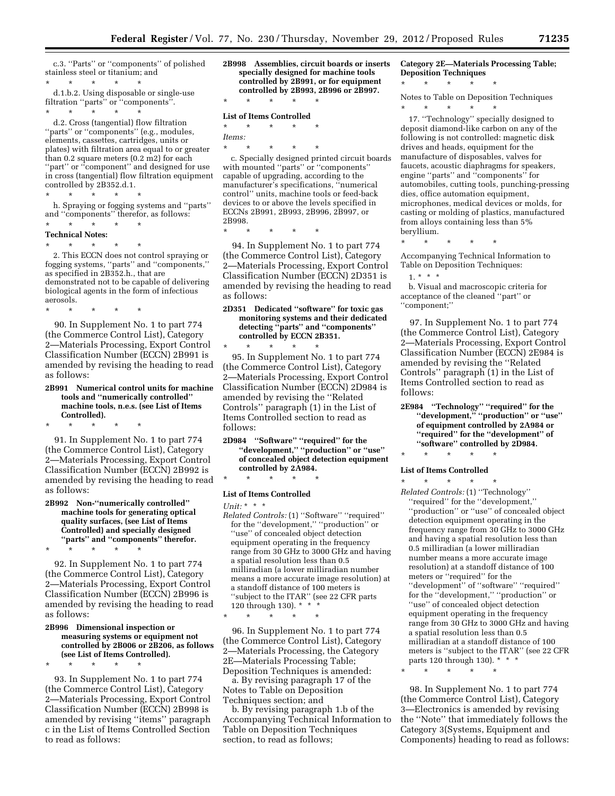c.3. ''Parts'' or ''components'' of polished stainless steel or titanium; and \* \* \* \* \*

d.1.b.2. Using disposable or single-use filtration ''parts'' or ''components''. \* \* \* \* \*

d.2. Cross (tangential) flow filtration 'parts'' or "components" (e.g., modules, elements, cassettes, cartridges, units or plates) with filtration area equal to or greater than 0.2 square meters (0.2 m2) for each "part" or "component" and designed for use in cross (tangential) flow filtration equipment controlled by 2B352.d.1.

\* \* \* \* \* h. Spraying or fogging systems and ''parts'' and ''components'' therefor, as follows:

- \* \* \* \* \*
- **Technical Notes:**
- \* \* \* \* \*

2. This ECCN does not control spraying or fogging systems, ''parts'' and ''components,'' as specified in 2B352.h., that are demonstrated not to be capable of delivering biological agents in the form of infectious aerosols.

\* \* \* \* \*

90. In Supplement No. 1 to part 774 (the Commerce Control List), Category 2—Materials Processing, Export Control Classification Number (ECCN) 2B991 is amended by revising the heading to read as follows:

**2B991 Numerical control units for machine tools and ''numerically controlled'' machine tools, n.e.s. (see List of Items Controlled).** 

\* \* \* \* \* 91. In Supplement No. 1 to part 774 (the Commerce Control List), Category 2—Materials Processing, Export Control Classification Number (ECCN) 2B992 is

as follows: **2B992 Non-''numerically controlled'' machine tools for generating optical quality surfaces, (see List of Items Controlled) and specially designed ''parts'' and ''components'' therefor.** 

amended by revising the heading to read

\* \* \* \* \*

\* \* \* \* \*

92. In Supplement No. 1 to part 774 (the Commerce Control List), Category 2—Materials Processing, Export Control Classification Number (ECCN) 2B996 is amended by revising the heading to read as follows:

#### **2B996 Dimensional inspection or measuring systems or equipment not controlled by 2B006 or 2B206, as follows (see List of Items Controlled).**

93. In Supplement No. 1 to part 774 (the Commerce Control List), Category 2—Materials Processing, Export Control Classification Number (ECCN) 2B998 is amended by revising ''items'' paragraph c in the List of Items Controlled Section to read as follows:

**2B998 Assemblies, circuit boards or inserts specially designed for machine tools controlled by 2B991, or for equipment controlled by 2B993, 2B996 or 2B997.** 

# \* \* \* \* \* **List of Items Controlled**

\* \* \* \* \* *Items:* 

\* \* \* \* \* c. Specially designed printed circuit boards with mounted ''parts'' or ''components'' capable of upgrading, according to the manufacturer's specifications, ''numerical control'' units, machine tools or feed-back devices to or above the levels specified in ECCNs 2B991, 2B993, 2B996, 2B997, or 2B998.

\* \* \* \* \*

94. In Supplement No. 1 to part 774 (the Commerce Control List), Category 2—Materials Processing, Export Control Classification Number (ECCN) 2D351 is amended by revising the heading to read as follows:

**2D351 Dedicated ''software'' for toxic gas monitoring systems and their dedicated detecting ''parts'' and ''components'' controlled by ECCN 2B351.**  \* \* \* \* \*

95. In Supplement No. 1 to part 774 (the Commerce Control List), Category 2—Materials Processing, Export Control Classification Number (ECCN) 2D984 is amended by revising the ''Related Controls'' paragraph (1) in the List of Items Controlled section to read as follows:

**2D984 ''Software'' ''required'' for the ''development,'' ''production'' or ''use'' of concealed object detection equipment controlled by 2A984.** 

# \* \* \* \* \*

# **List of Items Controlled**

\* \* \* \* \*

*Unit:* \* \* \*

*Related Controls:* (1) ''Software'' ''required'' for the ''development,'' ''production'' or ''use'' of concealed object detection equipment operating in the frequency range from 30 GHz to 3000 GHz and having a spatial resolution less than 0.5 milliradian (a lower milliradian number means a more accurate image resolution) at a standoff distance of 100 meters is ''subject to the ITAR'' (see 22 CFR parts 120 through 130). \* \* \*

96. In Supplement No. 1 to part 774 (the Commerce Control List), Category 2—Materials Processing, the Category 2E—Materials Processing Table; Deposition Techniques is amended:

a. By revising paragraph 17 of the Notes to Table on Deposition Techniques section; and

b. By revising paragraph 1.b of the Accompanying Technical Information to Table on Deposition Techniques section, to read as follows;

**Category 2E—Materials Processing Table; Deposition Techniques** 

Notes to Table on Deposition Techniques \* \* \* \* \*

\* \* \* \* \*

17. ''Technology'' specially designed to deposit diamond-like carbon on any of the following is not controlled: magnetic disk drives and heads, equipment for the manufacture of disposables, valves for faucets, acoustic diaphragms for speakers, engine ''parts'' and ''components'' for automobiles, cutting tools, punching-pressing dies, office automation equipment, microphones, medical devices or molds, for casting or molding of plastics, manufactured from alloys containing less than 5% beryllium.

\* \* \* \* \*

Accompanying Technical Information to Table on Deposition Techniques:

 $1. * * * *$ b. Visual and macroscopic criteria for acceptance of the cleaned ''part'' or ''component;''

97. In Supplement No. 1 to part 774 (the Commerce Control List), Category 2—Materials Processing, Export Control Classification Number (ECCN) 2E984 is amended by revising the ''Related Controls'' paragraph (1) in the List of Items Controlled section to read as follows:

**2E984 ''Technology'' ''required'' for the ''development,'' ''production'' or ''use'' of equipment controlled by 2A984 or ''required'' for the ''development'' of ''software'' controlled by 2D984.** 

# \* \* \* \* \*

#### **List of Items Controlled**

\* \* \* \* \* *Related Controls:* (1) ''Technology'' ''required'' for the ''development,'' ''production'' or ''use'' of concealed object detection equipment operating in the frequency range from 30 GHz to 3000 GHz and having a spatial resolution less than 0.5 milliradian (a lower milliradian number means a more accurate image resolution) at a standoff distance of 100 meters or ''required'' for the ''development'' of ''software'' ''required'' for the ''development,'' ''production'' or ''use'' of concealed object detection equipment operating in the frequency range from 30 GHz to 3000 GHz and having a spatial resolution less than 0.5 milliradian at a standoff distance of 100 meters is ''subject to the ITAR'' (see 22 CFR parts 120 through 130). \* \* \*

\* \* \* \* \*

98. In Supplement No. 1 to part 774 (the Commerce Control List), Category 3—Electronics is amended by revising the ''Note'' that immediately follows the Category 3(Systems, Equipment and Components) heading to read as follows: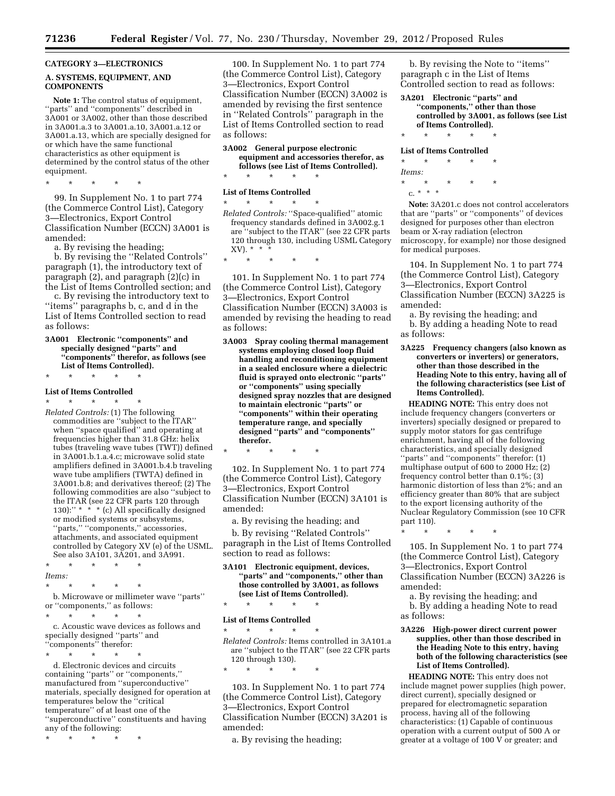# **CATEGORY 3—ELECTRONICS**

#### **A. SYSTEMS, EQUIPMENT, AND COMPONENTS**

**Note 1:** The control status of equipment, ''parts'' and ''components'' described in 3A001 or 3A002, other than those described in 3A001.a.3 to 3A001.a.10, 3A001.a.12 or 3A001.a.13, which are specially designed for or which have the same functional characteristics as other equipment is determined by the control status of the other equipment.

\* \* \* \* \*

99. In Supplement No. 1 to part 774 (the Commerce Control List), Category 3—Electronics, Export Control Classification Number (ECCN) 3A001 is amended:

a. By revising the heading;

b. By revising the ''Related Controls'' paragraph (1), the introductory text of paragraph (2), and paragraph (2)(c) in the List of Items Controlled section; and

c. By revising the introductory text to ''items'' paragraphs b, c, and d in the List of Items Controlled section to read as follows:

**3A001 Electronic ''components'' and specially designed ''parts'' and ''components'' therefor, as follows (see List of Items Controlled).** 

#### \* \* \* \* \*

#### **List of Items Controlled**

\* \* \* \* \* *Related Controls:* (1) The following commodities are ''subject to the ITAR'' when ''space qualified'' and operating at frequencies higher than 31.8 GHz: helix tubes (traveling wave tubes (TWT)) defined in 3A001.b.1.a.4.c; microwave solid state amplifiers defined in 3A001.b.4.b traveling wave tube amplifiers (TWTA) defined in 3A001.b.8; and derivatives thereof; (2) The following commodities are also ''subject to the ITAR (see 22 CFR parts 120 through 130):" \* \* \* (c) All specifically designed or modified systems or subsystems, "parts," "components," accessories, attachments, and associated equipment controlled by Category XV (e) of the USML. See also 3A101, 3A201, and 3A991.

- \* \* \* \* \* *Items:*
- \* \* \* \* \*

b. Microwave or millimeter wave ''parts'' or ''components,'' as follows:

\* \* \* \* \* c. Acoustic wave devices as follows and specially designed ''parts'' and

''components'' therefor:

\* \* \* \* \* d. Electronic devices and circuits containing ''parts'' or ''components,'' manufactured from ''superconductive'' materials, specially designed for operation at temperatures below the ''critical temperature'' of at least one of the ''superconductive'' constituents and having any of the following:

\* \* \* \* \*

100. In Supplement No. 1 to part 774 (the Commerce Control List), Category 3—Electronics, Export Control Classification Number (ECCN) 3A002 is amended by revising the first sentence in ''Related Controls'' paragraph in the List of Items Controlled section to read as follows:

**3A002 General purpose electronic equipment and accessories therefor, as follows (see List of Items Controlled).** 

\* \* \* \* \*

# **List of Items Controlled**

\* \* \* \* \* *Related Controls:* ''Space-qualified'' atomic frequency standards defined in 3A002.g.1 are "subject to the ITAR" (see 22 CFR parts 120 through 130, including USML Category  $XV$ ).  $*$ 

\* \* \* \* \*

101. In Supplement No. 1 to part 774 (the Commerce Control List), Category 3—Electronics, Export Control Classification Number (ECCN) 3A003 is amended by revising the heading to read as follows:

**3A003 Spray cooling thermal management systems employing closed loop fluid handling and reconditioning equipment in a sealed enclosure where a dielectric fluid is sprayed onto electronic ''parts'' or ''components'' using specially designed spray nozzles that are designed to maintain electronic ''parts'' or ''components'' within their operating temperature range, and specially designed ''parts'' and ''components'' therefor.** 

\* \* \* \* \*

102. In Supplement No. 1 to part 774 (the Commerce Control List), Category 3—Electronics, Export Control Classification Number (ECCN) 3A101 is amended:

a. By revising the heading; and

b. By revising ''Related Controls'' paragraph in the List of Items Controlled section to read as follows:

**3A101 Electronic equipment, devices, ''parts'' and ''components,'' other than those controlled by 3A001, as follows (see List of Items Controlled).** 

\* \* \* \* \*

#### **List of Items Controlled**

\* \* \* \* \* *Related Controls:* Items controlled in 3A101.a are ''subject to the ITAR'' (see 22 CFR parts 120 through 130).

\* \* \* \* \*

103. In Supplement No. 1 to part 774 (the Commerce Control List), Category 3—Electronics, Export Control Classification Number (ECCN) 3A201 is amended:

a. By revising the heading;

b. By revising the Note to ''items'' paragraph c in the List of Items Controlled section to read as follows:

#### **3A201 Electronic ''parts'' and ''components,'' other than those controlled by 3A001, as follows (see List of Items Controlled).**

# \* \* \* \* \* **List of Items Controlled**

\* \* \* \* \*

*Items:* 

\* \* \* \* \* c. \* \* \*

**Note:** 3A201.c does not control accelerators that are ''parts'' or ''components'' of devices designed for purposes other than electron beam or X-ray radiation (electron microscopy, for example) nor those designed for medical purposes.

104. In Supplement No. 1 to part 774 (the Commerce Control List), Category 3—Electronics, Export Control Classification Number (ECCN) 3A225 is amended:

a. By revising the heading; and

b. By adding a heading Note to read as follows:

**3A225 Frequency changers (also known as converters or inverters) or generators, other than those described in the Heading Note to this entry, having all of the following characteristics (see List of Items Controlled).** 

**HEADING NOTE:** This entry does not include frequency changers (converters or inverters) specially designed or prepared to supply motor stators for gas centrifuge enrichment, having all of the following characteristics, and specially designed "parts" and "components" therefor: (1) multiphase output of 600 to 2000 Hz; (2) frequency control better than 0.1%; (3) harmonic distortion of less than 2%; and an efficiency greater than 80% that are subject to the export licensing authority of the Nuclear Regulatory Commission (see 10 CFR part 110).

\* \* \* \* \*

105. In Supplement No. 1 to part 774 (the Commerce Control List), Category 3—Electronics, Export Control Classification Number (ECCN) 3A226 is amended:

a. By revising the heading; and

b. By adding a heading Note to read as follows:

**3A226 High-power direct current power supplies, other than those described in the Heading Note to this entry, having both of the following characteristics (see List of Items Controlled).** 

**HEADING NOTE:** This entry does not include magnet power supplies (high power, direct current), specially designed or prepared for electromagnetic separation process, having all of the following characteristics: (1) Capable of continuous operation with a current output of 500 A or greater at a voltage of 100 V or greater; and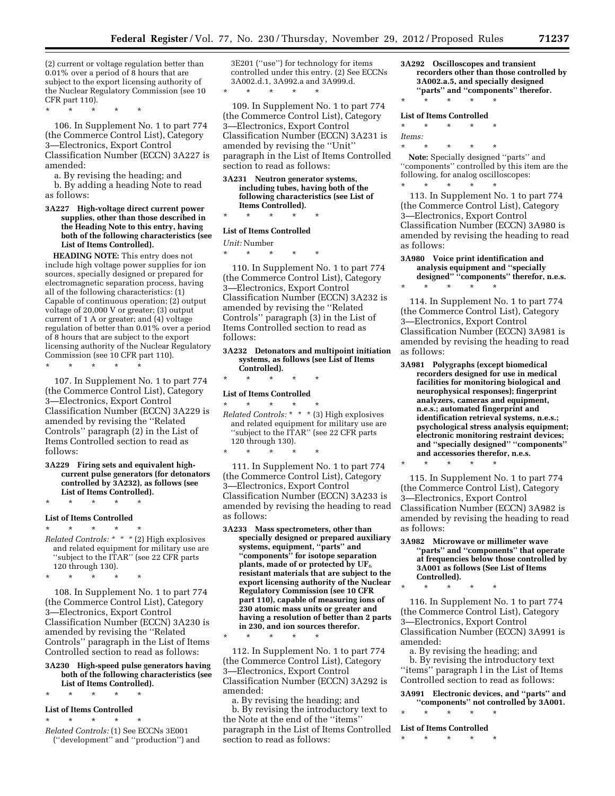(2) current or voltage regulation better than 0.01% over a period of 8 hours that are subject to the export licensing authority of the Nuclear Regulatory Commission (see 10 CFR part 110).

\* \* \* \* \*

106. In Supplement No. 1 to part 774 (the Commerce Control List), Category 3—Electronics, Export Control Classification Number (ECCN) 3A227 is amended:

- a. By revising the heading; and b. By adding a heading Note to read as follows:
- **3A227 High-voltage direct current power supplies, other than those described in the Heading Note to this entry, having both of the following characteristics (see List of Items Controlled).**

**HEADING NOTE:** This entry does not include high voltage power supplies for ion sources, specially designed or prepared for electromagnetic separation process, having all of the following characteristics: (1) Capable of continuous operation; (2) output voltage of 20,000 V or greater; (3) output current of 1 A or greater; and (4) voltage regulation of better than 0.01% over a period of 8 hours that are subject to the export licensing authority of the Nuclear Regulatory Commission (see 10 CFR part 110).

 $\star$   $\qquad$   $\star$   $\qquad$   $\star$ 

107. In Supplement No. 1 to part 774 (the Commerce Control List), Category 3—Electronics, Export Control Classification Number (ECCN) 3A229 is amended by revising the ''Related Controls'' paragraph (2) in the List of Items Controlled section to read as follows:

**3A229 Firing sets and equivalent highcurrent pulse generators (for detonators controlled by 3A232), as follows (see List of Items Controlled).** 

\* \* \* \* \*

#### **List of Items Controlled**

\* \* \* \* \* *Related Controls: \* \* \** (2) High explosives and related equipment for military use are ''subject to the ITAR'' (see 22 CFR parts 120 through 130).

\* \* \* \* \*

108. In Supplement No. 1 to part 774 (the Commerce Control List), Category 3—Electronics, Export Control Classification Number (ECCN) 3A230 is amended by revising the ''Related Controls'' paragraph in the List of Items Controlled section to read as follows:

- **3A230 High-speed pulse generators having both of the following characteristics (see List of Items Controlled).**
- \* \* \* \* \*

#### **List of Items Controlled**

\* \* \* \* \*

*Related Controls:* (1) See ECCNs 3E001 (''development'' and ''production'') and 3E201 (''use'') for technology for items controlled under this entry. (2) See ECCNs 3A002.d.1, 3A992.a and 3A999.d.

109. In Supplement No. 1 to part 774 (the Commerce Control List), Category 3—Electronics, Export Control Classification Number (ECCN) 3A231 is amended by revising the ''Unit'' paragraph in the List of Items Controlled section to read as follows:

**3A231 Neutron generator systems, including tubes, having both of the following characteristics (see List of Items Controlled).**  \* \* \* \* \*

#### **List of Items Controlled**

\* \* \* \* \*

#### *Unit:* Number

\* \* \* \* \*

110. In Supplement No. 1 to part 774 (the Commerce Control List), Category 3—Electronics, Export Control Classification Number (ECCN) 3A232 is amended by revising the ''Related Controls'' paragraph (3) in the List of Items Controlled section to read as follows:

#### **3A232 Detonators and multipoint initiation systems, as follows (see List of Items Controlled).**

\* \* \* \* \*

# **List of Items Controlled**

\* \* \* \* \*

\* \* \* \* \*

\* \* \* \* \* *Related Controls:* \* \* \* (3) High explosives and related equipment for military use are ''subject to the ITAR'' (see 22 CFR parts 120 through 130).

111. In Supplement No. 1 to part 774 (the Commerce Control List), Category 3—Electronics, Export Control Classification Number (ECCN) 3A233 is amended by revising the heading to read as follows:

**3A233 Mass spectrometers, other than specially designed or prepared auxiliary systems, equipment, ''parts'' and ''components'' for isotope separation plants, made of or protected by UF**6 **resistant materials that are subject to the export licensing authority of the Nuclear Regulatory Commission (see 10 CFR part 110), capable of measuring ions of 230 atomic mass units or greater and having a resolution of better than 2 parts in 230, and ion sources therefor.** 

112. In Supplement No. 1 to part 774 (the Commerce Control List), Category 3—Electronics, Export Control Classification Number (ECCN) 3A292 is amended:

a. By revising the heading; and b. By revising the introductory text to the Note at the end of the ''items'' paragraph in the List of Items Controlled section to read as follows:

**3A292 Oscilloscopes and transient recorders other than those controlled by 3A002.a.5, and specially designed ''parts'' and ''components'' therefor.** 

# \* \* \* \* \* **List of Items Controlled**

\* \* \* \* \*

*Items:* 

\* \* \* \* \* **Note:** Specially designed ''parts'' and ''components'' controlled by this item are the following, for analog oscilloscopes: \* \* \* \* \*

113. In Supplement No. 1 to part 774 (the Commerce Control List), Category 3—Electronics, Export Control Classification Number (ECCN) 3A980 is amended by revising the heading to read as follows:

**3A980 Voice print identification and analysis equipment and ''specially designed'' ''components'' therefor, n.e.s.** 

\* \* \* \* \*

114. In Supplement No. 1 to part 774 (the Commerce Control List), Category 3—Electronics, Export Control Classification Number (ECCN) 3A981 is amended by revising the heading to read as follows:

**3A981 Polygraphs (except biomedical recorders designed for use in medical facilities for monitoring biological and neurophysical responses); fingerprint analyzers, cameras and equipment, n.e.s.; automated fingerprint and identification retrieval systems, n.e.s.; psychological stress analysis equipment; electronic monitoring restraint devices; and ''specially designed'' ''components'' and accessories therefor, n.e.s.** 

\* \* \* \* \*

115. In Supplement No. 1 to part 774 (the Commerce Control List), Category 3—Electronics, Export Control Classification Number (ECCN) 3A982 is amended by revising the heading to read as follows:

**3A982 Microwave or millimeter wave ''parts'' and ''components'' that operate at frequencies below those controlled by 3A001 as follows (See List of Items Controlled).** 

116. In Supplement No. 1 to part 774 (the Commerce Control List), Category 3—Electronics, Export Control Classification Number (ECCN) 3A991 is amended:

a. By revising the heading; and b. By revising the introductory text ''items'' paragraph l in the List of Items Controlled section to read as follows:

**3A991 Electronic devices, and ''parts'' and** 

**''components'' not controlled by 3A001.**  \* \* \* \* \*

\* \* \* \* \*

\* \* \* \* \*

**List of Items Controlled**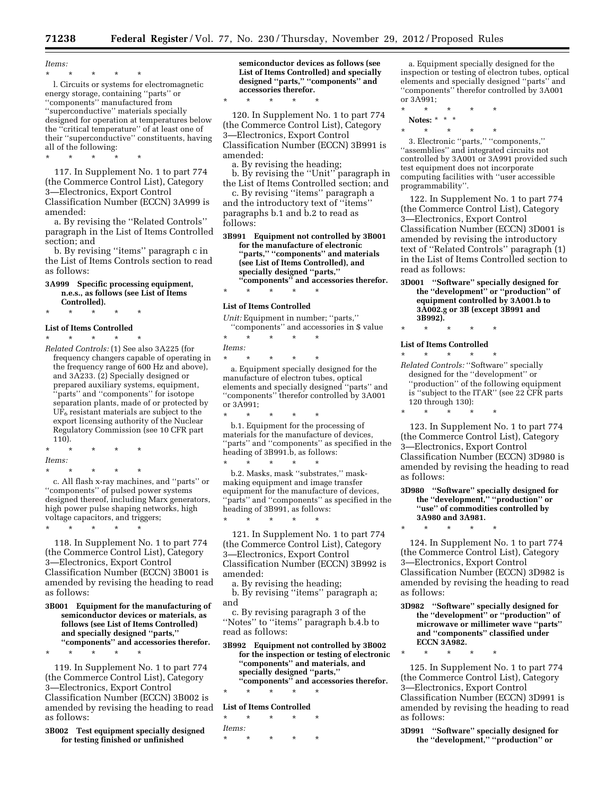*Items:*  \* \* \* \* \*

l. Circuits or systems for electromagnetic energy storage, containing ''parts'' or ''components'' manufactured from ''superconductive'' materials specially designed for operation at temperatures below the ''critical temperature'' of at least one of their ''superconductive'' constituents, having all of the following:

\* \* \* \* \*

117. In Supplement No. 1 to part 774 (the Commerce Control List), Category 3—Electronics, Export Control Classification Number (ECCN) 3A999 is amended:

a. By revising the ''Related Controls'' paragraph in the List of Items Controlled section; and

b. By revising ''items'' paragraph c in the List of Items Controls section to read as follows:

#### **3A999 Specific processing equipment, n.e.s., as follows (see List of Items Controlled).**

\* \* \* \* \*

#### **List of Items Controlled**

\* \* \* \* \* *Related Controls:* (1) See also 3A225 (for frequency changers capable of operating in the frequency range of 600 Hz and above), and 3A233. (2) Specially designed or prepared auxiliary systems, equipment, 'parts'' and "components" for isotope separation plants, made of or protected by  $U\tilde{F}_6$  resistant materials are subject to the export licensing authority of the Nuclear Regulatory Commission (see 10 CFR part

- 110). \* \* \* \* \* *Items:*
- \* \* \* \* \*

c. All flash x-ray machines, and ''parts'' or ''components'' of pulsed power systems designed thereof, including Marx generators, high power pulse shaping networks, high voltage capacitors, and triggers;

\* \* \* \* \*

\* \* \* \* \*

118. In Supplement No. 1 to part 774 (the Commerce Control List), Category 3—Electronics, Export Control Classification Number (ECCN) 3B001 is amended by revising the heading to read as follows:

**3B001 Equipment for the manufacturing of semiconductor devices or materials, as follows (see List of Items Controlled) and specially designed ''parts,'' ''components'' and accessories therefor.** 

119. In Supplement No. 1 to part 774 (the Commerce Control List), Category 3—Electronics, Export Control Classification Number (ECCN) 3B002 is amended by revising the heading to read as follows:

**3B002 Test equipment specially designed for testing finished or unfinished** 

**semiconductor devices as follows (see List of Items Controlled) and specially designed ''parts,'' ''components'' and accessories therefor.** 

120. In Supplement No. 1 to part 774 (the Commerce Control List), Category 3—Electronics, Export Control Classification Number (ECCN) 3B991 is amended:

a. By revising the heading;

\* \* \* \* \*

b. By revising the ''Unit'' paragraph in the List of Items Controlled section; and

c. By revising ''items'' paragraph a and the introductory text of ''items'' paragraphs b.1 and b.2 to read as follows:

**3B991 Equipment not controlled by 3B001 for the manufacture of electronic ''parts,'' ''components'' and materials (see List of Items Controlled), and specially designed ''parts,'' ''components'' and accessories therefor.** 

# \* \* \* \* \* **List of Items Controlled**

*Unit:* Equipment in number; "parts," ''components'' and accessories in \$ value

\* \* \* \* \* *Items:* 

\* \* \* \* \*

a. Equipment specially designed for the manufacture of electron tubes, optical elements and specially designed ''parts'' and ''components'' therefor controlled by 3A001 or 3A991;

\* \* \* \* \* b.1. Equipment for the processing of materials for the manufacture of devices, "parts" and "components" as specified in the heading of 3B991.b, as follows:

\* \* \* \* \* b.2. Masks, mask ''substrates,'' maskmaking equipment and image transfer equipment for the manufacture of devices, "parts" and "components" as specified in the heading of 3B991, as follows:

121. In Supplement No. 1 to part 774 (the Commerce Control List), Category 3—Electronics, Export Control Classification Number (ECCN) 3B992 is amended:

a. By revising the heading;

\* \* \* \* \*

b. By revising ''items'' paragraph a; and

c. By revising paragraph 3 of the ''Notes'' to ''items'' paragraph b.4.b to read as follows:

**3B992 Equipment not controlled by 3B002 for the inspection or testing of electronic ''components'' and materials, and specially designed ''parts,'' ''components'' and accessories therefor.** 

\* \* \* \* \*

# **List of Items Controlled**

\* \* \* \* \* *Items:* 

\* \* \* \* \*

a. Equipment specially designed for the inspection or testing of electron tubes, optical elements and specially designed ''parts'' and ''components'' therefor controlled by 3A001 or  $3A\overline{9}91$ ;

\* \* \* \* \* **Notes:** \* \* \*

\* \* \* \* \*

3. Electronic ''parts,'' ''components,'' ''assemblies'' and integrated circuits not controlled by 3A001 or 3A991 provided such test equipment does not incorporate computing facilities with ''user accessible programmability''.

122. In Supplement No. 1 to part 774 (the Commerce Control List), Category 3—Electronics, Export Control Classification Number (ECCN) 3D001 is amended by revising the introductory text of ''Related Controls'' paragraph (1) in the List of Items Controlled section to read as follows:

**3D001 ''Software'' specially designed for the ''development'' or ''production'' of equipment controlled by 3A001.b to 3A002.g or 3B (except 3B991 and 3B992).** 

#### \* \* \* \* \*

#### **List of Items Controlled**

\* \* \* \* \*

\* \* \* \* \* *Related Controls:* ''Software'' specially designed for the ''development'' or ''production'' of the following equipment is ''subject to the ITAR'' (see 22 CFR parts 120 through 130):

123. In Supplement No. 1 to part 774 (the Commerce Control List), Category 3—Electronics, Export Control Classification Number (ECCN) 3D980 is amended by revising the heading to read as follows:

#### **3D980 ''Software'' specially designed for the ''development,'' ''production'' or ''use'' of commodities controlled by 3A980 and 3A981.**

\* \* \* \* \*

124. In Supplement No. 1 to part 774 (the Commerce Control List), Category 3—Electronics, Export Control Classification Number (ECCN) 3D982 is amended by revising the heading to read as follows:

**3D982 ''Software'' specially designed for the ''development'' or ''production'' of microwave or millimeter wave ''parts'' and ''components'' classified under ECCN 3A982.** 

\* \* \* \* \*

125. In Supplement No. 1 to part 774 (the Commerce Control List), Category 3—Electronics, Export Control Classification Number (ECCN) 3D991 is amended by revising the heading to read as follows:

**3D991 ''Software'' specially designed for the ''development,'' ''production'' or**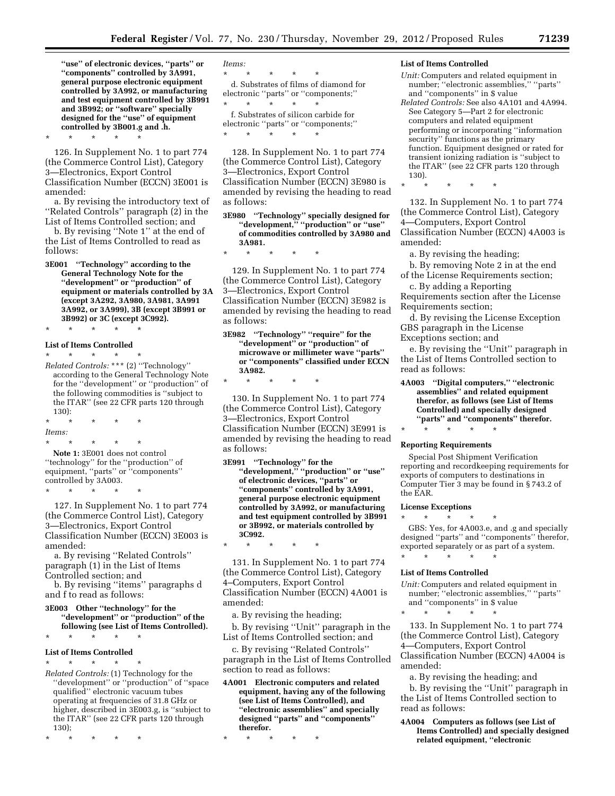**''use'' of electronic devices, ''parts'' or ''components'' controlled by 3A991, general purpose electronic equipment controlled by 3A992, or manufacturing and test equipment controlled by 3B991 and 3B992; or ''software'' specially designed for the ''use'' of equipment controlled by 3B001.g and .h.** 

\* \* \* \* \*

126. In Supplement No. 1 to part 774 (the Commerce Control List), Category 3—Electronics, Export Control Classification Number (ECCN) 3E001 is amended:

a. By revising the introductory text of ''Related Controls'' paragraph (2) in the List of Items Controlled section; and

b. By revising ''Note 1'' at the end of the List of Items Controlled to read as follows:

**3E001 ''Technology'' according to the General Technology Note for the ''development'' or ''production'' of equipment or materials controlled by 3A (except 3A292, 3A980, 3A981, 3A991 3A992, or 3A999), 3B (except 3B991 or 3B992) or 3C (except 3C992).** 

\* \* \* \* \*

#### **List of Items Controlled**

\* \* \* \* \*

*Related Controls:* \*\*\* (2) ''Technology'' according to the General Technology Note for the ''development'' or ''production'' of the following commodities is ''subject to the ITAR'' (see 22 CFR parts 120 through 130):

\* \* \* \* \* *Items:*  \* \* \* \* \*

**Note 1:** 3E001 does not control ''technology'' for the ''production'' of equipment, ''parts'' or ''components'' controlled by 3A003. \* \* \* \* \*

127. In Supplement No. 1 to part 774 (the Commerce Control List), Category 3—Electronics, Export Control Classification Number (ECCN) 3E003 is amended:

a. By revising ''Related Controls'' paragraph (1) in the List of Items Controlled section; and

b. By revising ''items'' paragraphs d and f to read as follows:

**3E003 Other ''technology'' for the ''development'' or ''production'' of the following (see List of Items Controlled).** 

# \* \* \* \* \* **List of Items Controlled**

\* \* \* \* \*

*Related Controls:* (1) Technology for the ''development'' or ''production'' of ''space qualified'' electronic vacuum tubes operating at frequencies of 31.8 GHz or higher, described in 3E003.g, is ''subject to the ITAR'' (see 22 CFR parts 120 through 130);

\* \* \* \* \*

*Items:*  \* \* \* \* \* d. Substrates of films of diamond for electronic ''parts'' or ''components;'' \* \* \* \* \*

f. Substrates of silicon carbide for electronic ''parts'' or ''components;'' \* \* \* \* \*

128. In Supplement No. 1 to part 774 (the Commerce Control List), Category 3—Electronics, Export Control Classification Number (ECCN) 3E980 is amended by revising the heading to read as follows:

**3E980 ''Technology'' specially designed for ''development,'' ''production'' or ''use'' of commodities controlled by 3A980 and 3A981.** 

129. In Supplement No. 1 to part 774 (the Commerce Control List), Category 3—Electronics, Export Control Classification Number (ECCN) 3E982 is amended by revising the heading to read as follows:

**3E982 ''Technology'' ''require'' for the ''development'' or ''production'' of microwave or millimeter wave ''parts'' or ''components'' classified under ECCN 3A982.** 

\* \* \* \* \*

\* \* \* \* \*

130. In Supplement No. 1 to part 774 (the Commerce Control List), Category 3—Electronics, Export Control Classification Number (ECCN) 3E991 is amended by revising the heading to read as follows:

**3E991 ''Technology'' for the ''development,'' ''production'' or ''use'' of electronic devices, ''parts'' or ''components'' controlled by 3A991, general purpose electronic equipment controlled by 3A992, or manufacturing and test equipment controlled by 3B991 or 3B992, or materials controlled by 3C992.** 

\* \* \* \* \*

131. In Supplement No. 1 to part 774 (the Commerce Control List), Category 4–Computers, Export Control Classification Number (ECCN) 4A001 is amended:

a. By revising the heading;

b. By revising ''Unit'' paragraph in the List of Items Controlled section; and

c. By revising ''Related Controls'' paragraph in the List of Items Controlled section to read as follows:

**4A001 Electronic computers and related equipment, having any of the following (see List of Items Controlled), and ''electronic assemblies'' and specially designed ''parts'' and ''components'' therefor.** 

\* \* \* \* \*

#### **List of Items Controlled**

- *Unit:* Computers and related equipment in number; ''electronic assemblies,'' ''parts'' and ''components'' in \$ value
- *Related Controls:* See also 4A101 and 4A994. See Category 5—Part 2 for electronic computers and related equipment performing or incorporating ''information security'' functions as the primary function. Equipment designed or rated for transient ionizing radiation is ''subject to the ITAR'' (see 22 CFR parts 120 through 130).

\* \* \* \* \*

132. In Supplement No. 1 to part 774 (the Commerce Control List), Category 4—Computers, Export Control Classification Number (ECCN) 4A003 is amended:

a. By revising the heading;

b. By removing Note 2 in at the end of the License Requirements section;

c. By adding a Reporting Requirements section after the License Requirements section;

d. By revising the License Exception GBS paragraph in the License Exceptions section; and

e. By revising the ''Unit'' paragraph in the List of Items Controlled section to read as follows:

**4A003 ''Digital computers,'' ''electronic assemblies'' and related equipment therefor, as follows (see List of Items Controlled) and specially designed ''parts'' and ''components'' therefor.** 

\* \* \* \* \*

#### **Reporting Requirements**

Special Post Shipment Verification reporting and recordkeeping requirements for exports of computers to destinations in Computer Tier 3 may be found in § 743.2 of the EAR.

# **License Exceptions**

\* \* \* \* \*

GBS: Yes, for 4A003.e, and .g and specially designed ''parts'' and ''components'' therefor, exported separately or as part of a system. \* \* \* \* \*

#### **List of Items Controlled**

*Unit:* Computers and related equipment in number; "electronic assemblies," "parts" and ''components'' in \$ value

\* \* \* \* \*

133. In Supplement No. 1 to part 774 (the Commerce Control List), Category 4—Computers, Export Control Classification Number (ECCN) 4A004 is amended:

a. By revising the heading; and

b. By revising the ''Unit'' paragraph in the List of Items Controlled section to read as follows:

**4A004 Computers as follows (see List of Items Controlled) and specially designed related equipment, ''electronic**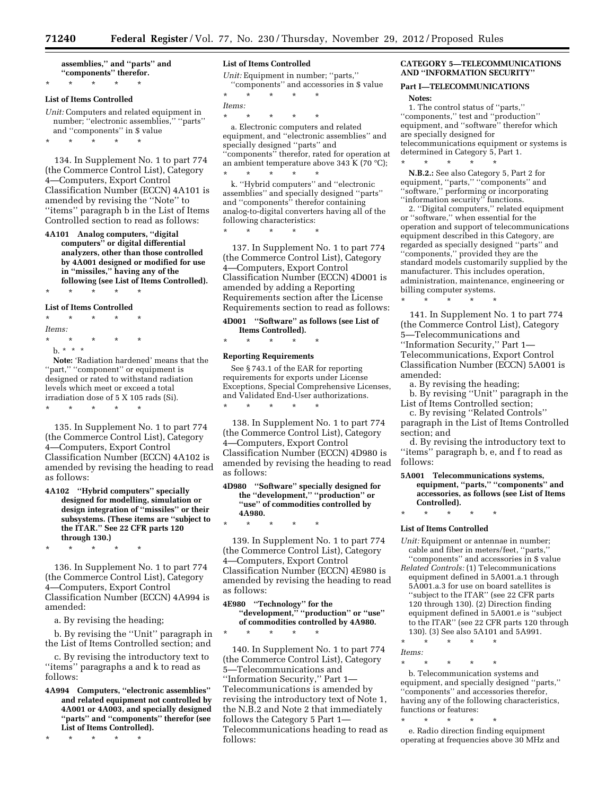**assemblies,'' and ''parts'' and ''components'' therefor.**  \* \* \* \* \*

#### **List of Items Controlled**

*Unit:* Computers and related equipment in number; ''electronic assemblies,'' ''parts'' and ''components'' in \$ value

\* \* \* \* \*

134. In Supplement No. 1 to part 774 (the Commerce Control List), Category 4—Computers, Export Control Classification Number (ECCN) 4A101 is amended by revising the ''Note'' to ''items'' paragraph b in the List of Items Controlled section to read as follows:

**4A101 Analog computers, ''digital computers'' or digital differential analyzers, other than those controlled by 4A001 designed or modified for use in ''missiles,'' having any of the following (see List of Items Controlled).** 

# \* \* \* \* \*

# **List of Items Controlled**

\* \* \* \* \* *Items:*  \* \* \* \* \* b. \* \* \*

**Note:** 'Radiation hardened' means that the "part," "component" or equipment is designed or rated to withstand radiation levels which meet or exceed a total irradiation dose of 5 X 105 rads (Si). \* \* \* \* \*

135. In Supplement No. 1 to part 774 (the Commerce Control List), Category 4—Computers, Export Control Classification Number (ECCN) 4A102 is amended by revising the heading to read as follows:

#### **4A102 ''Hybrid computers'' specially designed for modelling, simulation or design integration of ''missiles'' or their subsystems. (These items are ''subject to the ITAR.'' See 22 CFR parts 120 through 130.)**

\* \* \* \* \*

136. In Supplement No. 1 to part 774 (the Commerce Control List), Category 4—Computers, Export Control Classification Number (ECCN) 4A994 is amended:

a. By revising the heading;

b. By revising the ''Unit'' paragraph in the List of Items Controlled section; and

c. By revising the introductory text to ''items'' paragraphs a and k to read as follows:

**4A994 Computers, ''electronic assemblies'' and related equipment not controlled by 4A001 or 4A003, and specially designed ''parts'' and ''components'' therefor (see List of Items Controlled).** 

\* \* \* \* \*

#### **List of Items Controlled**

*Unit:* Equipment in number; ''parts,'' ''components'' and accessories in \$ value

\* \* \* \* \* *Items:*  \* \* \* \* \*

a. Electronic computers and related equipment, and ''electronic assemblies'' and specially designed ''parts'' and ''components'' therefor, rated for operation at an ambient temperature above 343 K (70 °C); \* \* \* \* \*

k. ''Hybrid computers'' and ''electronic assemblies'' and specially designed ''parts'' and ''components'' therefor containing analog-to-digital converters having all of the following characteristics:

\* \* \* \* \*

137. In Supplement No. 1 to part 774 (the Commerce Control List), Category 4—Computers, Export Control Classification Number (ECCN) 4D001 is amended by adding a Reporting Requirements section after the License Requirements section to read as follows:

**4D001 ''Software'' as follows (see List of** 

**Items Controlled).**  \* \* \* \* \*

#### **Reporting Requirements**

See § 743.1 of the EAR for reporting requirements for exports under License Exceptions, Special Comprehensive Licenses, and Validated End-User authorizations. \* \* \* \* \*

138. In Supplement No. 1 to part 774 (the Commerce Control List), Category 4—Computers, Export Control Classification Number (ECCN) 4D980 is amended by revising the heading to read as follows:

#### **4D980 ''Software'' specially designed for the ''development,'' ''production'' or ''use'' of commodities controlled by 4A980.**

\* \* \* \* \*

139. In Supplement No. 1 to part 774 (the Commerce Control List), Category 4—Computers, Export Control Classification Number (ECCN) 4E980 is amended by revising the heading to read as follows:

# **4E980 ''Technology'' for the ''development,'' ''production'' or ''use'' of commodities controlled by 4A980.**  \* \* \* \* \*

140. In Supplement No. 1 to part 774 (the Commerce Control List), Category 5—Telecommunications and ''Information Security,'' Part 1— Telecommunications is amended by revising the introductory text of Note 1, the N.B.2 and Note 2 that immediately follows the Category 5 Part 1— Telecommunications heading to read as follows:

#### **CATEGORY 5—TELECOMMUNICATIONS AND ''INFORMATION SECURITY''**

# **Part I—TELECOMMUNICATIONS**

\* \* \* \* \*

**Notes:** 

1. The control status of ''parts,'' ''components,'' test and ''production'' equipment, and ''software'' therefor which are specially designed for telecommunications equipment or systems is determined in Category 5, Part 1.

**N.B.2.:** See also Category 5, Part 2 for equipment, "parts," "components" and ''software,'' performing or incorporating ''information security'' functions.

2. ''Digital computers,'' related equipment or ''software,'' when essential for the operation and support of telecommunications equipment described in this Category, are regarded as specially designed ''parts'' and ''components,'' provided they are the standard models customarily supplied by the manufacturer. This includes operation, administration, maintenance, engineering or billing computer systems.

141. In Supplement No. 1 to part 774 (the Commerce Control List), Category 5—Telecommunications and ''Information Security,'' Part 1— Telecommunications, Export Control Classification Number (ECCN) 5A001 is amended:

a. By revising the heading;

\* \* \* \* \*

b. By revising ''Unit'' paragraph in the List of Items Controlled section;

c. By revising ''Related Controls'' paragraph in the List of Items Controlled section; and

d. By revising the introductory text to ''items'' paragraph b, e, and f to read as follows:

**5A001 Telecommunications systems, equipment, ''parts,'' ''components'' and accessories, as follows (see List of Items Controlled).**  \* \* \* \* \*

#### **List of Items Controlled**

- *Unit:* Equipment or antennae in number; cable and fiber in meters/feet, ''parts,'' ''components'' and accessories in \$ value
- *Related Controls:* (1) Telecommunications equipment defined in 5A001.a.1 through 5A001.a.3 for use on board satellites is ''subject to the ITAR'' (see 22 CFR parts 120 through 130). (2) Direction finding equipment defined in 5A001.e is ''subject to the ITAR'' (see 22 CFR parts 120 through 130). (3) See also 5A101 and 5A991.

\* \* \* \* \*

*Items:* 

\* \* \* \* \* b. Telecommunication systems and equipment, and specially designed ''parts,'' ''components'' and accessories therefor, having any of the following characteristics, functions or features:<br> $\begin{array}{ccc}\n\star & \star & \star \\
\star & \star & \star\n\end{array}$ 

\* \* \* \* \*

e. Radio direction finding equipment operating at frequencies above 30 MHz and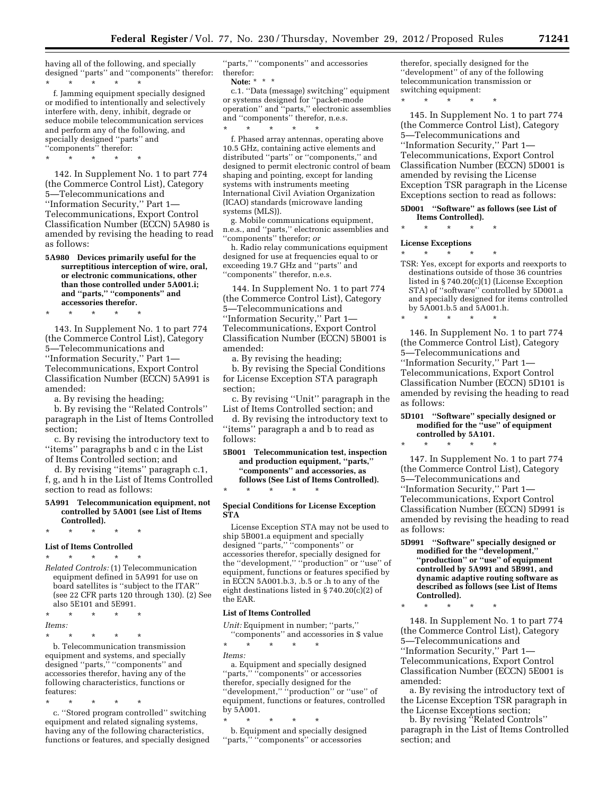having all of the following, and specially designed ''parts'' and ''components'' therefor:

\* \* \* \* \* f. Jamming equipment specially designed or modified to intentionally and selectively interfere with, deny, inhibit, degrade or seduce mobile telecommunication services and perform any of the following, and specially designed ''parts'' and ''components'' therefor:

\* \* \* \* \*

142. In Supplement No. 1 to part 774 (the Commerce Control List), Category 5—Telecommunications and ''Information Security,'' Part 1— Telecommunications, Export Control Classification Number (ECCN) 5A980 is amended by revising the heading to read as follows:

**5A980 Devices primarily useful for the surreptitious interception of wire, oral, or electronic communications, other than those controlled under 5A001.i; and ''parts,'' ''components'' and accessories therefor.** 

\* \* \* \* \*

143. In Supplement No. 1 to part 774 (the Commerce Control List), Category 5—Telecommunications and ''Information Security,'' Part 1— Telecommunications, Export Control Classification Number (ECCN) 5A991 is amended:

a. By revising the heading;

b. By revising the ''Related Controls'' paragraph in the List of Items Controlled section;

c. By revising the introductory text to ''items'' paragraphs b and c in the List of Items Controlled section; and

d. By revising ''items'' paragraph c.1, f, g, and h in the List of Items Controlled section to read as follows:

#### **5A991 Telecommunication equipment, not controlled by 5A001 (see List of Items Controlled).**

\* \* \* \* \*

#### **List of Items Controlled**

\* \* \* \* \* *Related Controls:* (1) Telecommunication equipment defined in 5A991 for use on board satellites is ''subject to the ITAR'' (see 22 CFR parts 120 through 130). (2) See also 5E101 and 5E991.

\* \* \* \* \*

*Items:* 

\* \* \* \* \*

b. Telecommunication transmission equipment and systems, and specially designed ''parts,'' ''components'' and accessories therefor, having any of the following characteristics, functions or features:

\* \* \* \* \*

c. ''Stored program controlled'' switching equipment and related signaling systems, having any of the following characteristics, functions or features, and specially designed

''parts,'' ''components'' and accessories therefor:

**Note:** \* \* \*

c.1. ''Data (message) switching'' equipment or systems designed for ''packet-mode operation'' and ''parts,'' electronic assemblies and ''components'' therefor, n.e.s. \* \* \* \* \*

f. Phased array antennas, operating above 10.5 GHz, containing active elements and distributed ''parts'' or ''components,'' and designed to permit electronic control of beam shaping and pointing, except for landing systems with instruments meeting International Civil Aviation Organization (ICAO) standards (microwave landing systems (MLS)).

g. Mobile communications equipment, n.e.s., and ''parts,'' electronic assemblies and ''components'' therefor; *or* 

h. Radio relay communications equipment designed for use at frequencies equal to or exceeding 19.7 GHz and ''parts'' and ''components'' therefor, n.e.s.

144. In Supplement No. 1 to part 774 (the Commerce Control List), Category 5—Telecommunications and ''Information Security,'' Part 1— Telecommunications, Export Control Classification Number (ECCN) 5B001 is amended:

a. By revising the heading;

b. By revising the Special Conditions for License Exception STA paragraph section;

c. By revising ''Unit'' paragraph in the List of Items Controlled section; and

d. By revising the introductory text to ''items'' paragraph a and b to read as follows:

**5B001 Telecommunication test, inspection and production equipment, ''parts,'' ''components'' and accessories, as follows (See List of Items Controlled).**  \* \* \* \* \*

#### **Special Conditions for License Exception STA**

License Exception STA may not be used to ship 5B001.a equipment and specially designed ''parts,'' ''components'' or accessories therefor, specially designed for the ''development,'' ''production'' or ''use'' of equipment, functions or features specified by in ECCN 5A001.b.3, .b.5 or .h to any of the eight destinations listed in § 740.20(c)(2) of the EAR.

#### **List of Items Controlled**

*Unit:* Equipment in number; ''parts,''

''components'' and accessories in \$ value \* \* \* \* \*

*Items:* 

a. Equipment and specially designed ''parts,'' ''components'' or accessories therefor, specially designed for the "development," "production" or "use" of equipment, functions or features, controlled by 5A001.

\* \* \* \* \*

b. Equipment and specially designed ''parts,'' ''components'' or accessories

therefor, specially designed for the ''development'' of any of the following telecommunication transmission or switching equipment:

\* \* \* \* \*

145. In Supplement No. 1 to part 774 (the Commerce Control List), Category 5—Telecommunications and ''Information Security,'' Part 1— Telecommunications, Export Control Classification Number (ECCN) 5D001 is amended by revising the License Exception TSR paragraph in the License Exceptions section to read as follows:

**5D001 ''Software'' as follows (see List of Items Controlled).** 

\* \* \* \* \*

\* \* \* \* \*

#### **License Exceptions**

\* \* \* \* \* TSR: Yes, except for exports and reexports to destinations outside of those 36 countries listed in § 740.20(c)(1) (License Exception STA) of ''software'' controlled by 5D001.a and specially designed for items controlled by 5A001.b.5 and 5A001.h.

146. In Supplement No. 1 to part 774 (the Commerce Control List), Category 5—Telecommunications and ''Information Security,'' Part 1— Telecommunications, Export Control Classification Number (ECCN) 5D101 is amended by revising the heading to read as follows:

#### **5D101 ''Software'' specially designed or modified for the ''use'' of equipment controlled by 5A101.**

\* \* \* \* \*

147. In Supplement No. 1 to part 774 (the Commerce Control List), Category 5—Telecommunications and ''Information Security,'' Part 1— Telecommunications, Export Control Classification Number (ECCN) 5D991 is amended by revising the heading to read as follows:

**5D991 ''Software'' specially designed or modified for the ''development,'' ''production'' or ''use'' of equipment controlled by 5A991 and 5B991, and dynamic adaptive routing software as described as follows (see List of Items Controlled).** 

\* \* \* \* \*

148. In Supplement No. 1 to part 774 (the Commerce Control List), Category 5—Telecommunications and ''Information Security,'' Part 1— Telecommunications, Export Control Classification Number (ECCN) 5E001 is amended:

a. By revising the introductory text of the License Exception TSR paragraph in the License Exceptions section;

b. By revising ''Related Controls'' paragraph in the List of Items Controlled section; and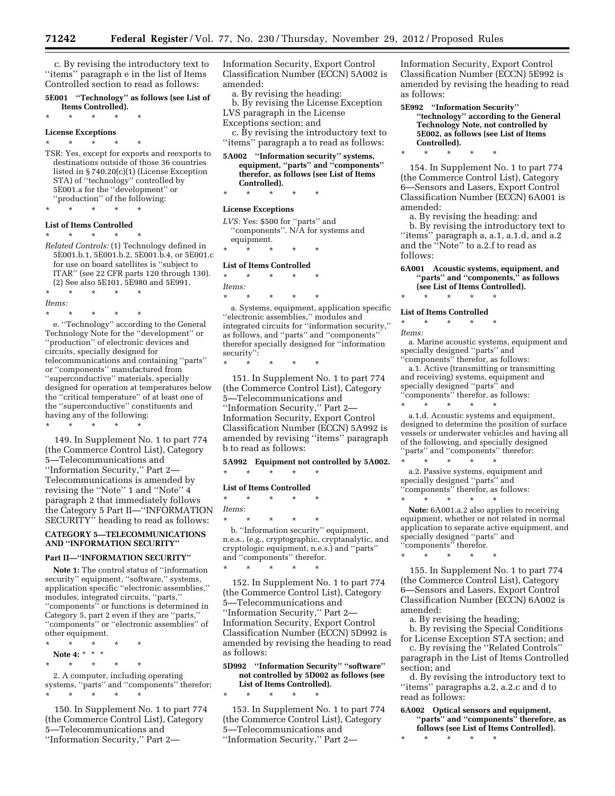c. By revising the introductory text to ''items'' paragraph e in the list of Items Controlled section to read as follows:

**5E001 ''Technology'' as follows (see List of Items Controlled).** 

\* \* \* \* \*

# **License Exceptions**

\* \* \* \* \* TSR: Yes, except for exports and reexports to destinations outside of those 36 countries listed in § 740.20(c)(1) (License Exception STA) of ''technology'' controlled by 5E001.a for the ''development'' or ''production'' of the following:

# \* \* \* \* \* **List of Items Controlled**

\* \* \* \* \*

*Related Controls:* (1) Technology defined in 5E001.b.1, 5E001.b.2, 5E001.b.4, or 5E001.c for use on board satellites is ''subject to ITAR'' (see 22 CFR parts 120 through 130). (2) See also 5E101, 5E980 and 5E991.

\* \* \* \* \* *Items:* 

\* \* \* \* \* e. ''Technology'' according to the General Technology Note for the ''development'' or ''production'' of electronic devices and circuits, specially designed for telecommunications and containing ''parts'' or ''components'' manufactured from ''superconductive'' materials, specially designed for operation at temperatures below the ''critical temperature'' of at least one of the ''superconductive'' constituents and having any of the following:

\* \* \* \* \*

149. In Supplement No. 1 to part 774 (the Commerce Control List), Category 5—Telecommunications and ''Information Security,'' Part 2— Telecommunications is amended by revising the ''Note'' 1 and ''Note'' 4 paragraph 2 that immediately follows the Category 5 Part II—''INFORMATION SECURITY'' heading to read as follows:

#### **CATEGORY 5—TELECOMMUNICATIONS AND ''INFORMATION SECURITY''**

#### **Part II—''INFORMATION SECURITY''**

**Note 1:** The control status of ''information security'' equipment, ''software,'' systems, application specific ''electronic assemblies,'' modules, integrated circuits, ''parts,'' ''components'' or functions is determined in Category 5, part 2 even if they are ''parts,'' ''components'' or ''electronic assemblies'' of other equipment.

- \* \* \* \* \*
- **Note 4:** \* \* \* \* \* \* \* \*

2. A computer, including operating systems, ''parts'' and ''components'' therefor; \* \* \* \* \*

150. In Supplement No. 1 to part 774 (the Commerce Control List), Category 5—Telecommunications and ''Information Security,'' Part 2Information Security, Export Control Classification Number (ECCN) 5A002 is amended:

a. By revising the heading:

b. By revising the License Exception LVS paragraph in the License Exceptions section; and

c. By revising the introductory text to

''items'' paragraph a to read as follows: **5A002 ''Information security'' systems,** 

#### **equipment, ''parts'' and ''components'' therefor, as follows (see List of Items Controlled).**

\* \* \* \* \*

#### **License Exceptions**

*LVS:* Yes: \$500 for ''parts'' and ''components''. N/A for systems and equipment.

\* \* \* \* \*

#### **List of Items Controlled**

\* \* \* \* \*

\* \* \* \* \*

*Items:*  \* \* \* \* \*

a. Systems, equipment, application specific ''electronic assemblies,'' modules and integrated circuits for ''information security,'' as follows, and ''parts'' and ''components'' therefor specially designed for ''information security'':

151. In Supplement No. 1 to part 774 (the Commerce Control List), Category 5—Telecommunications and ''Information Security,'' Part 2— Information Security, Export Control Classification Number (ECCN) 5A992 is amended by revising ''items'' paragraph b to read as follows:

**5A992 Equipment not controlled by 5A002.** 

# \* \* \* \* \* **List of Items Controlled**

\* \* \* \* \*

\* \* \* \* \*

*Items:* 

\* \* \* \* \* b. ''Information security'' equipment, n.e.s., (e.g., cryptographic, cryptanalytic, and cryptologic equipment, n.e.s.) and ''parts'' and ''components'' therefor.

152. In Supplement No. 1 to part 774 (the Commerce Control List), Category 5—Telecommunications and ''Information Security,'' Part 2— Information Security, Export Control Classification Number (ECCN) 5D992 is amended by revising the heading to read as follows:

**5D992 ''Information Security'' ''software'' not controlled by 5D002 as follows (see List of Items Controlled).** 

\* \* \* \* \*

153. In Supplement No. 1 to part 774 (the Commerce Control List), Category 5—Telecommunications and ''Information Security,'' Part 2Information Security, Export Control Classification Number (ECCN) 5E992 is amended by revising the heading to read as follows:

**5E992 ''Information Security'' ''technology'' according to the General Technology Note, not controlled by 5E002, as follows (see List of Items Controlled).** 

154. In Supplement No. 1 to part 774 (the Commerce Control List), Category 6—Sensors and Lasers, Export Control Classification Number (ECCN) 6A001 is amended:

a. By revising the heading: and

b. By revising the introductory text to ''items'' paragraph a, a.1, a.1.d, and a.2 and the "Note" to a.2.f to read as follows:

#### **6A001 Acoustic systems, equipment, and ''parts'' and ''components,'' as follows (see List of Items Controlled).**

\* \* \* \* \*

**List of Items Controlled** 

\* \* \* \* \*

\* \* \* \* \*

\* \* \* \* \*

*Items:* 

a. Marine acoustic systems, equipment and specially designed ''parts'' and ''components'' therefor, as follows:

a.1. Active (transmitting or transmitting and receiving) systems, equipment and specially designed ''parts'' and ''components'' therefor, as follows:

a.1.d. Acoustic systems and equipment, designed to determine the position of surface vessels or underwater vehicles and having all of the following, and specially designed ''parts'' and ''components'' therefor:

\* \* \* \* \* a.2. Passive systems, equipment and specially designed ''parts'' and ''components'' therefor, as follows:

\* \* \* \* \* **Note:** 6A001.a.2 also applies to receiving equipment, whether or not related in normal application to separate active equipment, and specially designed ''parts'' and ''components'' therefor.

\* \* \* \* \*

155. In Supplement No. 1 to part 774 (the Commerce Control List), Category 6—Sensors and Lasers, Export Control Classification Number (ECCN) 6A002 is amended:

a. By revising the heading;

b. By revising the Special Conditions for License Exception STA section; and

c. By revising the ''Related Controls'' paragraph in the List of Items Controlled section; and

d. By revising the introductory text to ''items'' paragraphs a.2, a.2.c and d to read as follows:

**6A002 Optical sensors and equipment, ''parts'' and ''components'' therefore, as follows (see List of Items Controlled).** 

\* \* \* \* \*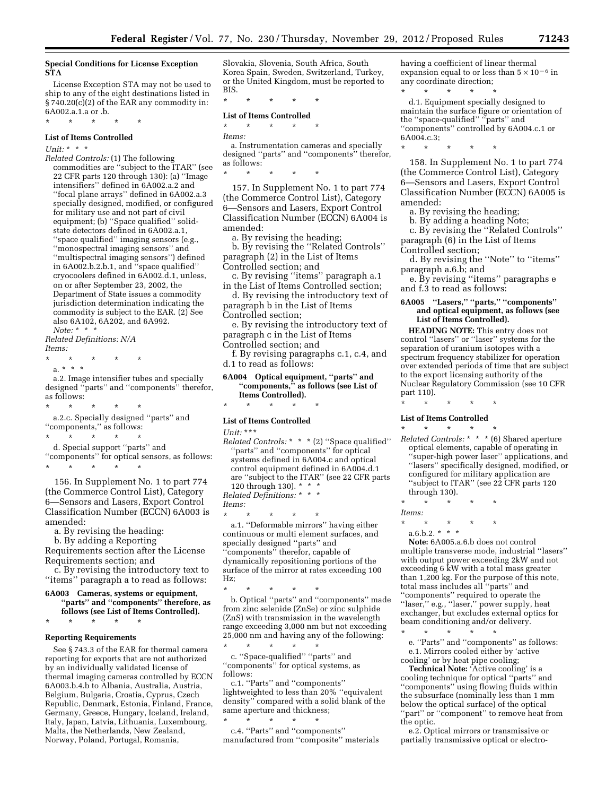#### **Special Conditions for License Exception STA**

License Exception STA may not be used to ship to any of the eight destinations listed in § 740.20(c)(2) of the EAR any commodity in: 6A002.a.1.a or .b.

\* \* \* \* \*

#### **List of Items Controlled**

*Unit:* \* \* \*

*Related Controls:* (1) The following commodities are ''subject to the ITAR'' (see 22 CFR parts 120 through 130): (a) ''Image intensifiers'' defined in 6A002.a.2 and ''focal plane arrays'' defined in 6A002.a.3 specially designed, modified, or configured for military use and not part of civil equipment; (b) ''Space qualified'' solidstate detectors defined in 6A002.a.1, ''space qualified'' imaging sensors (e.g., ''monospectral imaging sensors'' and ''multispectral imaging sensors'') defined in 6A002.b.2.b.1, and ''space qualified'' cryocoolers defined in 6A002.d.1, unless, on or after September 23, 2002, the Department of State issues a commodity jurisdiction determination indicating the commodity is subject to the EAR. (2) See also 6A102, 6A202, and 6A992. *Note:* \* \* \*

*Related Definitions: N/A Items:* 

- \* \* \* \* \*
- a. \* \* \*

a.2. Image intensifier tubes and specially designed ''parts'' and ''components'' therefor, as follows:

\* \* \* \* \* a.2.c. Specially designed ''parts'' and ''components,'' as follows:

\* \* \* \* \*

d. Special support ''parts'' and

''components'' for optical sensors, as follows: \* \* \* \* \*

156. In Supplement No. 1 to part 774 (the Commerce Control List), Category 6—Sensors and Lasers, Export Control Classification Number (ECCN) 6A003 is amended:

a. By revising the heading:

b. By adding a Reporting Requirements section after the License Requirements section; and

c. By revising the introductory text to ''items'' paragraph a to read as follows:

**6A003 Cameras, systems or equipment, ''parts'' and ''components'' therefore, as follows (see List of Items Controlled).** 

\* \* \* \* \*

#### **Reporting Requirements**

See § 743.3 of the EAR for thermal camera reporting for exports that are not authorized by an individually validated license of thermal imaging cameras controlled by ECCN 6A003.b.4.b to Albania, Australia, Austria, Belgium, Bulgaria, Croatia, Cyprus, Czech Republic, Denmark, Estonia, Finland, France, Germany, Greece, Hungary, Iceland, Ireland, Italy, Japan, Latvia, Lithuania, Luxembourg, Malta, the Netherlands, New Zealand, Norway, Poland, Portugal, Romania,

Slovakia, Slovenia, South Africa, South Korea Spain, Sweden, Switzerland, Turkey, or the United Kingdom, must be reported to BIS.

\* \* \* \* \*

#### **List of Items Controlled**

\* \* \* \* \*

*Items:* 

a. Instrumentation cameras and specially designed ''parts'' and ''components'' therefor, as follows:

\* \* \* \* \*

157. In Supplement No. 1 to part 774 (the Commerce Control List), Category 6—Sensors and Lasers, Export Control Classification Number (ECCN) 6A004 is amended:

a. By revising the heading;

b. By revising the ''Related Controls'' paragraph (2) in the List of Items Controlled section; and

c. By revising ''items'' paragraph a.1 in the List of Items Controlled section;

d. By revising the introductory text of paragraph b in the List of Items

Controlled section;

e. By revising the introductory text of paragraph c in the List of Items Controlled section; and

f. By revising paragraphs c.1, c.4, and d.1 to read as follows:

**6A004 Optical equipment, ''parts'' and ''components,'' as follows (see List of Items Controlled).** 

# \* \* \* \* \* **List of Items Controlled**

*Unit:* \*\*\*

*Related Controls:* \* \* \* (2) ''Space qualified'' ''parts'' and ''components'' for optical systems defined in 6A004.c and optical control equipment defined in 6A004.d.1 are ''subject to the ITAR'' (see 22 CFR parts

120 through 130). \* \* \*

*Related Definitions:* \* \* \* *Items:* 

\* \* \* \* \* a.1. ''Deformable mirrors'' having either continuous or multi element surfaces, and specially designed ''parts'' and ''components'' therefor, capable of dynamically repositioning portions of the surface of the mirror at rates exceeding 100 Hz;

\* \* \* \* \* b. Optical ''parts'' and ''components'' made from zinc selenide (ZnSe) or zinc sulphide (ZnS) with transmission in the wavelength range exceeding 3,000 nm but not exceeding 25,000 nm and having any of the following:

\* \* \* \* \* c. ''Space-qualified'' ''parts'' and ''components'' for optical systems, as follows:

c.1. ''Parts'' and ''components'' lightweighted to less than 20% ''equivalent density'' compared with a solid blank of the same aperture and thickness;

\* \* \* \* \* c.4. ''Parts'' and ''components'' manufactured from ''composite'' materials having a coefficient of linear thermal expansion equal to or less than  $5\times10^{-6}$  in any coordinate direction;

\* \* \* \* \* d.1. Equipment specially designed to maintain the surface figure or orientation of the ''space-qualified'' ''parts'' and ''components'' controlled by 6A004.c.1 or 6A004.c.3;

\* \* \* \* \*

158. In Supplement No. 1 to part 774 (the Commerce Control List), Category 6—Sensors and Lasers, Export Control Classification Number (ECCN) 6A005 is amended:

a. By revising the heading;

b. By adding a heading Note; c. By revising the ''Related Controls''

paragraph (6) in the List of Items Controlled section;

d. By revising the ''Note'' to ''items'' paragraph a.6.b; and

e. By revising ''items'' paragraphs e and f.3 to read as follows:

#### **6A005 ''Lasers,'' ''parts,'' ''components'' and optical equipment, as follows (see List of Items Controlled).**

**HEADING NOTE:** This entry does not control ''lasers'' or ''laser'' systems for the separation of uranium isotopes with a spectrum frequency stabilizer for operation over extended periods of time that are subject to the export licensing authority of the Nuclear Regulatory Commission (see 10 CFR part 110).

\* \* \* \* \* **List of Items Controlled** 

- \* \* \* \* \* *Related Controls:* \* \* \* (6) Shared aperture optical elements, capable of operating in 'super-high power laser'' applications, and ''lasers'' specifically designed, modified, or configured for military application are ''subject to ITAR'' (see 22 CFR parts 120 through 130).
- \* \* \* \* \*
- *Items:* 
	- \* \* \* \* \* a.6.b.2.  $*$   $*$   $*$

**Note:** 6A005.a.6.b does not control multiple transverse mode, industrial ''lasers'' with output power exceeding 2kW and not exceeding 6 kW with a total mass greater than 1,200 kg. For the purpose of this note, total mass includes all ''parts'' and ''components'' required to operate the ''laser,'' e.g., ''laser,'' power supply, heat exchanger, but excludes external optics for beam conditioning and/or delivery. \* \* \* \* \*

e. ''Parts'' and ''components'' as follows: e.1. Mirrors cooled either by 'active cooling' or by heat pipe cooling;

**Technical Note:** 'Active cooling' is a cooling technique for optical ''parts'' and ''components'' using flowing fluids within the subsurface (nominally less than 1 mm below the optical surface) of the optical ''part'' or ''component'' to remove heat from the optic.

e.2. Optical mirrors or transmissive or partially transmissive optical or electro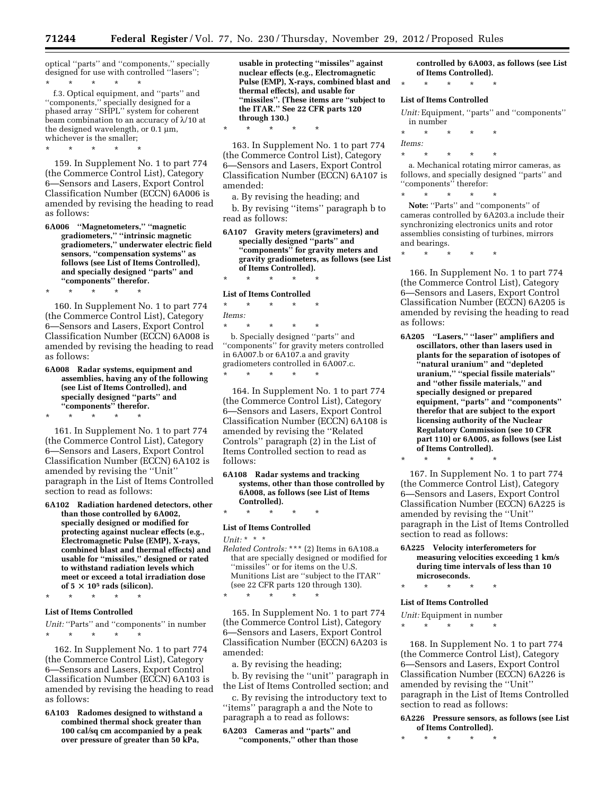\* \* \* \* \*

optical ''parts'' and ''components,'' specially designed for use with controlled ''lasers''; \* \* \* \* \*

f.3. Optical equipment, and ''parts'' and ''components,'' specially designed for a phased array ''SHPL'' system for coherent beam combination to an accuracy of  $\lambda$ /10 at the designed wavelength, or  $0.1 \mu m$ , whichever is the smaller;

159. In Supplement No. 1 to part 774 (the Commerce Control List), Category 6—Sensors and Lasers, Export Control Classification Number (ECCN) 6A006 is amended by revising the heading to read

\* \* \* \* \*

as follows:

**6A006 ''Magnetometers,'' ''magnetic gradiometers,'' ''intrinsic magnetic gradiometers,'' underwater electric field sensors, ''compensation systems'' as follows (see List of Items Controlled), and specially designed ''parts'' and ''components'' therefor.** 

\* \* \* \* \* 160. In Supplement No. 1 to part 774 (the Commerce Control List), Category 6—Sensors and Lasers, Export Control Classification Number (ECCN) 6A008 is amended by revising the heading to read as follows:

**6A008 Radar systems, equipment and assemblies, having any of the following (see List of Items Controlled), and specially designed ''parts'' and ''components'' therefor.** 

\* \* \* \* \*

161. In Supplement No. 1 to part 774 (the Commerce Control List), Category 6—Sensors and Lasers, Export Control Classification Number (ECCN) 6A102 is amended by revising the ''Unit'' paragraph in the List of Items Controlled section to read as follows:

- **6A102 Radiation hardened detectors, other than those controlled by 6A002, specially designed or modified for protecting against nuclear effects (e.g., Electromagnetic Pulse (EMP), X-rays, combined blast and thermal effects) and usable for ''missiles,'' designed or rated to withstand radiation levels which meet or exceed a total irradiation dose**  of  $5 \times 10^5$  rads (silicon).
	- \* \* \* \* \*

#### **List of Items Controlled**

*Unit:* "Parts" and "components" in number \* \* \* \* \*

162. In Supplement No. 1 to part 774 (the Commerce Control List), Category 6—Sensors and Lasers, Export Control Classification Number (ECCN) 6A103 is amended by revising the heading to read as follows:

**6A103 Radomes designed to withstand a combined thermal shock greater than 100 cal/sq cm accompanied by a peak over pressure of greater than 50 kPa,** 

**usable in protecting ''missiles'' against nuclear effects (e.g., Electromagnetic Pulse (EMP), X-rays, combined blast and thermal effects), and usable for ''missiles''. (These items are ''subject to the ITAR.'' See 22 CFR parts 120 through 130.)** 

163. In Supplement No. 1 to part 774 (the Commerce Control List), Category 6—Sensors and Lasers, Export Control Classification Number (ECCN) 6A107 is amended:

a. By revising the heading; and

b. By revising ''items'' paragraph b to read as follows:

**6A107 Gravity meters (gravimeters) and specially designed ''parts'' and ''components'' for gravity meters and gravity gradiometers, as follows (see List of Items Controlled).** 

\* \* \* \* \*

**List of Items Controlled**  \* \* \* \* \*

*Items:* 

\* \* \* \* \*

b. Specially designed ''parts'' and ''components'' for gravity meters controlled in 6A007.b or 6A107.a and gravity gradiometers controlled in 6A007.c. \* \* \* \* \*

164. In Supplement No. 1 to part 774 (the Commerce Control List), Category 6—Sensors and Lasers, Export Control Classification Number (ECCN) 6A108 is amended by revising the ''Related Controls'' paragraph (2) in the List of Items Controlled section to read as follows:

**6A108 Radar systems and tracking systems, other than those controlled by 6A008, as follows (see List of Items Controlled).** 

# \* \* \* \* \* **List of Items Controlled**

*Unit:* \* \* \*

*Related Controls:* \*\*\* (2) Items in 6A108.a that are specially designed or modified for ''missiles'' or for items on the U.S. Munitions List are ''subject to the ITAR'' (see 22 CFR parts 120 through 130). \* \* \* \* \*

165. In Supplement No. 1 to part 774 (the Commerce Control List), Category 6—Sensors and Lasers, Export Control Classification Number (ECCN) 6A203 is amended:

a. By revising the heading;

b. By revising the ''unit'' paragraph in the List of Items Controlled section; and

c. By revising the introductory text to ''items'' paragraph a and the Note to paragraph a to read as follows:

**6A203 Cameras and ''parts'' and ''components,'' other than those**  **controlled by 6A003, as follows (see List of Items Controlled).** 

\* \* \* \* \*

#### **List of Items Controlled**

*Unit:* Equipment, ''parts'' and ''components'' in number

\* \* \* \* \*

*Items:*  \* \* \* \* \*

a. Mechanical rotating mirror cameras, as follows, and specially designed ''parts'' and ''components'' therefor:  $\star$   $\star$   $\star$ 

Note: "Parts" and "components" of cameras controlled by 6A203.a include their synchronizing electronics units and rotor assemblies consisting of turbines, mirrors and bearings.

\* \* \* \* \*

166. In Supplement No. 1 to part 774 (the Commerce Control List), Category 6—Sensors and Lasers, Export Control Classification Number (ECCN) 6A205 is amended by revising the heading to read as follows:

**6A205 ''Lasers,'' ''laser'' amplifiers and oscillators, other than lasers used in plants for the separation of isotopes of ''natural uranium'' and ''depleted uranium,'' ''special fissile materials'' and ''other fissile materials,'' and specially designed or prepared equipment, ''parts'' and ''components'' therefor that are subject to the export licensing authority of the Nuclear Regulatory Commission (see 10 CFR part 110) or 6A005, as follows (see List of Items Controlled).** 

\* \* \* \* \*

167. In Supplement No. 1 to part 774 (the Commerce Control List), Category 6—Sensors and Lasers, Export Control Classification Number (ECCN) 6A225 is amended by revising the ''Unit'' paragraph in the List of Items Controlled section to read as follows:

**6A225 Velocity interferometers for measuring velocities exceeding 1 km/s during time intervals of less than 10 microseconds.** 

\* \* \* \* \*

# **List of Items Controlled**

*Unit:* Equipment in number

\* \* \* \* \*

168. In Supplement No. 1 to part 774 (the Commerce Control List), Category 6—Sensors and Lasers, Export Control Classification Number (ECCN) 6A226 is amended by revising the ''Unit'' paragraph in the List of Items Controlled section to read as follows:

**6A226 Pressure sensors, as follows (see List of Items Controlled).** 

\* \* \* \* \*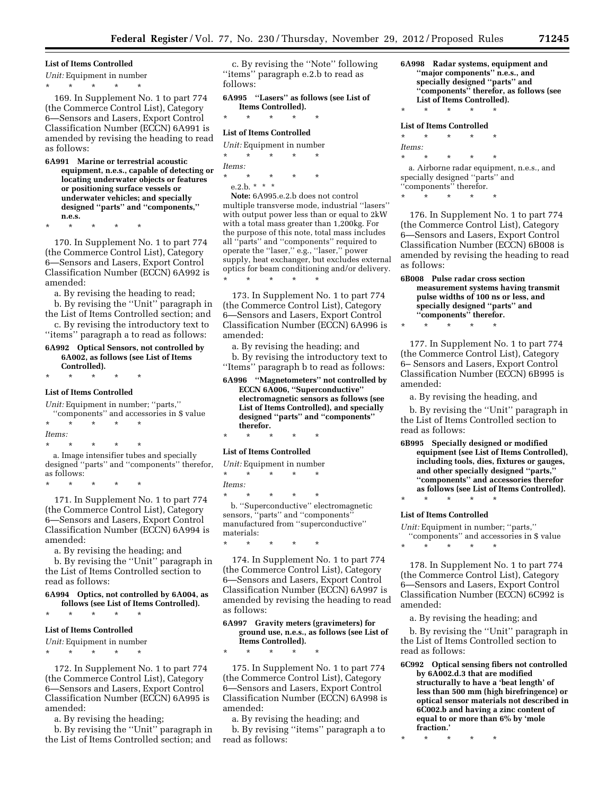#### **List of Items Controlled**

*Unit:* Equipment in number

\* \* \* \* \*

169. In Supplement No. 1 to part 774 (the Commerce Control List), Category 6—Sensors and Lasers, Export Control Classification Number (ECCN) 6A991 is amended by revising the heading to read as follows:

**6A991 Marine or terrestrial acoustic equipment, n.e.s., capable of detecting or locating underwater objects or features or positioning surface vessels or underwater vehicles; and specially designed ''parts'' and ''components,'' n.e.s.** 

\* \* \* \* \*

170. In Supplement No. 1 to part 774 (the Commerce Control List), Category 6—Sensors and Lasers, Export Control Classification Number (ECCN) 6A992 is amended:

a. By revising the heading to read;

b. By revising the ''Unit'' paragraph in the List of Items Controlled section; and c. By revising the introductory text to

''items'' paragraph a to read as follows: **6A992 Optical Sensors, not controlled by** 

**6A002, as follows (see List of Items Controlled).** 

\* \* \* \* \*

# **List of Items Controlled**

*Unit:* Equipment in number; ''parts,'' ''components'' and accessories in \$ value

\* \* \* \* \* *Items:* 

\* \* \* \* \*

a. Image intensifier tubes and specially designed ''parts'' and ''components'' therefor, as follows:

\* \* \* \* \*

171. In Supplement No. 1 to part 774 (the Commerce Control List), Category 6—Sensors and Lasers, Export Control Classification Number (ECCN) 6A994 is amended:

a. By revising the heading; and

b. By revising the ''Unit'' paragraph in the List of Items Controlled section to read as follows:

**6A994 Optics, not controlled by 6A004, as follows (see List of Items Controlled).**  \* \* \* \* \*

#### **List of Items Controlled**

*Unit:* Equipment in number \* \* \* \* \*

172. In Supplement No. 1 to part 774 (the Commerce Control List), Category 6—Sensors and Lasers, Export Control Classification Number (ECCN) 6A995 is amended:

a. By revising the heading;

b. By revising the ''Unit'' paragraph in the List of Items Controlled section; and

c. By revising the ''Note'' following ''items'' paragraph e.2.b to read as follows:

**6A995 ''Lasers'' as follows (see List of Items Controlled).**  \* \* \* \* \*

#### **List of Items Controlled**

*Unit:* Equipment in number \* \* \* \* \* *Items:*  \* \* \* \* \*

e.2.b. \* \* \*

**Note:** 6A995.e.2.b does not control multiple transverse mode, industrial ''lasers'' with output power less than or equal to 2kW with a total mass greater than 1,200kg. For the purpose of this note, total mass includes all ''parts'' and ''components'' required to operate the ''laser,'' e.g., ''laser,'' power supply, heat exchanger, but excludes external optics for beam conditioning and/or delivery. \* \* \* \* \*

173. In Supplement No. 1 to part 774 (the Commerce Control List), Category 6—Sensors and Lasers, Export Control Classification Number (ECCN) 6A996 is amended:

a. By revising the heading; and b. By revising the introductory text to ''Items'' paragraph b to read as follows:

**6A996 ''Magnetometers'' not controlled by ECCN 6A006, ''Superconductive'' electromagnetic sensors as follows (see List of Items Controlled), and specially designed ''parts'' and ''components'' therefor.** 

\* \* \* \* \*

#### **List of Items Controlled**

- *Unit:* Equipment in number
- \* \* \* \* \*

*Items:* 

\* \* \* \* \* b. ''Superconductive'' electromagnetic sensors, "parts" and "components" manufactured from ''superconductive'' materials:

\* \* \* \* \*

\* \* \* \* \*

174. In Supplement No. 1 to part 774 (the Commerce Control List), Category 6—Sensors and Lasers, Export Control Classification Number (ECCN) 6A997 is amended by revising the heading to read as follows:

#### **6A997 Gravity meters (gravimeters) for ground use, n.e.s., as follows (see List of Items Controlled).**

175. In Supplement No. 1 to part 774 (the Commerce Control List), Category 6—Sensors and Lasers, Export Control Classification Number (ECCN) 6A998 is amended:

a. By revising the heading; and

b. By revising ''items'' paragraph a to read as follows:

**6A998 Radar systems, equipment and ''major components'' n.e.s., and specially designed ''parts'' and ''components'' therefor, as follows (see List of Items Controlled).**  \* \* \* \* \* **List of Items Controlled**  \* \* \* \* \*

*Items:*  \* \* \* \* \* a. Airborne radar equipment, n.e.s., and specially designed ''parts'' and ''components'' therefor.

\* \* \* \* \*

\* \* \* \* \*

176. In Supplement No. 1 to part 774 (the Commerce Control List), Category 6—Sensors and Lasers, Export Control Classification Number (ECCN) 6B008 is amended by revising the heading to read as follows:

**6B008 Pulse radar cross section measurement systems having transmit pulse widths of 100 ns or less, and specially designed ''parts'' and ''components'' therefor.** 

177. In Supplement No. 1 to part 774 (the Commerce Control List), Category 6– Sensors and Lasers, Export Control Classification Number (ECCN) 6B995 is amended:

a. By revising the heading, and

b. By revising the ''Unit'' paragraph in the List of Items Controlled section to read as follows:

**6B995 Specially designed or modified equipment (see List of Items Controlled), including tools, dies, fixtures or gauges, and other specially designed ''parts,'' ''components'' and accessories therefor as follows (see List of Items Controlled).** 

\* \* \* \* \* **List of Items Controlled** 

*Unit:* Equipment in number; ''parts,'' ''components'' and accessories in \$ value

\* \* \* \* \*

178. In Supplement No. 1 to part 774 (the Commerce Control List), Category 6—Sensors and Lasers, Export Control Classification Number (ECCN) 6C992 is amended:

a. By revising the heading; and

b. By revising the ''Unit'' paragraph in the List of Items Controlled section to read as follows:

**6C992 Optical sensing fibers not controlled by 6A002.d.3 that are modified structurally to have a 'beat length' of less than 500 mm (high birefringence) or optical sensor materials not described in 6C002.b and having a zinc content of equal to or more than 6% by 'mole fraction.'** 

<sup>\* \* \* \* \*</sup>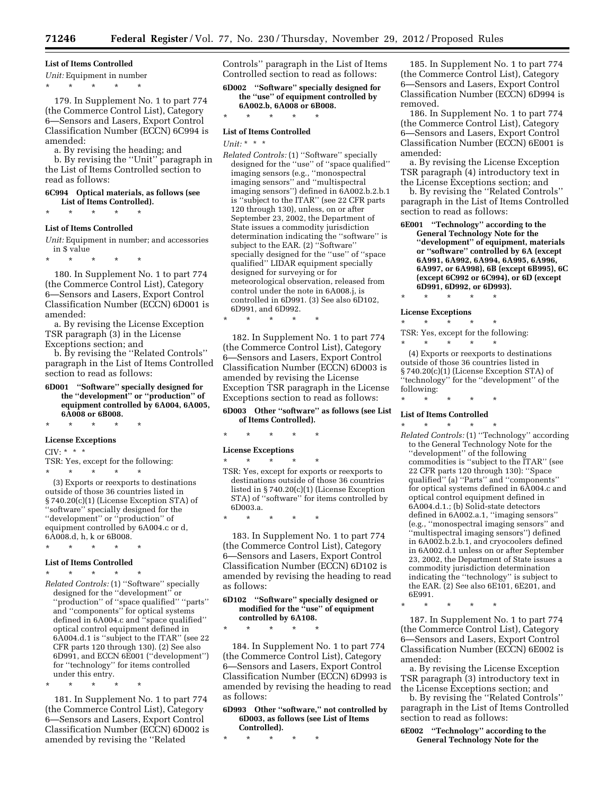#### **List of Items Controlled**

*Unit:* Equipment in number

\* \* \* \* \*

179. In Supplement No. 1 to part 774 (the Commerce Control List), Category 6—Sensors and Lasers, Export Control Classification Number (ECCN) 6C994 is amended:

a. By revising the heading; and

b. By revising the ''Unit'' paragraph in the List of Items Controlled section to read as follows:

#### **6C994 Optical materials, as follows (see List of Items Controlled).**

\* \* \* \* \*

#### **List of Items Controlled**

*Unit:* Equipment in number; and accessories in \$ value

\* \* \* \* \*

180. In Supplement No. 1 to part 774 (the Commerce Control List), Category 6—Sensors and Lasers, Export Control Classification Number (ECCN) 6D001 is amended:

a. By revising the License Exception TSR paragraph (3) in the License Exceptions section; and

b. By revising the ''Related Controls'' paragraph in the List of Items Controlled section to read as follows:

**6D001 ''Software'' specially designed for the ''development'' or ''production'' of equipment controlled by 6A004, 6A005, 6A008 or 6B008.** 

\* \* \* \* \*

#### **License Exceptions**

 $CIV: **$  \* \*

TSR: Yes, except for the following: \* \* \* \* \*

(3) Exports or reexports to destinations outside of those 36 countries listed in § 740.20(c)(1) (License Exception STA) of ''software'' specially designed for the "development" or "production" of equipment controlled by 6A004.c or d, 6A008.d, h, k or 6B008. \* \* \* \* \*

# **List of Items Controlled**

# \* \* \* \* \*

*Related Controls:* (1) ''Software'' specially designed for the ''development'' or ''production'' of ''space qualified'' ''parts'' and ''components'' for optical systems defined in 6A004.c and ''space qualified'' optical control equipment defined in 6A004.d.1 is ''subject to the ITAR'' (see 22 CFR parts 120 through 130). (2) See also 6D991, and ECCN 6E001 (''development'') for ''technology'' for items controlled under this entry.

\* \* \* \* \*

181. In Supplement No. 1 to part 774 (the Commerce Control List), Category 6—Sensors and Lasers, Export Control Classification Number (ECCN) 6D002 is amended by revising the ''Related

Controls'' paragraph in the List of Items Controlled section to read as follows:

**6D002 ''Software'' specially designed for the ''use'' of equipment controlled by 6A002.b, 6A008 or 6B008.** 

\* \* \* \* \*

#### **List of Items Controlled**

*Unit:* \* \* \*

*Related Controls:* (1) ''Software'' specially designed for the ''use'' of ''space qualified'' imaging sensors (e.g., ''monospectral imaging sensors'' and ''multispectral imaging sensors'') defined in 6A002.b.2.b.1 is ''subject to the ITAR'' (see 22 CFR parts 120 through 130), unless, on or after September 23, 2002, the Department of State issues a commodity jurisdiction determination indicating the ''software'' is subject to the EAR. (2) ''Software'' specially designed for the ''use'' of ''space qualified'' LIDAR equipment specially designed for surveying or for meteorological observation, released from control under the note in 6A008.j, is controlled in 6D991. (3) See also 6D102, 6D991, and 6D992.

\* \* \* \* \*

182. In Supplement No. 1 to part 774 (the Commerce Control List), Category 6—Sensors and Lasers, Export Control Classification Number (ECCN) 6D003 is amended by revising the License Exception TSR paragraph in the License Exceptions section to read as follows:

#### **6D003 Other ''software'' as follows (see List of Items Controlled).**

\* \* \* \* \*

\* \* \* \* \*

**License Exceptions** 

 $*$  \*

as follows:

TSR: Yes, except for exports or reexports to destinations outside of those 36 countries listed in § 740.20(c)(1) (License Exception STA) of ''software'' for items controlled by 6D003.a.

183. In Supplement No. 1 to part 774 (the Commerce Control List), Category 6—Sensors and Lasers, Export Control Classification Number (ECCN) 6D102 is amended by revising the heading to read

#### **6D102 ''Software'' specially designed or modified for the ''use'' of equipment controlled by 6A108.**

\* \* \* \* \*

184. In Supplement No. 1 to part 774 (the Commerce Control List), Category 6—Sensors and Lasers, Export Control Classification Number (ECCN) 6D993 is amended by revising the heading to read as follows:

**6D993 Other ''software,'' not controlled by 6D003, as follows (see List of Items Controlled).** 

\* \* \* \* \*

185. In Supplement No. 1 to part 774 (the Commerce Control List), Category 6—Sensors and Lasers, Export Control Classification Number (ECCN) 6D994 is removed.

186. In Supplement No. 1 to part 774 (the Commerce Control List), Category 6—Sensors and Lasers, Export Control Classification Number (ECCN) 6E001 is amended:

a. By revising the License Exception TSR paragraph (4) introductory text in the License Exceptions section; and

b. By revising the ''Related Controls'' paragraph in the List of Items Controlled section to read as follows:

- **6E001 ''Technology'' according to the General Technology Note for the ''development'' of equipment, materials or ''software'' controlled by 6A (except 6A991, 6A992, 6A994, 6A995, 6A996, 6A997, or 6A998), 6B (except 6B995), 6C (except 6C992 or 6C994), or 6D (except 6D991, 6D992, or 6D993).**
- \* \* \* \* \*

#### **License Exceptions**

\* \* \* \* \* TSR: Yes, except for the following:<br>  $\begin{array}{ccc} * & * & * & * \end{array}$ \* \* \* \* \*

(4) Exports or reexports to destinations outside of those 36 countries listed in § 740.20(c)(1) (License Exception STA) of ''technology'' for the ''development'' of the following:

# \* \* \* \* \* **List of Items Controlled**

\* \* \* \* \* *Related Controls:* (1) ''Technology'' according to the General Technology Note for the ''development'' of the following commodities is ''subject to the ITAR'' (see 22 CFR parts 120 through 130): ''Space qualified'' (a) ''Parts'' and ''components'' for optical systems defined in 6A004.c and optical control equipment defined in 6A004.d.1.; (b) Solid-state detectors defined in 6A002.a.1, ''imaging sensors'' (e.g., ''monospectral imaging sensors'' and ''multispectral imaging sensors'') defined in 6A002.b.2.b.1, and cryocoolers defined in 6A002.d.1 unless on or after September 23, 2002, the Department of State issues a commodity jurisdiction determination indicating the ''technology'' is subject to the EAR. (2) See also 6E101, 6E201, and 6E991.

187. In Supplement No. 1 to part 774 (the Commerce Control List), Category 6—Sensors and Lasers, Export Control Classification Number (ECCN) 6E002 is amended:

a. By revising the License Exception TSR paragraph (3) introductory text in the License Exceptions section; and

b. By revising the ''Related Controls'' paragraph in the List of Items Controlled section to read as follows:

**6E002 ''Technology'' according to the General Technology Note for the** 

<sup>\* \* \* \* \*</sup>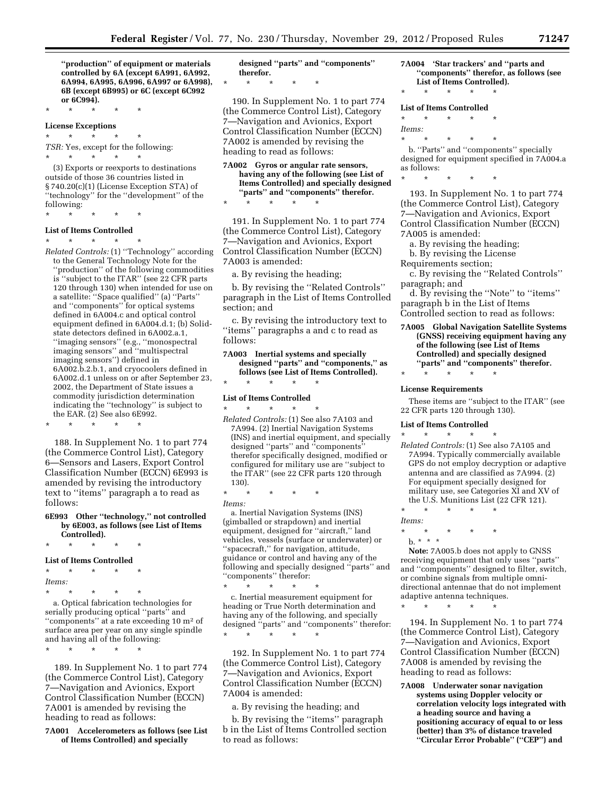**''production'' of equipment or materials controlled by 6A (except 6A991, 6A992, 6A994, 6A995, 6A996, 6A997 or 6A998), 6B (except 6B995) or 6C (except 6C992 or 6C994).** 

\* \* \* \* \* **License Exceptions** 

\* \* \* \* \*

*TSR:* Yes, except for the following: \* \* \* \* \*

(3) Exports or reexports to destinations outside of those 36 countries listed in § 740.20(c)(1) (License Exception STA) of ''technology'' for the ''development'' of the following:

# \* \* \* \* \*

# **List of Items Controlled**

\* \* \* \* \* *Related Controls:* (1) ''Technology'' according to the General Technology Note for the ''production'' of the following commodities is ''subject to the ITAR'' (see 22 CFR parts 120 through 130) when intended for use on a satellite: ''Space qualified'' (a) ''Parts'' and ''components'' for optical systems defined in 6A004.c and optical control equipment defined in 6A004.d.1; (b) Solidstate detectors defined in 6A002.a.1, ''imaging sensors'' (e.g., ''monospectral imaging sensors'' and ''multispectral imaging sensors'') defined in 6A002.b.2.b.1, and cryocoolers defined in 6A002.d.1 unless on or after September 23, 2002, the Department of State issues a commodity jurisdiction determination indicating the ''technology'' is subject to the EAR.  $(2)$  See also 6E992. \* \* \* \* \*

188. In Supplement No. 1 to part 774 (the Commerce Control List), Category 6—Sensors and Lasers, Export Control Classification Number (ECCN) 6E993 is amended by revising the introductory text to ''items'' paragraph a to read as follows:

**6E993 Other ''technology,'' not controlled by 6E003, as follows (see List of Items** 

**Controlled).**  \* \* \* \* \*

#### **List of Items Controlled**

\* \* \* \* \* *Items:*  \* \* \* \* \*

\* \* \* \* \*

a. Optical fabrication technologies for serially producing optical ''parts'' and ''components'' at a rate exceeding 10 m2 of surface area per year on any single spindle and having all of the following:

189. In Supplement No. 1 to part 774 (the Commerce Control List), Category 7—Navigation and Avionics, Export Control Classification Number (ECCN) 7A001 is amended by revising the heading to read as follows:

**7A001 Accelerometers as follows (see List of Items Controlled) and specially** 

**designed ''parts'' and ''components'' therefor.** 

\* \* \* \* \*

190. In Supplement No. 1 to part 774 (the Commerce Control List), Category 7—Navigation and Avionics, Export Control Classification Number (ECCN) 7A002 is amended by revising the heading to read as follows:

**7A002 Gyros or angular rate sensors, having any of the following (see List of Items Controlled) and specially designed ''parts'' and ''components'' therefor.**  \* \* \* \* \*

191. In Supplement No. 1 to part 774 (the Commerce Control List), Category 7—Navigation and Avionics, Export Control Classification Number (ECCN) 7A003 is amended:

a. By revising the heading;

b. By revising the ''Related Controls'' paragraph in the List of Items Controlled section; and

c. By revising the introductory text to ''items'' paragraphs a and c to read as follows:

**7A003 Inertial systems and specially designed ''parts'' and ''components,'' as follows (see List of Items Controlled).**  \* \* \* \* \*

#### **List of Items Controlled**

\* \* \* \* \* *Related Controls:* (1) See also 7A103 and 7A994. (2) Inertial Navigation Systems (INS) and inertial equipment, and specially designed ''parts'' and ''components'' therefor specifically designed, modified or configured for military use are ''subject to the ITAR'' (see 22 CFR parts 120 through 130).

\* \* \* \* \* *Items:* 

a. Inertial Navigation Systems (INS) (gimballed or strapdown) and inertial equipment, designed for ''aircraft,'' land vehicles, vessels (surface or underwater) or ''spacecraft,'' for navigation, attitude, guidance or control and having any of the following and specially designed ''parts'' and ''components'' therefor:

\* \* \* \* \* c. Inertial measurement equipment for heading or True North determination and having any of the following, and specially designed ''parts'' and ''components'' therefor: \* \* \* \* \*

192. In Supplement No. 1 to part 774 (the Commerce Control List), Category 7—Navigation and Avionics, Export Control Classification Number (ECCN) 7A004 is amended:

a. By revising the heading; and

b. By revising the ''items'' paragraph b in the List of Items Controlled section to read as follows:

#### **7A004 'Star trackers' and ''parts and ''components'' therefor, as follows (see List of Items Controlled).**

\* \* \* \* \*

#### **List of Items Controlled**

\* \* \* \* \*

*Items:* 

\* \* \* \* \* b. "Parts" and "components" specially designed for equipment specified in 7A004.a as follows:

\* \* \* \* \*

193. In Supplement No. 1 to part 774 (the Commerce Control List), Category 7—Navigation and Avionics, Export Control Classification Number (ECCN) 7A005 is amended:

- a. By revising the heading;
- b. By revising the License
- Requirements section;

c. By revising the ''Related Controls'' paragraph; and

- d. By revising the ''Note'' to ''items'' paragraph b in the List of Items Controlled section to read as follows:
- **7A005 Global Navigation Satellite Systems (GNSS) receiving equipment having any of the following (see List of Items Controlled) and specially designed ''parts'' and ''components'' therefor.**

#### **License Requirements**

\* \* \* \* \*

These items are ''subject to the ITAR'' (see 22 CFR parts 120 through 130).

#### **List of Items Controlled**  \* \* \* \* \*

*Related Controls:* (1) See also 7A105 and 7A994. Typically commercially available GPS do not employ decryption or adaptive antenna and are classified as 7A994. (2) For equipment specially designed for military use, see Categories XI and XV of the U.S. Munitions List (22 CFR 121).

\* \* \* \* \*

- *Items:*
- \* \* \* \* \*  $b. * * * *$

**Note:** 7A005.b does not apply to GNSS receiving equipment that only uses ''parts'' and ''components'' designed to filter, switch, or combine signals from multiple omnidirectional antennae that do not implement adaptive antenna techniques.

194. In Supplement No. 1 to part 774 (the Commerce Control List), Category 7—Navigation and Avionics, Export Control Classification Number (ECCN) 7A008 is amended by revising the heading to read as follows:

\* \* \* \* \*

**7A008 Underwater sonar navigation systems using Doppler velocity or correlation velocity logs integrated with a heading source and having a positioning accuracy of equal to or less (better) than 3% of distance traveled ''Circular Error Probable'' (''CEP'') and**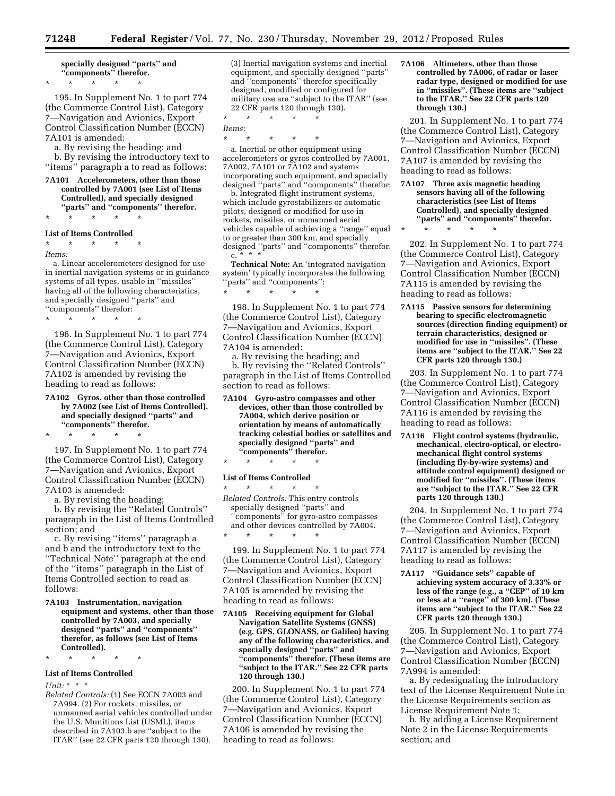**specially designed ''parts'' and ''components'' therefor.** 

\* \* \* \* \*

195. In Supplement No. 1 to part 774 (the Commerce Control List), Category 7—Navigation and Avionics, Export Control Classification Number (ECCN) 7A101 is amended:

a. By revising the heading; and

b. By revising the introductory text to ''items'' paragraph a to read as follows:

**7A101 Accelerometers, other than those controlled by 7A001 (see List of Items Controlled), and specially designed ''parts'' and ''components'' therefor.**  \* \* \* \* \*

#### **List of Items Controlled**

\* \* \* \* \*

#### *Items:*

a. Linear accelerometers designed for use in inertial navigation systems or in guidance systems of all types, usable in ''missiles'' having all of the following characteristics, and specially designed ''parts'' and ''components'' therefor:

\* \* \* \* \*

196. In Supplement No. 1 to part 774 (the Commerce Control List), Category 7—Navigation and Avionics, Export Control Classification Number (ECCN) 7A102 is amended by revising the heading to read as follows:

**7A102 Gyros, other than those controlled by 7A002 (see List of Items Controlled), and specially designed ''parts'' and ''components'' therefor.** 

197. In Supplement No. 1 to part 774 (the Commerce Control List), Category 7—Navigation and Avionics, Export Control Classification Number (ECCN) 7A103 is amended:

a. By revising the heading;

\* \* \* \* \*

b. By revising the ''Related Controls'' paragraph in the List of Items Controlled section; and

c. By revising ''items'' paragraph a and b and the introductory text to the ''Technical Note'' paragraph at the end of the ''items'' paragraph in the List of Items Controlled section to read as follows:

**7A103 Instrumentation, navigation equipment and systems, other than those controlled by 7A003, and specially designed ''parts'' and ''components'' therefor, as follows (see List of Items Controlled).** 

\* \* \* \* \*

# **List of Items Controlled**

*Unit:* \* \* \*

*Related Controls:* (1) See ECCN 7A003 and 7A994. (2) For rockets, missiles, or unmanned aerial vehicles controlled under the U.S. Munitions List (USML), items described in 7A103.b are ''subject to the ITAR'' (see 22 CFR parts 120 through 130).

(3) Inertial navigation systems and inertial equipment, and specially designed ''parts'' and ''components'' therefor specifically designed, modified or configured for military use are ''subject to the ITAR'' (see 22 CFR parts 120 through 130).

\* \* \* \* \*

*Items:*  \* \* \* \* \*

a. Inertial or other equipment using accelerometers or gyros controlled by 7A001, 7A002, 7A101 or 7A102 and systems incorporating such equipment, and specially designed ''parts'' and ''components'' therefor;

b. Integrated flight instrument systems, which include gyrostabilizers or automatic pilots, designed or modified for use in rockets, missiles, or unmanned aerial vehicles capable of achieving a ''range'' equal to or greater than 300 km, and specially designed ''parts'' and ''components'' therefor.  $C_{\cdot}$ 

**Technical Note:** An 'integrated navigation system' typically incorporates the following ''parts'' and ''components'': \* \* \* \* \*

198. In Supplement No. 1 to part 774 (the Commerce Control List), Category 7—Navigation and Avionics, Export Control Classification Number (ECCN) 7A104 is amended:

a. By revising the heading; and b. By revising the ''Related Controls'' paragraph in the List of Items Controlled section to read as follows:

**7A104 Gyro-astro compasses and other devices, other than those controlled by 7A004, which derive position or orientation by means of automatically tracking celestial bodies or satellites and specially designed ''parts'' and ''components'' therefor.** 

#### \* \* \* \* \*

#### **List of Items Controlled**

\* \* \* \* \* *Related Controls:* This entry controls specially designed ''parts'' and ''components'' for gyro-astro compasses and other devices controlled by 7A004. \* \* \* \* \*

199. In Supplement No. 1 to part 774 (the Commerce Control List), Category 7—Navigation and Avionics, Export Control Classification Number (ECCN) 7A105 is amended by revising the heading to read as follows:

**7A105 Receiving equipment for Global Navigation Satellite Systems (GNSS) (e.g. GPS, GLONASS, or Galileo) having any of the following characteristics, and specially designed ''parts'' and ''components'' therefor. (These items are ''subject to the ITAR.'' See 22 CFR parts 120 through 130.)** 

200. In Supplement No. 1 to part 774 (the Commerce Control List), Category 7—Navigation and Avionics, Export Control Classification Number (ECCN) 7A106 is amended by revising the heading to read as follows:

**7A106 Altimeters, other than those controlled by 7A006, of radar or laser radar type, designed or modified for use in ''missiles''. (These items are ''subject to the ITAR.'' See 22 CFR parts 120 through 130.)** 

201. In Supplement No. 1 to part 774 (the Commerce Control List), Category 7—Navigation and Avionics, Export Control Classification Number (ECCN) 7A107 is amended by revising the heading to read as follows:

**7A107 Three axis magnetic heading sensors having all of the following characteristics (see List of Items Controlled), and specially designed ''parts'' and ''components'' therefor.** 

\* \* \* \* \*

202. In Supplement No. 1 to part 774 (the Commerce Control List), Category 7—Navigation and Avionics, Export Control Classification Number (ECCN) 7A115 is amended by revising the heading to read as follows:

**7A115 Passive sensors for determining bearing to specific electromagnetic sources (direction finding equipment) or terrain characteristics, designed or modified for use in ''missiles''. (These items are ''subject to the ITAR.'' See 22 CFR parts 120 through 130.)** 

203. In Supplement No. 1 to part 774 (the Commerce Control List), Category 7—Navigation and Avionics, Export Control Classification Number (ECCN) 7A116 is amended by revising the heading to read as follows:

**7A116 Flight control systems (hydraulic, mechanical, electro-optical, or electromechanical flight control systems (including fly-by-wire systems) and attitude control equipment) designed or modified for ''missiles''. (These items are ''subject to the ITAR.'' See 22 CFR parts 120 through 130.)** 

204. In Supplement No. 1 to part 774 (the Commerce Control List), Category 7—Navigation and Avionics, Export Control Classification Number (ECCN) 7A117 is amended by revising the heading to read as follows:

**7A117 ''Guidance sets'' capable of achieving system accuracy of 3.33% or less of the range (e.g., a ''CEP'' of 10 km or less at a ''range'' of 300 km). (These items are ''subject to the ITAR.'' See 22 CFR parts 120 through 130.)** 

205. In Supplement No. 1 to part 774 (the Commerce Control List), Category 7—Navigation and Avionics, Export Control Classification Number (ECCN) 7A994 is amended:

a. By redesignating the introductory text of the License Requirement Note in the License Requirements section as License Requirement Note 1;

b. By adding a License Requirement Note 2 in the License Requirements section; and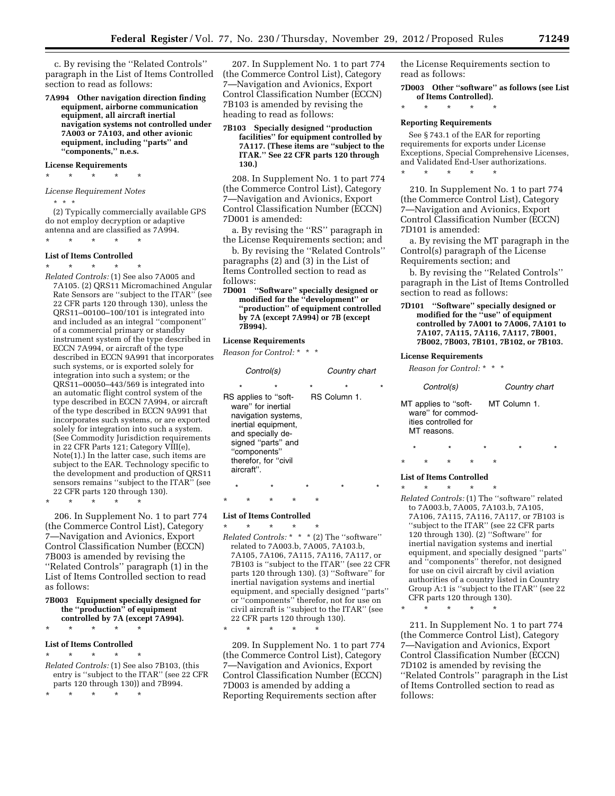c. By revising the ''Related Controls'' paragraph in the List of Items Controlled section to read as follows:

**7A994 Other navigation direction finding equipment, airborne communication equipment, all aircraft inertial navigation systems not controlled under 7A003 or 7A103, and other avionic equipment, including ''parts'' and ''components,'' n.e.s.** 

# **License Requirements**

\* \* \* \* \* *License Requirement Notes* 

```
* * *
```
(2) Typically commercially available GPS do not employ decryption or adaptive antenna and are classified as 7A994. \* \* \* \* \*

#### **List of Items Controlled**

# \* \* \* \* \*

*Related Controls:* (1) See also 7A005 and 7A105. (2) QRS11 Micromachined Angular Rate Sensors are ''subject to the ITAR'' (see 22 CFR parts 120 through 130), unless the QRS11–00100–100/101 is integrated into and included as an integral ''component'' of a commercial primary or standby instrument system of the type described in ECCN 7A994, or aircraft of the type described in ECCN 9A991 that incorporates such systems, or is exported solely for integration into such a system; or the QRS11–00050–443/569 is integrated into an automatic flight control system of the type described in ECCN 7A994, or aircraft of the type described in ECCN 9A991 that incorporates such systems, or are exported solely for integration into such a system. (See Commodity Jurisdiction requirements in 22 CFR Parts 121; Category VIII(e), Note(1).) In the latter case, such items are subject to the EAR. Technology specific to the development and production of QRS11 sensors remains ''subject to the ITAR'' (see 22 CFR parts 120 through 130).

\* \* \* \* \*

206. In Supplement No. 1 to part 774 (the Commerce Control List), Category 7—Navigation and Avionics, Export Control Classification Number (ECCN) 7B003 is amended by revising the ''Related Controls'' paragraph (1) in the List of Items Controlled section to read as follows:

#### **7B003 Equipment specially designed for the ''production'' of equipment controlled by 7A (except 7A994).**

\* \* \* \* \*

#### **List of Items Controlled**

\* \* \* \* \* *Related Controls:* (1) See also 7B103, (this entry is ''subject to the ITAR'' (see 22 CFR parts 120 through 130)) and 7B994.

\* \* \* \* \*

207. In Supplement No. 1 to part 774 (the Commerce Control List), Category 7—Navigation and Avionics, Export Control Classification Number (ECCN) 7B103 is amended by revising the heading to read as follows:

**7B103 Specially designed ''production facilities'' for equipment controlled by 7A117. (These items are ''subject to the ITAR.'' See 22 CFR parts 120 through 130.)** 

208. In Supplement No. 1 to part 774 (the Commerce Control List), Category 7—Navigation and Avionics, Export Control Classification Number (ECCN) 7D001 is amended:

a. By revising the ''RS'' paragraph in the License Requirements section; and

b. By revising the ''Related Controls'' paragraphs (2) and (3) in the List of Items Controlled section to read as follows:

**7D001 ''Software'' specially designed or modified for the ''development'' or ''production'' of equipment controlled by 7A (except 7A994) or 7B (except 7B994).** 

#### **License Requirements**

*Reason for Control:* \* \* \*

| Control(s) |                                                                                                                                                                             |         | Country chart                  |  |
|------------|-----------------------------------------------------------------------------------------------------------------------------------------------------------------------------|---------|--------------------------------|--|
| aircraft". | RS applies to "soft-<br>ware" for inertial<br>navigation systems,<br>inertial equipment,<br>and specially de-<br>signed "parts" and<br>"components"<br>therefor, for "civil | $\star$ | $\star$<br><b>RS Column 1.</b> |  |
|            |                                                                                                                                                                             |         |                                |  |

\* \* \* \* \* **List of Items Controlled** 

\* \* \* \* \* *Related Controls:* \* \* \* (2) The ''software'' related to 7A003.b, 7A005, 7A103.b, 7A105, 7A106, 7A115, 7A116, 7A117, or 7B103 is ''subject to the ITAR'' (see 22 CFR parts 120 through 130). (3) ''Software'' for inertial navigation systems and inertial equipment, and specially designed ''parts'' or ''components'' therefor, not for use on civil aircraft is ''subject to the ITAR'' (see 22 CFR parts 120 through 130).

\* \* \* \* \*

209. In Supplement No. 1 to part 774 (the Commerce Control List), Category 7—Navigation and Avionics, Export Control Classification Number (ECCN) 7D003 is amended by adding a Reporting Requirements section after

the License Requirements section to read as follows:

**7D003 Other ''software'' as follows (see List of Items Controlled).** 

\* \* \* \* \*

#### **Reporting Requirements**

\* \* \* \* \*

See § 743.1 of the EAR for reporting requirements for exports under License Exceptions, Special Comprehensive Licenses, and Validated End-User authorizations.

210. In Supplement No. 1 to part 774 (the Commerce Control List), Category 7—Navigation and Avionics, Export Control Classification Number (ECCN) 7D101 is amended:

a. By revising the MT paragraph in the Control(s) paragraph of the License Requirements section; and

b. By revising the ''Related Controls'' paragraph in the List of Items Controlled section to read as follows:

**7D101 ''Software'' specially designed or modified for the ''use'' of equipment controlled by 7A001 to 7A006, 7A101 to 7A107, 7A115, 7A116, 7A117, 7B001, 7B002, 7B003, 7B101, 7B102, or 7B103.** 

#### **License Requirements**

*Reason for Control:* \* \* \*

| Control(s) |             |                                                                   | Country chart |         |   |              |  |         |
|------------|-------------|-------------------------------------------------------------------|---------------|---------|---|--------------|--|---------|
|            | MT reasons. | MT applies to "soft-<br>ware" for commod-<br>ities controlled for |               |         |   | MT Column 1. |  |         |
| $\star$    |             | ÷                                                                 |               | $\star$ |   | $\star$      |  | $\star$ |
| ÷          | *           | ÷                                                                 | ÷             |         | ÷ |              |  |         |

#### **List of Items Controlled**

 $\star$   $\qquad$   $\star$   $\qquad$   $\star$ *Related Controls:* (1) The ''software'' related to 7A003.b, 7A005, 7A103.b, 7A105, 7A106, 7A115, 7A116, 7A117, or 7B103 is ''subject to the ITAR'' (see 22 CFR parts 120 through 130). (2) ''Software'' for inertial navigation systems and inertial equipment, and specially designed ''parts'' and ''components'' therefor, not designed for use on civil aircraft by civil aviation authorities of a country listed in Country Group A:1 is ''subject to the ITAR'' (see 22 CFR parts 120 through 130).

\* \* \* \* \*

211. In Supplement No. 1 to part 774 (the Commerce Control List), Category 7—Navigation and Avionics, Export Control Classification Number (ECCN) 7D102 is amended by revising the ''Related Controls'' paragraph in the List of Items Controlled section to read as follows: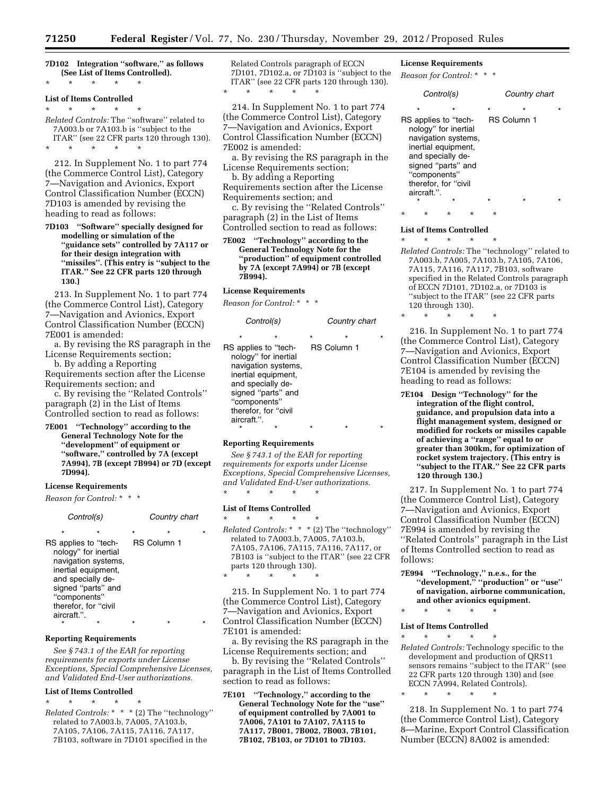**7D102 Integration ''software,'' as follows (See List of Items Controlled).**  \* \* \* \* \*

#### **List of Items Controlled**

\* \* \* \* \*

*Related Controls:* The ''software'' related to 7A003.b or 7A103.b is ''subject to the ITAR'' (see 22 CFR parts 120 through 130). \* \* \* \* \*

212. In Supplement No. 1 to part 774 (the Commerce Control List), Category 7—Navigation and Avionics, Export Control Classification Number (ECCN) 7D103 is amended by revising the heading to read as follows:

**7D103 ''Software'' specially designed for modelling or simulation of the ''guidance sets'' controlled by 7A117 or for their design integration with ''missiles''. (This entry is ''subject to the ITAR.'' See 22 CFR parts 120 through 130.)** 

213. In Supplement No. 1 to part 774 (the Commerce Control List), Category 7—Navigation and Avionics, Export Control Classification Number (ECCN) 7E001 is amended:

a. By revising the RS paragraph in the License Requirements section;

b. By adding a Reporting Requirements section after the License

Requirements section; and c. By revising the ''Related Controls'' paragraph (2) in the List of Items Controlled section to read as follows:

**7E001 ''Technology'' according to the General Technology Note for the ''development'' of equipment or ''software,'' controlled by 7A (except 7A994), 7B (except 7B994) or 7D (except 7D994).** 

#### **License Requirements**

*Reason for Control:* \* \* \*

| Control(s)                                                                                                                                                                                        |         | Country chart                 |  |  |
|---------------------------------------------------------------------------------------------------------------------------------------------------------------------------------------------------|---------|-------------------------------|--|--|
| ÷<br>RS applies to "tech-<br>nology" for inertial<br>navigation systems,<br>inertial equipment.<br>and specially de-<br>signed "parts" and<br>"components"<br>therefor, for "civil<br>aircraft.". | $\star$ | $\star$<br><b>RS Column 1</b> |  |  |
|                                                                                                                                                                                                   |         |                               |  |  |

#### **Reporting Requirements**

*See § 743.1 of the EAR for reporting requirements for exports under License Exceptions, Special Comprehensive Licenses, and Validated End-User authorizations.* 

#### **List of Items Controlled**

\* \* \* \* \* *Related Controls:* \* \* \* (2) The ''technology'' related to 7A003.b, 7A005, 7A103.b, 7A105, 7A106, 7A115, 7A116, 7A117, 7B103, software in 7D101 specified in the

Related Controls paragraph of ECCN 7D101, 7D102.a, or 7D103 is ''subject to the ITAR'' (see 22 CFR parts 120 through 130).

214. In Supplement No. 1 to part 774 (the Commerce Control List), Category 7—Navigation and Avionics, Export Control Classification Number (ECCN) 7E002 is amended:

a. By revising the RS paragraph in the License Requirements section;

b. By adding a Reporting

\* \* \* \* \*

Requirements section after the License Requirements section; and

c. By revising the ''Related Controls'' paragraph (2) in the List of Items Controlled section to read as follows:

**7E002 ''Technology'' according to the General Technology Note for the ''production'' of equipment controlled by 7A (except 7A994) or 7B (except 7B994).** 

# **License Requirements**

*Reason for Control:* \* \* \*

| Control(s)                                                                                                                                                                                                         |  |                               | Country chart |  |
|--------------------------------------------------------------------------------------------------------------------------------------------------------------------------------------------------------------------|--|-------------------------------|---------------|--|
| $\star$<br>$\star$<br>RS applies to "tech-<br>nology" for inertial<br>navigation systems,<br>inertial equipment,<br>and specially de-<br>signed "parts" and<br>"components"<br>therefor, for "civil<br>aircraft.". |  | $\star$<br><b>RS Column 1</b> |               |  |
|                                                                                                                                                                                                                    |  |                               |               |  |

#### **Reporting Requirements**

*See § 743.1 of the EAR for reporting requirements for exports under License Exceptions, Special Comprehensive Licenses, and Validated End-User authorizations.*  \* \* \* \* \*

#### **List of Items Controlled**

\* \* \* \* \* *Related Controls:* \* \* \* (2) The ''technology'' related to 7A003.b, 7A005, 7A103.b, 7A105, 7A106, 7A115, 7A116, 7A117, or 7B103 is ''subject to the ITAR'' (see 22 CFR parts 120 through 130). \* \* \* \* \*

215. In Supplement No. 1 to part 774 (the Commerce Control List), Category 7—Navigation and Avionics, Export Control Classification Number (ECCN) 7E101 is amended:

a. By revising the RS paragraph in the License Requirements section; and

b. By revising the ''Related Controls'' paragraph in the List of Items Controlled section to read as follows:

**7E101 ''Technology,'' according to the General Technology Note for the ''use'' of equipment controlled by 7A001 to 7A006, 7A101 to 7A107, 7A115 to 7A117, 7B001, 7B002, 7B003, 7B101, 7B102, 7B103, or 7D101 to 7D103.** 

# **License Requirements**

*Reason for Control:* \* \* \*

| Control(s)                                                                                                                                                                                                         |         | Country chart      |  |
|--------------------------------------------------------------------------------------------------------------------------------------------------------------------------------------------------------------------|---------|--------------------|--|
| $\star$<br>$\star$<br>RS applies to "tech-<br>nology" for inertial<br>navigation systems,<br>inertial equipment,<br>and specially de-<br>signed "parts" and<br>"components"<br>therefor, for "civil<br>aircraft.". | $\star$ | <b>RS Column 1</b> |  |

# \* \* \* \* \* **List of Items Controlled**

\* \* \* \* \*

\* \* \* \* \*

*Related Controls:* The ''technology'' related to 7A003.b, 7A005, 7A103.b, 7A105, 7A106, 7A115, 7A116, 7A117, 7B103, software specified in the Related Controls paragraph of ECCN 7D101, 7D102.a, or 7D103 is ''subject to the ITAR'' (see 22 CFR parts 120 through 130).

216. In Supplement No. 1 to part 774 (the Commerce Control List), Category 7—Navigation and Avionics, Export Control Classification Number (ECCN) 7E104 is amended by revising the heading to read as follows:

**7E104 Design ''Technology'' for the integration of the flight control, guidance, and propulsion data into a flight management system, designed or modified for rockets or missiles capable of achieving a ''range'' equal to or greater than 300km, for optimization of rocket system trajectory. (This entry is ''subject to the ITAR.'' See 22 CFR parts 120 through 130.)** 

217. In Supplement No. 1 to part 774 (the Commerce Control List), Category 7—Navigation and Avionics, Export Control Classification Number (ECCN) 7E994 is amended by revising the ''Related Controls'' paragraph in the List of Items Controlled section to read as follows:

- **7E994 ''Technology,'' n.e.s., for the ''development,'' ''production'' or ''use'' of navigation, airborne communication, and other avionics equipment.**
- \* \* \* \* \*

#### **List of Items Controlled**

\* \* \* \* \* *Related Controls:* Technology specific to the development and production of QRS11 sensors remains "subject to the ITAR" (see 22 CFR parts 120 through 130) and (see ECCN 7A994, Related Controls).

\* \* \* \* \*

218. In Supplement No. 1 to part 774 (the Commerce Control List), Category 8—Marine, Export Control Classification Number (ECCN) 8A002 is amended: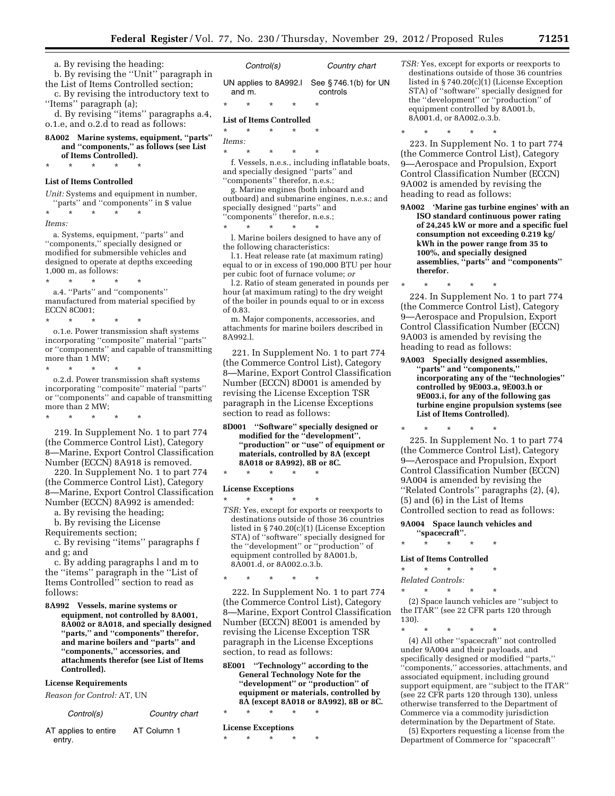| a. By revising the heading:             |         |
|-----------------------------------------|---------|
| b. By revising the "Unit" paragraph in  |         |
| the List of Items Controlled section;   | UΝ      |
| c. By revising the introductory text to | ć       |
| "Items" paragraph (a);                  | $\star$ |
| d. By revising "items" paragraphs a.4,  | T :     |

o.1.e, and o.2.d to read as follows:

**8A002 Marine systems, equipment, ''parts'' and ''components,'' as follows (see List of Items Controlled).**  \* \* \* \* \*

#### **List of Items Controlled**

*Unit:* Systems and equipment in number, 'parts'' and ''components'' in \$ value  $\star$   $\qquad$   $\star$   $\qquad$   $\star$   $\qquad$   $\star$ *Items:* 

a. Systems, equipment, ''parts'' and ''components,'' specially designed or modified for submersible vehicles and designed to operate at depths exceeding 1,000 m, as follows:

 $\star$   $\star$   $\star$ 

a.4. ''Parts'' and ''components'' manufactured from material specified by ECCN 8C001;

\* \* \* \* \* o.1.e. Power transmission shaft systems incorporating ''composite'' material ''parts'' or ''components'' and capable of transmitting more than 1 MW;

\* \* \* \* \* o.2.d. Power transmission shaft systems incorporating ''composite'' material ''parts'' or ''components'' and capable of transmitting more than 2 MW;

\* \* \* \* \*

219. In Supplement No. 1 to part 774 (the Commerce Control List), Category 8—Marine, Export Control Classification Number (ECCN) 8A918 is removed.

220. In Supplement No. 1 to part 774 (the Commerce Control List), Category 8—Marine, Export Control Classification Number (ECCN) 8A992 is amended:

a. By revising the heading;

b. By revising the License

Requirements section;

c. By revising ''items'' paragraphs f and g; and

c. By adding paragraphs l and m to the ''items'' paragraph in the ''List of Items Controlled'' section to read as follows:

**8A992 Vessels, marine systems or equipment, not controlled by 8A001, 8A002 or 8A018, and specially designed ''parts,'' and ''components'' therefor, and marine boilers and ''parts'' and ''components,'' accessories, and attachments therefor (see List of Items Controlled).** 

#### **License Requirements**

*Reason for Control:* AT, UN

| Control(s) | Country chart |
|------------|---------------|
|            |               |

| AT applies to entire | AT Column 1 |
|----------------------|-------------|
| entry.               |             |

| Control(s)                                               |        |         |         | Country chart |  |
|----------------------------------------------------------|--------|---------|---------|---------------|--|
| UN applies to $8A992.1$ See $$746.1(b)$ for UN<br>and m. |        |         |         | controls      |  |
| $\star$                                                  | $\ast$ | $\star$ | $\star$ | $^\star$      |  |

# **List of Items Controlled**

\* \* \* \* \* *Items:* 

\* \* \* \* \* f. Vessels, n.e.s., including inflatable boats, and specially designed ''parts'' and ''components'' therefor, n.e.s.;

g. Marine engines (both inboard and outboard) and submarine engines, n.e.s.; and specially designed ''parts'' and "components" therefor, n.e.s.;

\* \* \* \* \*

l. Marine boilers designed to have any of the following characteristics:

l.1. Heat release rate (at maximum rating) equal to or in excess of 190,000 BTU per hour per cubic foot of furnace volume; *or* 

l.2. Ratio of steam generated in pounds per hour (at maximum rating) to the dry weight of the boiler in pounds equal to or in excess of 0.83.

m. Major components, accessories, and attachments for marine boilers described in 8A992.l.

221. In Supplement No. 1 to part 774 (the Commerce Control List), Category 8—Marine, Export Control Classification Number (ECCN) 8D001 is amended by revising the License Exception TSR paragraph in the License Exceptions section to read as follows:

**8D001 ''Software'' specially designed or modified for the ''development'', ''production'' or ''use'' of equipment or materials, controlled by 8A (except 8A018 or 8A992), 8B or 8C.** 

\* \* \* \* \*

#### **License Exceptions**

\* \* \* \* \* *TSR:* Yes, except for exports or reexports to destinations outside of those 36 countries listed in § 740.20(c)(1) (License Exception STA) of ''software'' specially designed for the ''development'' or ''production'' of equipment controlled by 8A001.b, 8A001.d, or 8A002.o.3.b.

\* \* \* \* \*

222. In Supplement No. 1 to part 774 (the Commerce Control List), Category 8—Marine, Export Control Classification Number (ECCN) 8E001 is amended by revising the License Exception TSR paragraph in the License Exceptions section, to read as follows:

**8E001 ''Technology'' according to the General Technology Note for the ''development'' or ''production'' of equipment or materials, controlled by 8A (except 8A018 or 8A992), 8B or 8C.**  \* \* \* \* \*

**License Exceptions** 

\* \* \* \* \*

*TSR:* Yes, except for exports or reexports to destinations outside of those 36 countries listed in § 740.20(c)(1) (License Exception STA) of ''software'' specially designed for the ''development'' or ''production'' of equipment controlled by 8A001.b, 8A001.d, or 8A002.o.3.b.

\* \* \* \* \*

223. In Supplement No. 1 to part 774 (the Commerce Control List), Category 9—Aerospace and Propulsion, Export Control Classification Number (ECCN) 9A002 is amended by revising the heading to read as follows:

**9A002 'Marine gas turbine engines' with an ISO standard continuous power rating of 24,245 kW or more and a specific fuel consumption not exceeding 0.219 kg/ kWh in the power range from 35 to 100%, and specially designed assemblies, ''parts'' and ''components'' therefor.** 

224. In Supplement No. 1 to part 774 (the Commerce Control List), Category 9—Aerospace and Propulsion, Export Control Classification Number (ECCN) 9A003 is amended by revising the heading to read as follows:

\* \* \* \* \*

**9A003 Specially designed assemblies, ''parts'' and ''components,'' incorporating any of the ''technologies'' controlled by 9E003.a, 9E003.h or 9E003.i, for any of the following gas turbine engine propulsion systems (see List of Items Controlled).** 

 $\star$   $\qquad$   $\star$   $\qquad$   $\star$ 225. In Supplement No. 1 to part 774 (the Commerce Control List), Category 9—Aerospace and Propulsion, Export Control Classification Number (ECCN) 9A004 is amended by revising the ''Related Controls'' paragraphs (2), (4), (5) and (6) in the List of Items Controlled section to read as follows:

#### **9A004 Space launch vehicles and**

**''spacecraft''.**  \* \* \* \* \*

#### **List of Items Controlled**

\* \* \* \* \* *Related Controls:* 

\* \* \* \* \*

(2) Space launch vehicles are ''subject to the ITAR'' (see 22 CFR parts 120 through 130).

\* \* \* \* \*

(4) All other ''spacecraft'' not controlled under 9A004 and their payloads, and specifically designed or modified ''parts,'' ''components,'' accessories, attachments, and associated equipment, including ground support equipment, are ''subject to the ITAR'' (see 22 CFR parts 120 through 130), unless otherwise transferred to the Department of Commerce via a commodity jurisdiction determination by the Department of State.

(5) Exporters requesting a license from the Department of Commerce for ''spacecraft''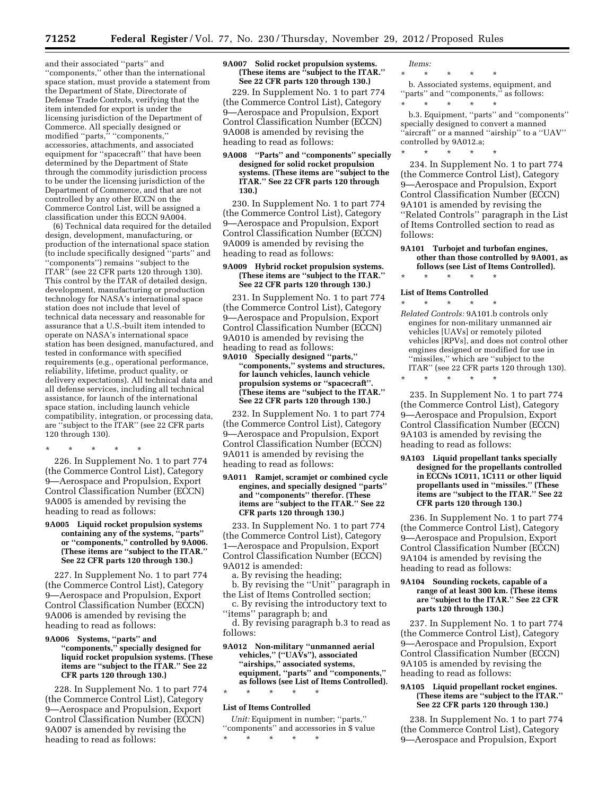and their associated ''parts'' and ''components,'' other than the international space station, must provide a statement from the Department of State, Directorate of Defense Trade Controls, verifying that the item intended for export is under the licensing jurisdiction of the Department of Commerce. All specially designed or modified "parts," "components," accessories, attachments, and associated equipment for ''spacecraft'' that have been determined by the Department of State through the commodity jurisdiction process to be under the licensing jurisdiction of the Department of Commerce, and that are not controlled by any other ECCN on the Commerce Control List, will be assigned a classification under this ECCN 9A004.

(6) Technical data required for the detailed design, development, manufacturing, or production of the international space station (to include specifically designed ''parts'' and ''components'') remains ''subject to the ITAR'' (see 22 CFR parts 120 through 130). This control by the ITAR of detailed design, development, manufacturing or production technology for NASA's international space station does not include that level of technical data necessary and reasonable for assurance that a U.S.-built item intended to operate on NASA's international space station has been designed, manufactured, and tested in conformance with specified requirements (e.g., operational performance, reliability, lifetime, product quality, or delivery expectations). All technical data and all defense services, including all technical assistance, for launch of the international space station, including launch vehicle compatibility, integration, or processing data, are ''subject to the ITAR'' (see 22 CFR parts 120 through 130).

\* \* \* \* \*

226. In Supplement No. 1 to part 774 (the Commerce Control List), Category 9—Aerospace and Propulsion, Export Control Classification Number (ECCN) 9A005 is amended by revising the heading to read as follows:

#### **9A005 Liquid rocket propulsion systems containing any of the systems, ''parts'' or ''components,'' controlled by 9A006. (These items are ''subject to the ITAR.'' See 22 CFR parts 120 through 130.)**

227. In Supplement No. 1 to part 774 (the Commerce Control List), Category 9—Aerospace and Propulsion, Export Control Classification Number (ECCN) 9A006 is amended by revising the heading to read as follows:

#### **9A006 Systems, ''parts'' and ''components,'' specially designed for liquid rocket propulsion systems. (These items are ''subject to the ITAR.'' See 22 CFR parts 120 through 130.)**

228. In Supplement No. 1 to part 774 (the Commerce Control List), Category 9—Aerospace and Propulsion, Export Control Classification Number (ECCN) 9A007 is amended by revising the heading to read as follows:

#### **9A007 Solid rocket propulsion systems. (These items are ''subject to the ITAR.'' See 22 CFR parts 120 through 130.)**

229. In Supplement No. 1 to part 774 (the Commerce Control List), Category 9—Aerospace and Propulsion, Export Control Classification Number (ECCN) 9A008 is amended by revising the heading to read as follows:

#### **9A008 ''Parts'' and ''components'' specially designed for solid rocket propulsion systems. (These items are ''subject to the ITAR.'' See 22 CFR parts 120 through 130.)**

230. In Supplement No. 1 to part 774 (the Commerce Control List), Category 9—Aerospace and Propulsion, Export Control Classification Number (ECCN) 9A009 is amended by revising the heading to read as follows:

#### **9A009 Hybrid rocket propulsion systems. (These items are ''subject to the ITAR.'' See 22 CFR parts 120 through 130.)**

231. In Supplement No. 1 to part 774 (the Commerce Control List), Category 9—Aerospace and Propulsion, Export Control Classification Number (ECCN) 9A010 is amended by revising the heading to read as follows:

#### **9A010 Specially designed ''parts,'' ''components,'' systems and structures, for launch vehicles, launch vehicle propulsion systems or ''spacecraft''. (These items are ''subject to the ITAR.'' See 22 CFR parts 120 through 130.)**

232. In Supplement No. 1 to part 774 (the Commerce Control List), Category 9—Aerospace and Propulsion, Export Control Classification Number (ECCN) 9A011 is amended by revising the heading to read as follows:

#### **9A011 Ramjet, scramjet or combined cycle engines, and specially designed ''parts'' and ''components'' therefor. (These items are ''subject to the ITAR.'' See 22 CFR parts 120 through 130.)**

233. In Supplement No. 1 to part 774 (the Commerce Control List), Category 1—Aerospace and Propulsion, Export Control Classification Number (ECCN) 9A012 is amended:

a. By revising the heading;

b. By revising the ''Unit'' paragraph in the List of Items Controlled section;

c. By revising the introductory text to "items" paragraph b; and

d. By revising paragraph b.3 to read as follows:

#### **9A012 Non-military ''unmanned aerial vehicles,'' (''UAVs''), associated ''airships,'' associated systems, equipment, ''parts'' and ''components,'' as follows (see List of Items Controlled).**  \* \* \* \* \*

#### **List of Items Controlled**

*Unit:* Equipment in number; ''parts,'' ''components'' and accessories in \$ value \* \* \* \* \*

*Items:* 

\* \* \* \* \* b. Associated systems, equipment, and "parts" and "components," as follows: \* \* \* \* \*

b.3. Equipment, ''parts'' and ''components'' specially designed to convert a manned 'aircraft" or a manned "airship" to a "UAV" controlled by 9A012.a; \* \* \* \* \*

234. In Supplement No. 1 to part 774 (the Commerce Control List), Category 9—Aerospace and Propulsion, Export Control Classification Number (ECCN) 9A101 is amended by revising the ''Related Controls'' paragraph in the List of Items Controlled section to read as follows:

#### **9A101 Turbojet and turbofan engines, other than those controlled by 9A001, as follows (see List of Items Controlled).**

# \* \* \* \* \*

#### **List of Items Controlled**  \* \* \* \* \*

*Related Controls:* 9A101.b controls only engines for non-military unmanned air vehicles [UAVs] or remotely piloted vehicles [RPVs], and does not control other engines designed or modified for use in ''missiles,'' which are ''subject to the ITAR'' (see 22 CFR parts 120 through 130).

\* \* \* \* \*

235. In Supplement No. 1 to part 774 (the Commerce Control List), Category 9—Aerospace and Propulsion, Export Control Classification Number (ECCN) 9A103 is amended by revising the heading to read as follows:

**9A103 Liquid propellant tanks specially designed for the propellants controlled in ECCNs 1C011, 1C111 or other liquid propellants used in ''missiles.'' (These items are ''subject to the ITAR.'' See 22 CFR parts 120 through 130.)** 

236. In Supplement No. 1 to part 774 (the Commerce Control List), Category 9—Aerospace and Propulsion, Export Control Classification Number (ECCN) 9A104 is amended by revising the heading to read as follows:

#### **9A104 Sounding rockets, capable of a range of at least 300 km. (These items are ''subject to the ITAR.'' See 22 CFR parts 120 through 130.)**

237. In Supplement No. 1 to part 774 (the Commerce Control List), Category 9—Aerospace and Propulsion, Export Control Classification Number (ECCN) 9A105 is amended by revising the heading to read as follows:

#### **9A105 Liquid propellant rocket engines. (These items are ''subject to the ITAR.'' See 22 CFR parts 120 through 130.)**

238. In Supplement No. 1 to part 774 (the Commerce Control List), Category 9—Aerospace and Propulsion, Export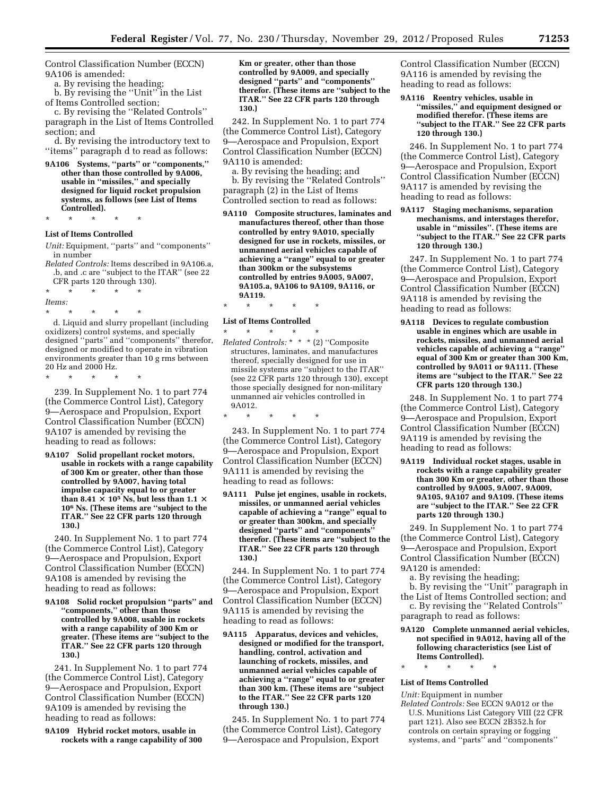Control Classification Number (ECCN) 9A106 is amended:

a. By revising the heading;

b. By revising the ''Unit'' in the List of Items Controlled section;

c. By revising the ''Related Controls'' paragraph in the List of Items Controlled section; and

d. By revising the introductory text to ''items'' paragraph d to read as follows:

**9A106 Systems, ''parts'' or ''components,'' other than those controlled by 9A006, usable in ''missiles,'' and specially designed for liquid rocket propulsion systems, as follows (see List of Items Controlled).** 

\* \* \* \* \*

# **List of Items Controlled**

*Unit:* Equipment, ''parts'' and ''components'' in number

- *Related Controls:* Items described in 9A106.a, .b, and .c are ''subject to the ITAR'' (see 22 CFR parts 120 through 130).
- \* \* \* \* \*

*Items:* 

\* \* \* \* \*

d. Liquid and slurry propellant (including oxidizers) control systems, and specially designed ''parts'' and ''components'' therefor, designed or modified to operate in vibration environments greater than 10 g rms between 20 Hz and 2000 Hz.

\* \* \* \* \*

239. In Supplement No. 1 to part 774 (the Commerce Control List), Category 9—Aerospace and Propulsion, Export Control Classification Number (ECCN) 9A107 is amended by revising the heading to read as follows:

**9A107 Solid propellant rocket motors, usable in rockets with a range capability of 300 Km or greater, other than those controlled by 9A007, having total impulse capacity equal to or greater than 8.41**  $\times$  10<sup>5</sup> **Ns**, but less than 1.1  $\times$ **106 Ns. (These items are ''subject to the ITAR.'' See 22 CFR parts 120 through 130.)** 

240. In Supplement No. 1 to part 774 (the Commerce Control List), Category 9—Aerospace and Propulsion, Export Control Classification Number (ECCN) 9A108 is amended by revising the heading to read as follows:

**9A108 Solid rocket propulsion ''parts'' and ''components,'' other than those controlled by 9A008, usable in rockets with a range capability of 300 Km or greater. (These items are ''subject to the ITAR.'' See 22 CFR parts 120 through 130.)** 

241. In Supplement No. 1 to part 774 (the Commerce Control List), Category 9—Aerospace and Propulsion, Export Control Classification Number (ECCN) 9A109 is amended by revising the heading to read as follows:

**9A109 Hybrid rocket motors, usable in rockets with a range capability of 300**  **Km or greater, other than those controlled by 9A009, and specially designed ''parts'' and ''components'' therefor. (These items are ''subject to the ITAR.'' See 22 CFR parts 120 through 130.)** 

242. In Supplement No. 1 to part 774 (the Commerce Control List), Category 9—Aerospace and Propulsion, Export Control Classification Number (ECCN) 9A110 is amended:

a. By revising the heading; and b. By revising the ''Related Controls'' paragraph (2) in the List of Items Controlled section to read as follows:

**9A110 Composite structures, laminates and manufactures thereof, other than those controlled by entry 9A010, specially designed for use in rockets, missiles, or unmanned aerial vehicles capable of achieving a ''range'' equal to or greater than 300km or the subsystems controlled by entries 9A005, 9A007, 9A105.a, 9A106 to 9A109, 9A116, or 9A119.** 

\* \* \* \* \*

#### **List of Items Controlled**

\* \* \* \* \* *Related Controls:* \* \* \* (2) ''Composite structures, laminates, and manufactures thereof, specially designed for use in missile systems are ''subject to the ITAR'' (see 22 CFR parts 120 through 130), except those specially designed for non-military

unmanned air vehicles controlled in

\* \* \* \* \*

9A012.

243. In Supplement No. 1 to part 774 (the Commerce Control List), Category 9—Aerospace and Propulsion, Export Control Classification Number (ECCN) 9A111 is amended by revising the heading to read as follows:

**9A111 Pulse jet engines, usable in rockets, missiles, or unmanned aerial vehicles capable of achieving a ''range'' equal to or greater than 300km, and specially designed ''parts'' and ''components'' therefor. (These items are ''subject to the ITAR.'' See 22 CFR parts 120 through 130.)** 

244. In Supplement No. 1 to part 774 (the Commerce Control List), Category 9—Aerospace and Propulsion, Export Control Classification Number (ECCN) 9A115 is amended by revising the heading to read as follows:

**9A115 Apparatus, devices and vehicles, designed or modified for the transport, handling, control, activation and launching of rockets, missiles, and unmanned aerial vehicles capable of achieving a ''range'' equal to or greater than 300 km. (These items are ''subject to the ITAR.'' See 22 CFR parts 120 through 130.)** 

245. In Supplement No. 1 to part 774 (the Commerce Control List), Category 9—Aerospace and Propulsion, Export

Control Classification Number (ECCN) 9A116 is amended by revising the heading to read as follows:

**9A116 Reentry vehicles, usable in ''missiles,'' and equipment designed or modified therefor. (These items are ''subject to the ITAR.'' See 22 CFR parts 120 through 130.)** 

246. In Supplement No. 1 to part 774 (the Commerce Control List), Category 9—Aerospace and Propulsion, Export Control Classification Number (ECCN) 9A117 is amended by revising the heading to read as follows:

**9A117 Staging mechanisms, separation mechanisms, and interstages therefor, usable in ''missiles''. (These items are ''subject to the ITAR.'' See 22 CFR parts 120 through 130.)** 

247. In Supplement No. 1 to part 774 (the Commerce Control List), Category 9—Aerospace and Propulsion, Export Control Classification Number (ECCN) 9A118 is amended by revising the heading to read as follows:

**9A118 Devices to regulate combustion usable in engines which are usable in rockets, missiles, and unmanned aerial vehicles capable of achieving a ''range'' equal of 300 Km or greater than 300 Km, controlled by 9A011 or 9A111. (These items are ''subject to the ITAR.'' See 22 CFR parts 120 through 130.)** 

248. In Supplement No. 1 to part 774 (the Commerce Control List), Category 9—Aerospace and Propulsion, Export Control Classification Number (ECCN) 9A119 is amended by revising the heading to read as follows:

**9A119 Individual rocket stages, usable in rockets with a range capability greater than 300 Km or greater, other than those controlled by 9A005, 9A007, 9A009, 9A105, 9A107 and 9A109. (These items are ''subject to the ITAR.'' See 22 CFR parts 120 through 130.)** 

249. In Supplement No. 1 to part 774 (the Commerce Control List), Category 9—Aerospace and Propulsion, Export Control Classification Number (ECCN) 9A120 is amended:

a. By revising the heading;

b. By revising the ''Unit'' paragraph in the List of Items Controlled section; and

c. By revising the ''Related Controls'' paragraph to read as follows:

- **9A120 Complete unmanned aerial vehicles, not specified in 9A012, having all of the following characteristics (see List of Items Controlled).**
- \* \* \* \* \*

#### **List of Items Controlled**

*Unit:* Equipment in number *Related Controls:* See ECCN 9A012 or the

U.S. Munitions List Category VIII (22 CFR part 121). Also see ECCN 2B352.h for controls on certain spraying or fogging systems, and ''parts'' and ''components''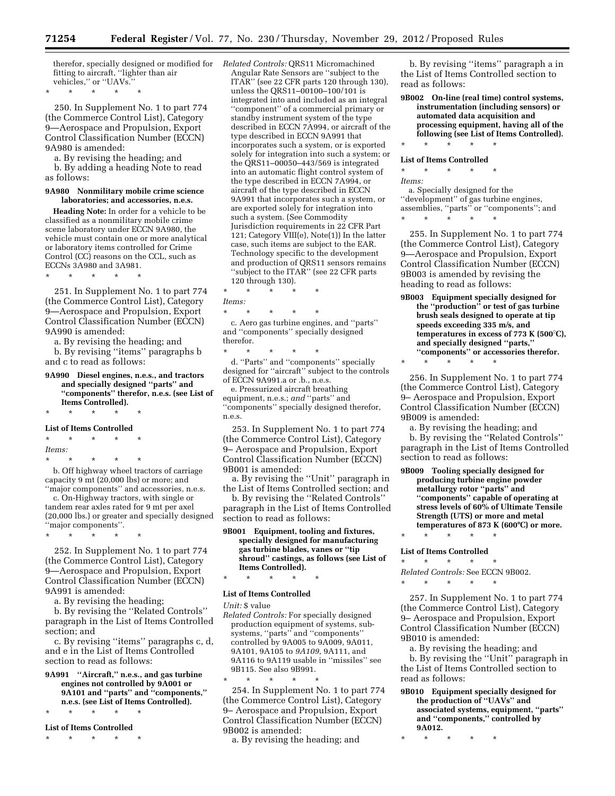therefor, specially designed or modified for fitting to aircraft, ''lighter than air vehicles,'' or ''UAVs.''

\* \* \* \* \*

250. In Supplement No. 1 to part 774 (the Commerce Control List), Category 9—Aerospace and Propulsion, Export Control Classification Number (ECCN) 9A980 is amended:

a. By revising the heading; and b. By adding a heading Note to read as follows:

#### **9A980 Nonmilitary mobile crime science laboratories; and accessories, n.e.s.**

**Heading Note:** In order for a vehicle to be classified as a nonmilitary mobile crime scene laboratory under ECCN 9A980, the vehicle must contain one or more analytical or laboratory items controlled for Crime Control (CC) reasons on the CCL, such as ECCNs 3A980 and 3A981.

\* \* \* \* \*

251. In Supplement No. 1 to part 774 (the Commerce Control List), Category 9—Aerospace and Propulsion, Export Control Classification Number (ECCN) 9A990 is amended:

a. By revising the heading; and

b. By revising ''items'' paragraphs b and c to read as follows:

#### **9A990 Diesel engines, n.e.s., and tractors and specially designed ''parts'' and ''components'' therefor, n.e.s. (see List of Items Controlled).**  \* \* \* \* \*

## **List of Items Controlled**

\* \* \* \* \* *Items:*  \* \* \* \* \*

b. Off highway wheel tractors of carriage capacity 9 mt (20,000 lbs) or more; and ''major components'' and accessories, n.e.s.

c. On-Highway tractors, with single or tandem rear axles rated for 9 mt per axel (20,000 lbs.) or greater and specially designed ''major components''.

\* \* \* \* \*

252. In Supplement No. 1 to part 774 (the Commerce Control List), Category 9—Aerospace and Propulsion, Export Control Classification Number (ECCN) 9A991 is amended:

a. By revising the heading;

b. By revising the ''Related Controls'' paragraph in the List of Items Controlled section; and

c. By revising ''items'' paragraphs c, d, and e in the List of Items Controlled section to read as follows:

**9A991 ''Aircraft,'' n.e.s., and gas turbine engines not controlled by 9A001 or 9A101 and ''parts'' and ''components,'' n.e.s. (see List of Items Controlled).** 

\* \* \* \* \*

**List of Items Controlled**  \* \* \* \* \*

*Related Controls:* QRS11 Micromachined Angular Rate Sensors are ''subject to the ITAR'' (see 22 CFR parts 120 through 130), unless the QRS11–00100–100/101 is integrated into and included as an integral ''component'' of a commercial primary or standby instrument system of the type described in ECCN 7A994, or aircraft of the type described in ECCN 9A991 that incorporates such a system, or is exported solely for integration into such a system; or the QRS11–00050–443/569 is integrated into an automatic flight control system of the type described in ECCN 7A994, or aircraft of the type described in ECCN 9A991 that incorporates such a system, or are exported solely for integration into such a system. (See Commodity Jurisdiction requirements in 22 CFR Part 121; Category VIII(e), Note(1)) In the latter case, such items are subject to the EAR. Technology specific to the development and production of QRS11 sensors remains ''subject to the ITAR'' (see 22 CFR parts 120 through 130).

\* \* \* \* \* *Items:* 

\* \* \* \* \* c. Aero gas turbine engines, and ''parts'' and ''components'' specially designed therefor.

\* \* \* \* \* d. ''Parts'' and ''components'' specially designed for ''aircraft'' subject to the controls of ECCN 9A991.a or .b., n.e.s.

e. Pressurized aircraft breathing equipment, n.e.s.; *and* ''parts'' and ''components'' specially designed therefor, n.e.s.

253. In Supplement No. 1 to part 774 (the Commerce Control List), Category 9– Aerospace and Propulsion, Export Control Classification Number (ECCN) 9B001 is amended:

a. By revising the ''Unit'' paragraph in the List of Items Controlled section; and

b. By revising the ''Related Controls'' paragraph in the List of Items Controlled section to read as follows:

**9B001 Equipment, tooling and fixtures, specially designed for manufacturing gas turbine blades, vanes or ''tip shroud'' castings, as follows (see List of Items Controlled).** 

# \* \* \* \* \* **List of Items Controlled**

*Unit:* \$ value

*Related Controls:* For specially designed production equipment of systems, subsystems, ''parts'' and ''components'' controlled by 9A005 to 9A009, 9A011, 9A101, 9A105 to *9A109,* 9A111, and 9A116 to 9A119 usable in ''missiles'' see 9B115. See also 9B991.

\* \* \* \* \* 254. In Supplement No. 1 to part 774 (the Commerce Control List), Category 9– Aerospace and Propulsion, Export Control Classification Number (ECCN) 9B002 is amended:

a. By revising the heading; and

b. By revising ''items'' paragraph a in the List of Items Controlled section to read as follows:

**9B002 On-line (real time) control systems, instrumentation (including sensors) or automated data acquisition and processing equipment, having all of the following (see List of Items Controlled).**  \* \* \* \* \*

#### **List of Items Controlled**

\* \* \* \* \*

*Items:*  a. Specially designed for the ''development'' of gas turbine engines, assemblies, ''parts'' or ''components''; and \* \* \* \* \*

255. In Supplement No. 1 to part 774 (the Commerce Control List), Category 9—Aerospace and Propulsion, Export Control Classification Number (ECCN) 9B003 is amended by revising the heading to read as follows:

**9B003 Equipment specially designed for the ''production'' or test of gas turbine brush seals designed to operate at tip speeds exceeding 335 m/s, and temperatures in excess of 773 K (** $500^{\circ}$ **C), and specially designed ''parts,'' ''components'' or accessories therefor.** 

\* \* \* \* \* 256. In Supplement No. 1 to part 774 (the Commerce Control List), Category 9– Aerospace and Propulsion, Export

Control Classification Number (ECCN) 9B009 is amended:

a. By revising the heading; and

b. By revising the ''Related Controls'' paragraph in the List of Items Controlled section to read as follows:

**9B009 Tooling specially designed for producing turbine engine powder metallurgy rotor ''parts'' and ''components'' capable of operating at stress levels of 60% of Ultimate Tensile Strength (UTS) or more and metal temperatures of 873 K (600**≥**C) or more.** 

\* \* \* \* \* **List of Items Controlled** 

\* \* \* \* \* *Related Controls:* See ECCN 9B002. \* \* \* \* \*

257. In Supplement No. 1 to part 774 (the Commerce Control List), Category 9– Aerospace and Propulsion, Export Control Classification Number (ECCN) 9B010 is amended:

a. By revising the heading; and b. By revising the ''Unit'' paragraph in the List of Items Controlled section to read as follows:

**9B010 Equipment specially designed for the production of ''UAVs'' and associated systems, equipment, ''parts'' and ''components,'' controlled by 9A012.** 

\* \* \* \* \*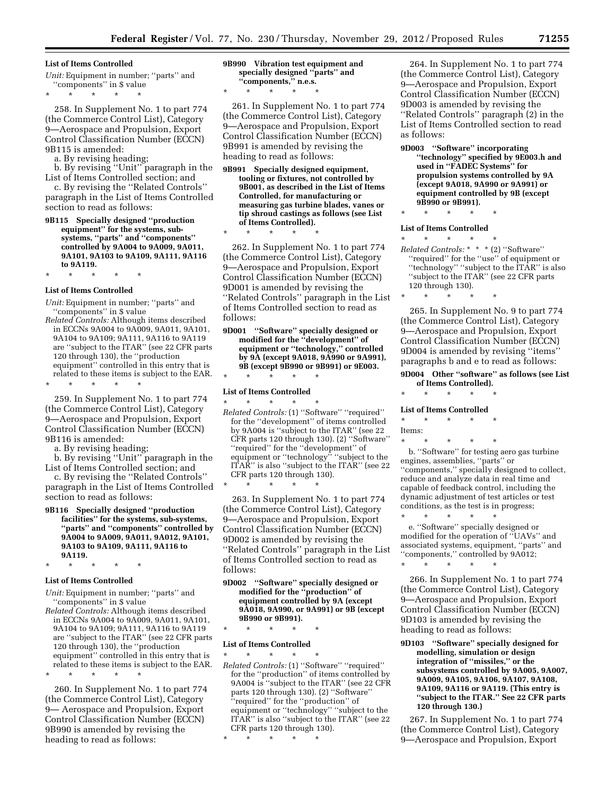#### **List of Items Controlled**

\* \* \* \* \*

*Unit:* Equipment in number; ''parts'' and ''components'' in \$ value

258. In Supplement No. 1 to part 774 (the Commerce Control List), Category 9—Aerospace and Propulsion, Export Control Classification Number (ECCN) 9B115 is amended:

a. By revising heading;

b. By revising ''Unit'' paragraph in the List of Items Controlled section; and

c. By revising the ''Related Controls'' paragraph in the List of Items Controlled section to read as follows:

**9B115 Specially designed ''production equipment'' for the systems, subsystems, ''parts'' and ''components'' controlled by 9A004 to 9A009, 9A011, 9A101, 9A103 to 9A109, 9A111, 9A116 to 9A119.** 

\* \* \* \* \*

#### **List of Items Controlled**

*Unit:* Equipment in number; ''parts'' and ''components'' in \$ value

*Related Controls:* Although items described in ECCNs 9A004 to 9A009, 9A011, 9A101, 9A104 to 9A109; 9A111, 9A116 to 9A119 are ''subject to the ITAR'' (see 22 CFR parts 120 through 130), the ''production equipment'' controlled in this entry that is related to these items is subject to the EAR. \* \* \* \* \*

259. In Supplement No. 1 to part 774 (the Commerce Control List), Category 9—Aerospace and Propulsion, Export Control Classification Number (ECCN) 9B116 is amended:

a. By revising heading;

b. By revising ''Unit'' paragraph in the List of Items Controlled section; and

c. By revising the ''Related Controls'' paragraph in the List of Items Controlled section to read as follows:

**9B116 Specially designed ''production facilities'' for the systems, sub-systems, ''parts'' and ''components'' controlled by 9A004 to 9A009, 9A011, 9A012, 9A101, 9A103 to 9A109, 9A111, 9A116 to 9A119.** 

# \* \* \* \* \* **List of Items Controlled**

*Unit:* Equipment in number; ''parts'' and ''components'' in \$ value

*Related Controls:* Although items described in ECCNs 9A004 to 9A009, 9A011, 9A101, 9A104 to 9A109; 9A111, 9A116 to 9A119 are ''subject to the ITAR'' (see 22 CFR parts 120 through 130), the ''production equipment'' controlled in this entry that is related to these items is subject to the EAR.

\* \* \* \* \*

260. In Supplement No. 1 to part 774 (the Commerce Control List), Category 9— Aerospace and Propulsion, Export Control Classification Number (ECCN) 9B990 is amended by revising the heading to read as follows:

**9B990 Vibration test equipment and specially designed ''parts'' and ''components,'' n.e.s.** 

\* \* \* \* \*

\* \* \* \* \*

261. In Supplement No. 1 to part 774 (the Commerce Control List), Category 9—Aerospace and Propulsion, Export Control Classification Number (ECCN) 9B991 is amended by revising the heading to read as follows:

**9B991 Specially designed equipment, tooling or fixtures, not controlled by 9B001, as described in the List of Items Controlled, for manufacturing or measuring gas turbine blades, vanes or tip shroud castings as follows (see List of Items Controlled).** 

262. In Supplement No. 1 to part 774 (the Commerce Control List), Category 9—Aerospace and Propulsion, Export Control Classification Number (ECCN) 9D001 is amended by revising the ''Related Controls'' paragraph in the List

of Items Controlled section to read as follows: **9D001 ''Software'' specially designed or** 

**modified for the ''development'' of equipment or ''technology,'' controlled by 9A (except 9A018, 9A990 or 9A991), 9B (except 9B990 or 9B991) or 9E003.** 

# \* \* \* \* \* **List of Items Controlled**

 $\star$   $\star$   $\star$ *Related Controls:* (1) ''Software'' ''required''

for the ''development'' of items controlled by 9A004 is ''subject to the ITAR'' (see 22 CFR parts 120 through 130). (2) ''Software'' ''required'' for the ''development'' of equipment or "technology" "subject to the ITAR'' is also ''subject to the ITAR'' (see 22 CFR parts 120 through 130).

\* \* \* \* \*

263. In Supplement No. 1 to part 774 (the Commerce Control List), Category 9—Aerospace and Propulsion, Export Control Classification Number (ECCN) 9D002 is amended by revising the ''Related Controls'' paragraph in the List of Items Controlled section to read as follows:

**9D002 ''Software'' specially designed or modified for the ''production'' of equipment controlled by 9A (except 9A018, 9A990, or 9A991) or 9B (except 9B990 or 9B991).** 

\* \* \* \* \*

#### **List of Items Controlled**

 $\star$   $\star$   $\star$ *Related Controls:* (1) ''Software'' ''required'' for the ''production'' of items controlled by 9A004 is ''subject to the ITAR'' (see 22 CFR parts 120 through 130). (2) ''Software'' ''required'' for the ''production'' of equipment or ''technology'' ''subject to the ITAR'' is also ''subject to the ITAR'' (see 22 CFR parts 120 through 130).

\* \* \* \* \*

264. In Supplement No. 1 to part 774 (the Commerce Control List), Category 9—Aerospace and Propulsion, Export Control Classification Number (ECCN) 9D003 is amended by revising the ''Related Controls'' paragraph (2) in the List of Items Controlled section to read as follows:

- **9D003 ''Software'' incorporating ''technology'' specified by 9E003.h and used in ''FADEC Systems'' for propulsion systems controlled by 9A (except 9A018, 9A990 or 9A991) or equipment controlled by 9B (except 9B990 or 9B991).**
- \* \* \* \* \*

#### **List of Items Controlled**

\* \* \* \* \*

*Related Controls:* \* \* \* (2) ''Software'' ''required'' for the ''use'' of equipment or ''technology'' ''subject to the ITAR'' is also ''subject to the ITAR'' (see 22 CFR parts 120 through 130).

\* \* \* \* \*

265. In Supplement No. 9 to part 774 (the Commerce Control List), Category 9—Aerospace and Propulsion, Export Control Classification Number (ECCN) 9D004 is amended by revising ''items'' paragraphs b and e to read as follows:

**9D004 Other ''software'' as follows (see List of Items Controlled).** 

\* \* \* \* \*

#### **List of Items Controlled**

\* \* \* \* \*

Items:

\* \* \* \* \* b. ''Software'' for testing aero gas turbine engines, assemblies, ''parts'' or ''components,'' specially designed to collect, reduce and analyze data in real time and capable of feedback control, including the dynamic adjustment of test articles or test conditions, as the test is in progress;

\* \* \* \* \* e. ''Software'' specially designed or modified for the operation of ''UAVs'' and associated systems, equipment, ''parts'' and ''components,'' controlled by 9A012; \* \* \* \* \*

266. In Supplement No. 1 to part 774 (the Commerce Control List), Category 9—Aerospace and Propulsion, Export Control Classification Number (ECCN) 9D103 is amended by revising the heading to read as follows:

**9D103 ''Software'' specially designed for modelling, simulation or design integration of ''missiles,'' or the subsystems controlled by 9A005, 9A007, 9A009, 9A105, 9A106, 9A107, 9A108, 9A109, 9A116 or 9A119. (This entry is ''subject to the ITAR.'' See 22 CFR parts 120 through 130.)** 

267. In Supplement No. 1 to part 774 (the Commerce Control List), Category 9—Aerospace and Propulsion, Export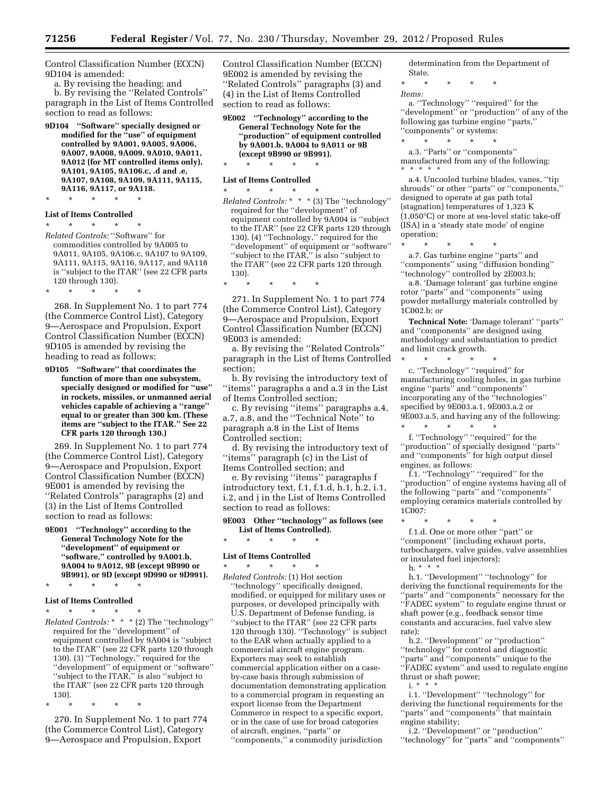Control Classification Number (ECCN) 9D104 is amended:

a. By revising the heading; and

b. By revising the ''Related Controls'' paragraph in the List of Items Controlled section to read as follows:

**9D104 ''Software'' specially designed or modified for the ''use'' of equipment controlled by 9A001, 9A005, 9A006, 9A007, 9A008, 9A009, 9A010, 9A011, 9A012 (for MT controlled items only), 9A101, 9A105, 9A106.c, .d and .e, 9A107, 9A108, 9A109, 9A111, 9A115, 9A116, 9A117, or 9A118.**  \* \* \* \* \*

#### **List of Items Controlled**

\* \* \* \* \* *Related Controls:* ''Software'' for commodities controlled by 9A005 to 9A011, 9A105, 9A106.c, 9A107 to 9A109, 9A111, 9A115, 9A116, 9A117, and 9A118 is ''subject to the ITAR'' (see 22 CFR parts 120 through 130).

\* \* \* \* \*

268. In Supplement No. 1 to part 774 (the Commerce Control List), Category 9—Aerospace and Propulsion, Export Control Classification Number (ECCN) 9D105 is amended by revising the heading to read as follows:

**9D105 ''Software'' that coordinates the function of more than one subsystem, specially designed or modified for ''use'' in rockets, missiles, or unmanned aerial vehicles capable of achieving a ''range'' equal to or greater than 300 km. (These items are ''subject to the ITAR.'' See 22 CFR parts 120 through 130.)** 

269. In Supplement No. 1 to part 774 (the Commerce Control List), Category 9—Aerospace and Propulsion, Export Control Classification Number (ECCN) 9E001 is amended by revising the ''Related Controls'' paragraphs (2) and (3) in the List of Items Controlled section to read as follows:

**9E001 ''Technology'' according to the General Technology Note for the ''development'' of equipment or ''software,'' controlled by 9A001.b, 9A004 to 9A012, 9B (except 9B990 or 9B991), or 9D (except 9D990 or 9D991).** 

\* \* \* \* \*

#### **List of Items Controlled**

\* \* \* \* \* *Related Controls:* \* \* \* (2) The ''technology'' required for the ''development'' of equipment controlled by 9A004 is ''subject to the ITAR'' (see 22 CFR parts 120 through 130). (3) ''Technology,'' required for the ''development'' of equipment or ''software'' ''subject to the ITAR,'' is also ''subject to the ITAR'' (see 22 CFR parts 120 through 130).

\* \* \* \* \*

270. In Supplement No. 1 to part 774 (the Commerce Control List), Category 9—Aerospace and Propulsion, Export

Control Classification Number (ECCN) 9E002 is amended by revising the ''Related Controls'' paragraphs (3) and (4) in the List of Items Controlled section to read as follows:

**9E002 ''Technology'' according to the General Technology Note for the ''production'' of equipment controlled by 9A001.b, 9A004 to 9A011 or 9B (except 9B990 or 9B991).** 

# \* \* \* \* \* **List of Items Controlled**

- \* \* \* \* \* *Related Controls:* \* \* \* (3) The ''technology'' required for the ''development'' of equipment controlled by 9A004 is ''subject to the ITAR'' (see 22 CFR parts 120 through 130). (4) ''Technology,'' required for the ''development'' of equipment or ''software'' ''subject to the ITAR,'' is also ''subject to the ITAR'' (see 22 CFR parts 120 through 130).
- \* \* \* \* \*

271. In Supplement No. 1 to part 774 (the Commerce Control List), Category 9—Aerospace and Propulsion, Export Control Classification Number (ECCN) 9E003 is amended:

a. By revising the ''Related Controls'' paragraph in the List of Items Controlled section;

b. By revising the introductory text of ''items'' paragraphs a and a.3 in the List of Items Controlled section;

c. By revising ''items'' paragraphs a.4, a.7, a.8, and the ''Technical Note'' to paragraph a.8 in the List of Items Controlled section;

d. By revising the introductory text of ''items'' paragraph (c) in the List of Items Controlled section; and

e. By revising ''items'' paragraphs f introductory text, f.1, f.1.d, h.1, h.2, i.1, i.2, and j in the List of Items Controlled section to read as follows:

#### **9E003 Other ''technology'' as follows (see List of Items Controlled).**

\* \* \* \* \*

#### **List of Items Controlled**

\* \* \* \* \* *Related Controls:* (1) Hot section ''technology'' specifically designed, modified, or equipped for military uses or purposes, or developed principally with U.S. Department of Defense funding, is ''subject to the ITAR'' (see 22 CFR parts 120 through 130). ''Technology'' is subject to the EAR when actually applied to a commercial aircraft engine program. Exporters may seek to establish commercial application either on a caseby-case basis through submission of documentation demonstrating application to a commercial program in requesting an export license from the Department Commerce in respect to a specific export, or in the case of use for broad categories of aircraft, engines, ''parts'' or ''components,'' a commodity jurisdiction

determination from the Department of State.

\* \* \* \* \* *Items:* 

a. ''Technology'' ''required'' for the "development" or "production" of any of the following gas turbine engine ''parts,'' ''components'' or systems:

- \* \* \* \* \* a.3. ''Parts'' or ''components'' manufactured from any of the following:
- \* \* \* \* \*

a.4. Uncooled turbine blades, vanes, ''tip shrouds'' or other ''parts'' or ''components,'' designed to operate at gas path total (stagnation) temperatures of 1,323 K (1,050°C) or more at sea-level static take-off (ISA) in a 'steady state mode' of engine operation;

\* \* \* \* \* a.7. Gas turbine engine ''parts'' and ''components'' using ''diffusion bonding'' "technology" controlled by 2E003.b;

a.8. 'Damage tolerant' gas turbine engine rotor ''parts'' and ''components'' using powder metallurgy materials controlled by 1C002.b; *or* 

**Technical Note:** 'Damage tolerant' ''parts'' and ''components'' are designed using methodology and substantiation to predict and limit crack growth.

\* \* \* \* \* c. ''Technology'' ''required'' for manufacturing cooling holes, in gas turbine engine ''parts'' and ''components'' incorporating any of the ''technologies'' specified by 9E003.a.1, 9E003.a.2 or 9E003.a.5, and having any of the following:

\* \* \* \* \* f. ''Technology'' ''required'' for the ''production'' of specially designed ''parts'' and ''components'' for high output diesel engines, as follows:

f.1. ''Technology'' ''required'' for the ''production'' of engine systems having all of the following ''parts'' and ''components'' employing ceramics materials controlled by 1C007:

\* \* \* \* \* f.1.d. One or more other ''part'' or ''component'' (including exhaust ports, turbochargers, valve guides, valve assemblies or insulated fuel injectors); h. \* \* \*

h.1. ''Development'' ''technology'' for deriving the functional requirements for the ''parts'' and ''components'' necessary for the ''FADEC system'' to regulate engine thrust or shaft power (e.g., feedback sensor time constants and accuracies, fuel valve slew rate);

h.2. ''Development'' or ''production'' ''technology'' for control and diagnostic ''parts'' and ''components'' unique to the "FADEC system" and used to regulate engine thrust or shaft power;

 $i. * * * *$ 

i.1. "Development" "technology" for deriving the functional requirements for the ''parts'' and ''components'' that maintain engine stability;

i.2. ''Development'' or ''production'' ''technology'' for ''parts'' and ''components''